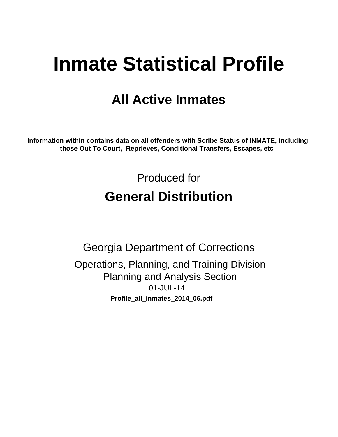# **Inmate Statistical Profile**

# **All Active Inmates**

Information within contains data on all offenders with Scribe Status of INMATE, including those Out To Court, Reprieves, Conditional Transfers, Escapes, etc

> Produced for **General Distribution**

**Georgia Department of Corrections** Operations, Planning, and Training Division **Planning and Analysis Section** 01-JUL-14 Profile\_all\_inmates\_2014\_06.pdf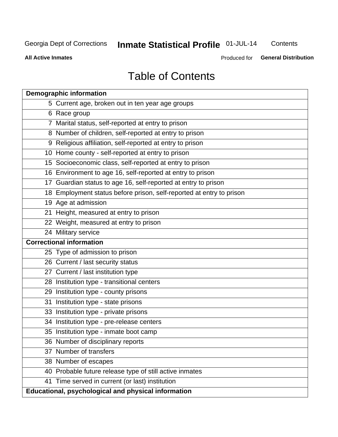# Inmate Statistical Profile 01-JUL-14

Contents

**All Active Inmates** 

Produced for General Distribution

# **Table of Contents**

|    | <b>Demographic information</b>                                       |
|----|----------------------------------------------------------------------|
|    | 5 Current age, broken out in ten year age groups                     |
|    | 6 Race group                                                         |
|    | 7 Marital status, self-reported at entry to prison                   |
|    | 8 Number of children, self-reported at entry to prison               |
|    | 9 Religious affiliation, self-reported at entry to prison            |
|    | 10 Home county - self-reported at entry to prison                    |
|    | 15 Socioeconomic class, self-reported at entry to prison             |
|    | 16 Environment to age 16, self-reported at entry to prison           |
|    | 17 Guardian status to age 16, self-reported at entry to prison       |
|    | 18 Employment status before prison, self-reported at entry to prison |
|    | 19 Age at admission                                                  |
|    | 21 Height, measured at entry to prison                               |
|    | 22 Weight, measured at entry to prison                               |
|    | 24 Military service                                                  |
|    | <b>Correctional information</b>                                      |
|    | 25 Type of admission to prison                                       |
|    | 26 Current / last security status                                    |
|    | 27 Current / last institution type                                   |
|    | 28 Institution type - transitional centers                           |
|    | 29 Institution type - county prisons                                 |
| 31 | Institution type - state prisons                                     |
|    | 33 Institution type - private prisons                                |
|    | 34 Institution type - pre-release centers                            |
|    | 35 Institution type - inmate boot camp                               |
|    | 36 Number of disciplinary reports                                    |
|    | 37 Number of transfers                                               |
|    | 38 Number of escapes                                                 |
|    | 40 Probable future release type of still active inmates              |
|    | 41 Time served in current (or last) institution                      |
|    | Educational, psychological and physical information                  |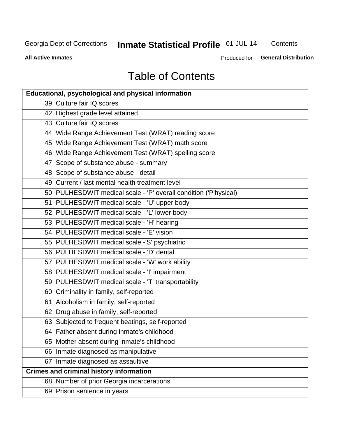# **Inmate Statistical Profile 01-JUL-14**

Contents

**All Active Inmates** 

Produced for **General Distribution** 

# **Table of Contents**

| <b>Educational, psychological and physical information</b>       |
|------------------------------------------------------------------|
| 39 Culture fair IQ scores                                        |
| 42 Highest grade level attained                                  |
| 43 Culture fair IQ scores                                        |
| 44 Wide Range Achievement Test (WRAT) reading score              |
| 45 Wide Range Achievement Test (WRAT) math score                 |
| 46 Wide Range Achievement Test (WRAT) spelling score             |
| 47 Scope of substance abuse - summary                            |
| 48 Scope of substance abuse - detail                             |
| 49 Current / last mental health treatment level                  |
| 50 PULHESDWIT medical scale - 'P' overall condition ('P'hysical) |
| 51 PULHESDWIT medical scale - 'U' upper body                     |
| 52 PULHESDWIT medical scale - 'L' lower body                     |
| 53 PULHESDWIT medical scale - 'H' hearing                        |
| 54 PULHESDWIT medical scale - 'E' vision                         |
| 55 PULHESDWIT medical scale -'S' psychiatric                     |
| 56 PULHESDWIT medical scale - 'D' dental                         |
| 57 PULHESDWIT medical scale - 'W' work ability                   |
| 58 PULHESDWIT medical scale - 'I' impairment                     |
| 59 PULHESDWIT medical scale - 'T' transportability               |
| 60 Criminality in family, self-reported                          |
| 61 Alcoholism in family, self-reported                           |
| 62 Drug abuse in family, self-reported                           |
| 63 Subjected to frequent beatings, self-reported                 |
| 64 Father absent during inmate's childhood                       |
| 65 Mother absent during inmate's childhood                       |
| 66 Inmate diagnosed as manipulative                              |
| 67 Inmate diagnosed as assaultive                                |
| <b>Crimes and criminal history information</b>                   |
| 68 Number of prior Georgia incarcerations                        |
| 69 Prison sentence in years                                      |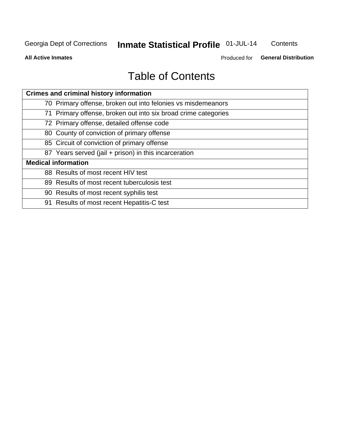# Inmate Statistical Profile 01-JUL-14

Contents

**All Active Inmates** 

Produced for General Distribution

# **Table of Contents**

| <b>Crimes and criminal history information</b>                 |
|----------------------------------------------------------------|
| 70 Primary offense, broken out into felonies vs misdemeanors   |
| 71 Primary offense, broken out into six broad crime categories |
| 72 Primary offense, detailed offense code                      |
| 80 County of conviction of primary offense                     |
| 85 Circuit of conviction of primary offense                    |
| 87 Years served (jail + prison) in this incarceration          |
| <b>Medical information</b>                                     |
| 88 Results of most recent HIV test                             |
| 89 Results of most recent tuberculosis test                    |
| 90 Results of most recent syphilis test                        |
| 91 Results of most recent Hepatitis-C test                     |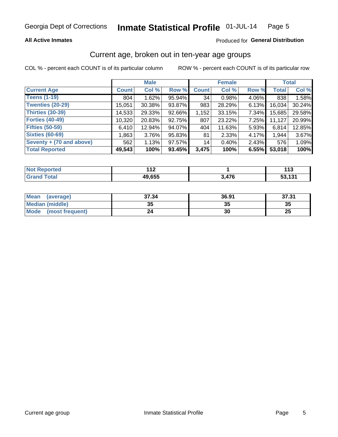### **All Active Inmates**

## Produced for General Distribution

# Current age, broken out in ten-year age groups

COL % - percent each COUNT is of its particular column

|                          |              | <b>Male</b> |        |              | <b>Female</b> |          |              | <b>Total</b> |
|--------------------------|--------------|-------------|--------|--------------|---------------|----------|--------------|--------------|
| <b>Current Age</b>       | <b>Count</b> | Col %       | Row %  | <b>Count</b> | Col %         | Row %    | <b>Total</b> | Col %        |
| <b>Teens (1-19)</b>      | 804          | 1.62%       | 95.94% | 34           | 0.98%         | 4.06%    | 838          | 1.58%        |
| <b>Twenties (20-29)</b>  | 15,051       | 30.38%      | 93.87% | 983          | 28.29%        | 6.13%    | 16,034       | 30.24%       |
| <b>Thirties (30-39)</b>  | 14,533       | 29.33%      | 92.66% | 1,152        | 33.15%        | 7.34%    | 15,685       | 29.58%       |
| <b>Forties (40-49)</b>   | 10,320       | 20.83%      | 92.75% | 807          | 23.22%        | 7.25%    | 11,127       | 20.99%       |
| <b>Fifties (50-59)</b>   | 6,410        | 12.94%      | 94.07% | 404          | 11.63%        | $5.93\%$ | 6,814        | 12.85%       |
| <b>Sixties (60-69)</b>   | 1,863        | 3.76%       | 95.83% | 81           | 2.33%         | 4.17%    | 1,944        | 3.67%        |
| Seventy + (70 and above) | 562          | 1.13%       | 97.57% | 14           | 0.40%         | 2.43%    | 576          | 1.09%        |
| <b>Total Reported</b>    | 49,543       | 100%        | 93.45% | 3,475        | 100%          | 6.55%    | 53,018       | 100%         |

| <b>Not Repo</b><br><b>Exported</b> | - 14   |                          | .          |
|------------------------------------|--------|--------------------------|------------|
| Total                              | 49,655 | <i>A7C</i><br>$\cdot$ 10 | 121<br>- - |

| <b>Mean</b><br>(average)       | 37.34     | 36.91 | 37.31    |
|--------------------------------|-----------|-------|----------|
| Median (middle)                | -25<br>vu | JJ    | 35       |
| <b>Mode</b><br>(most frequent) | 24        | 30    | つじ<br>ZJ |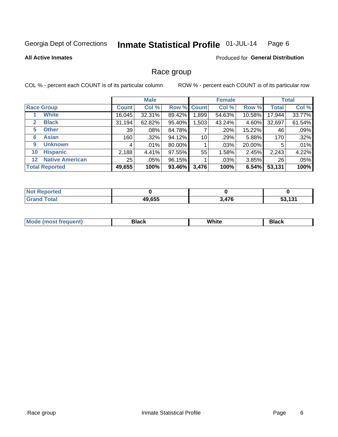#### Inmate Statistical Profile 01-JUL-14 Page 6

### **All Active Inmates**

### **Produced for General Distribution**

# Race group

COL % - percent each COUNT is of its particular column

|              |                        |                 | <b>Male</b> |        |                    | <b>Female</b> |          |              | <b>Total</b> |
|--------------|------------------------|-----------------|-------------|--------|--------------------|---------------|----------|--------------|--------------|
|              | <b>Race Group</b>      | <b>Count</b>    | Col %       |        | <b>Row % Count</b> | Col %         | Row %    | <b>Total</b> | Col %        |
|              | <b>White</b>           | 16,045          | 32.31%      | 89.42% | .899               | 54.63%        | 10.58%   | 17,944       | 33.77%       |
| $\mathbf{2}$ | <b>Black</b>           | 31,194          | 62.82%      | 95.40% | .503               | 43.24%        | 4.60%    | 32,697       | 61.54%       |
| 5            | <b>Other</b>           | 39              | .08%        | 84.78% |                    | .20%          | 15.22%   | 46           | .09%         |
| 6            | <b>Asian</b>           | 160             | .32%        | 94.12% | 10                 | .29%          | 5.88%    | 170          | .32%         |
| 9            | <b>Unknown</b>         | 4               | .01%        | 80.00% |                    | $.03\%$       | 20.00%   | 5            | .01%         |
| 10           | <b>Hispanic</b>        | 2,188           | 4.41%       | 97.55% | 55                 | 1.58%         | 2.45%    | 2,243        | 4.22%        |
| $12 \,$      | <b>Native American</b> | 25 <sub>1</sub> | .05%        | 96.15% |                    | $.03\%$       | $3.85\%$ | 26           | .05%         |
|              | <b>Total Reported</b>  | 49,655          | 100%        | 93.46% | 3,476              | 100%          | 6.54%    | 53,131       | 100%         |

| orted<br>NO             |        |       |             |
|-------------------------|--------|-------|-------------|
| <b>c</b> otal<br>'Grano | 49,655 | 3,476 | AA<br>ا د ا |

| M.<br>____ | . | ------- |
|------------|---|---------|
|            |   |         |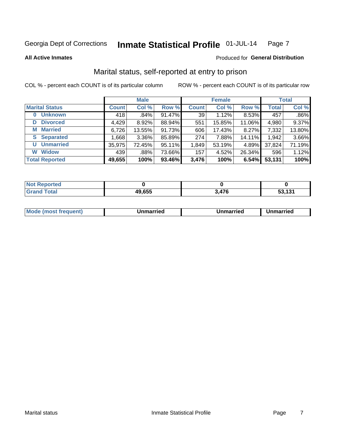#### Inmate Statistical Profile 01-JUL-14 Page 7

**All Active Inmates** 

### Produced for General Distribution

# Marital status, self-reported at entry to prison

COL % - percent each COUNT is of its particular column

|                            |              | <b>Male</b> |        |              | <b>Female</b> |        |              | <b>Total</b> |
|----------------------------|--------------|-------------|--------|--------------|---------------|--------|--------------|--------------|
| <b>Marital Status</b>      | <b>Count</b> | Col %       | Row %  | <b>Count</b> | Col %         | Row %  | <b>Total</b> | Col %        |
| <b>Unknown</b><br>$\bf{0}$ | 418          | .84%        | 91.47% | 39           | 1.12%         | 8.53%  | 457          | .86%         |
| <b>Divorced</b><br>D       | 4,429        | 8.92%       | 88.94% | 551          | 15.85%        | 11.06% | 4,980        | 9.37%        |
| <b>Married</b><br>M        | 6,726        | 13.55%      | 91.73% | 606          | 17.43%        | 8.27%  | 7,332        | 13.80%       |
| <b>S</b> Separated         | 1.668        | 3.36%       | 85.89% | 274          | 7.88%         | 14.11% | 1,942        | 3.66%        |
| <b>Unmarried</b><br>U      | 35,975       | 72.45%      | 95.11% | 1,849        | 53.19%        | 4.89%  | 37,824       | 71.19%       |
| <b>Widow</b><br>W          | 439          | .88%        | 73.66% | 157          | 4.52%         | 26.34% | 596          | 1.12%        |
| <b>Total Reported</b>      | 49,655       | 100%        | 93.46% | 3,476        | 100%          | 6.54%  | 53,131       | 100%         |

| orted<br>NO     |              |          |        |
|-----------------|--------------|----------|--------|
| $int^{\bullet}$ | 49,655<br>дu | 17C<br>. | ED 404 |

|--|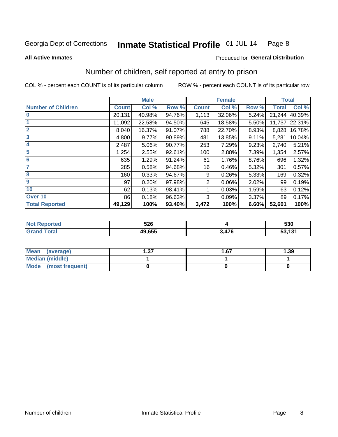#### Inmate Statistical Profile 01-JUL-14 Page 8

**All Active Inmates** 

## **Produced for General Distribution**

# Number of children, self reported at entry to prison

COL % - percent each COUNT is of its particular column

|                           |              | <b>Male</b> |        |              | <b>Female</b> |       | <b>Total</b> |        |
|---------------------------|--------------|-------------|--------|--------------|---------------|-------|--------------|--------|
| <b>Number of Children</b> | <b>Count</b> | Col %       | Row %  | <b>Count</b> | Col %         | Row % | <b>Total</b> | Col %  |
| $\bf{0}$                  | 20,131       | 40.98%      | 94.76% | 1,113        | 32.06%        | 5.24% | 21,244       | 40.39% |
|                           | 11,092       | 22.58%      | 94.50% | 645          | 18.58%        | 5.50% | 11,737       | 22.31% |
| $\overline{2}$            | 8,040        | 16.37%      | 91.07% | 788          | 22.70%        | 8.93% | 8,828        | 16.78% |
| 3                         | 4,800        | 9.77%       | 90.89% | 481          | 13.85%        | 9.11% | 5,281        | 10.04% |
| 4                         | 2,487        | 5.06%       | 90.77% | 253          | 7.29%         | 9.23% | 2,740        | 5.21%  |
| 5                         | 1,254        | 2.55%       | 92.61% | 100          | 2.88%         | 7.39% | 1,354        | 2.57%  |
| 6                         | 635          | 1.29%       | 91.24% | 61           | 1.76%         | 8.76% | 696          | 1.32%  |
|                           | 285          | 0.58%       | 94.68% | 16           | 0.46%         | 5.32% | 301          | 0.57%  |
| 8                         | 160          | 0.33%       | 94.67% | 9            | 0.26%         | 5.33% | 169          | 0.32%  |
| $\boldsymbol{9}$          | 97           | 0.20%       | 97.98% | 2            | 0.06%         | 2.02% | 99           | 0.19%  |
| 10                        | 62           | 0.13%       | 98.41% |              | 0.03%         | 1.59% | 63           | 0.12%  |
| Over 10                   | 86           | 0.18%       | 96.63% | 3            | 0.09%         | 3.37% | 89           | 0.17%  |
| <b>Total Reported</b>     | 49,129       | 100%        | 93.40% | 3,472        | 100%          | 6.60% | 52,601       | 100%   |

| Nt | 526    |             | 530                     |
|----|--------|-------------|-------------------------|
|    | 49.655 | 17C<br>71 V | 52.424<br><b>JJ, IJ</b> |

| Mean<br>(average)    | דפ<br>I .J 1 | 1.67 | 1.39 |
|----------------------|--------------|------|------|
| Median (middle)      |              |      |      |
| Mode (most frequent) |              |      |      |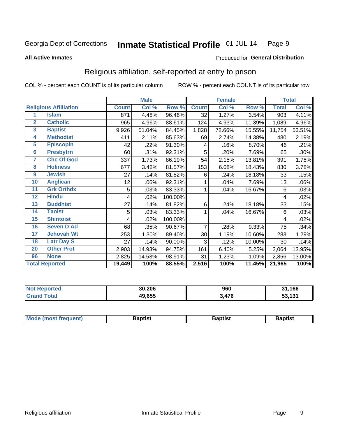#### Inmate Statistical Profile 01-JUL-14 Page 9

### **All Active Inmates**

### Produced for General Distribution

# Religious affiliation, self-reported at entry to prison

COL % - percent each COUNT is of its particular column

|                 |                              | <b>Male</b>  |        | <b>Female</b> |              |        | <b>Total</b> |              |        |
|-----------------|------------------------------|--------------|--------|---------------|--------------|--------|--------------|--------------|--------|
|                 | <b>Religious Affiliation</b> | <b>Count</b> | Col %  | Row %         | <b>Count</b> | Col %  | Row %        | <b>Total</b> | Col %  |
| 1               | <b>Islam</b>                 | 871          | 4.48%  | 96.46%        | 32           | 1.27%  | 3.54%        | 903          | 4.11%  |
| $\overline{2}$  | <b>Catholic</b>              | 965          | 4.96%  | 88.61%        | 124          | 4.93%  | 11.39%       | 1,089        | 4.96%  |
| 3               | <b>Baptist</b>               | 9,926        | 51.04% | 84.45%        | 1,828        | 72.66% | 15.55%       | 11,754       | 53.51% |
| 4               | <b>Methodist</b>             | 411          | 2.11%  | 85.63%        | 69           | 2.74%  | 14.38%       | 480          | 2.19%  |
| 5               | <b>EpiscopIn</b>             | 42           | .22%   | 91.30%        | 4            | .16%   | 8.70%        | 46           | .21%   |
| $6\overline{6}$ | <b>Presbytrn</b>             | 60           | .31%   | 92.31%        | 5            | .20%   | 7.69%        | 65           | .30%   |
| 7               | <b>Chc Of God</b>            | 337          | 1.73%  | 86.19%        | 54           | 2.15%  | 13.81%       | 391          | 1.78%  |
| 8               | <b>Holiness</b>              | 677          | 3.48%  | 81.57%        | 153          | 6.08%  | 18.43%       | 830          | 3.78%  |
| 9               | <b>Jewish</b>                | 27           | .14%   | 81.82%        | 6            | .24%   | 18.18%       | 33           | .15%   |
| 10              | <b>Anglican</b>              | 12           | .06%   | 92.31%        |              | .04%   | 7.69%        | 13           | .06%   |
| 11              | <b>Grk Orthdx</b>            | 5            | .03%   | 83.33%        | 1            | .04%   | 16.67%       | 6            | .03%   |
| 12              | <b>Hindu</b>                 | 4            | .02%   | 100.00%       |              |        |              | 4            | .02%   |
| 13              | <b>Buddhist</b>              | 27           | .14%   | 81.82%        | 6            | .24%   | 18.18%       | 33           | .15%   |
| 14              | <b>Taoist</b>                | 5            | .03%   | 83.33%        | 1            | .04%   | 16.67%       | 6            | .03%   |
| 15              | <b>Shintoist</b>             | 4            | .02%   | 100.00%       |              |        |              | 4            | .02%   |
| 16              | <b>Seven D Ad</b>            | 68           | .35%   | 90.67%        | 7            | .28%   | 9.33%        | 75           | .34%   |
| 17              | <b>Jehovah Wt</b>            | 253          | 1.30%  | 89.40%        | 30           | 1.19%  | 10.60%       | 283          | 1.29%  |
| 18              | <b>Latr Day S</b>            | 27           | .14%   | 90.00%        | 3            | .12%   | 10.00%       | 30           | .14%   |
| 20              | <b>Other Prot</b>            | 2,903        | 14.93% | 94.75%        | 161          | 6.40%  | 5.25%        | 3,064        | 13.95% |
| 96              | <b>None</b>                  | 2,825        | 14.53% | 98.91%        | 31           | 1.23%  | 1.09%        | 2,856        | 13.00% |
|                 | <b>Total Reported</b>        | 19,449       | 100%   | 88.55%        | 2,516        | 100%   | 11.45%       | 21,965       | 100%   |

|                 | 30.206 | 960  | ,166<br><b>тэм.</b>       |
|-----------------|--------|------|---------------------------|
| $\sim$ 4 $\sim$ | 49,655 | ,476 | 121<br>-^<br>ا د ا<br>ິວວ |

|  | Mode (most frequent) | 3aptist | 3aptist | Baptist |
|--|----------------------|---------|---------|---------|
|--|----------------------|---------|---------|---------|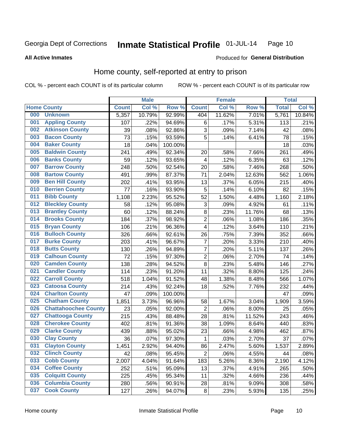#### Inmate Statistical Profile 01-JUL-14 Page 10

**All Active Inmates** 

### Produced for General Distribution

# Home county, self-reported at entry to prison

COL % - percent each COUNT is of its particular column

|     |                             |              | <b>Male</b> |                  |                | <b>Female</b> |        | <b>Total</b> |        |
|-----|-----------------------------|--------------|-------------|------------------|----------------|---------------|--------|--------------|--------|
|     | <b>Home County</b>          | <b>Count</b> | Col %       | Row <sup>%</sup> | <b>Count</b>   | Col %         | Row %  | <b>Total</b> | Col %  |
| 000 | <b>Unknown</b>              | 5,357        | 10.79%      | 92.99%           | 404            | 11.62%        | 7.01%  | 5,761        | 10.84% |
| 001 | <b>Appling County</b>       | 107          | .22%        | 94.69%           | $\,6$          | .17%          | 5.31%  | 113          | .21%   |
| 002 | <b>Atkinson County</b>      | 39           | .08%        | 92.86%           | 3              | .09%          | 7.14%  | 42           | .08%   |
| 003 | <b>Bacon County</b>         | 73           | .15%        | 93.59%           | 5              | .14%          | 6.41%  | 78           | .15%   |
| 004 | <b>Baker County</b>         | 18           | .04%        | 100.00%          |                |               |        | 18           | .03%   |
| 005 | <b>Baldwin County</b>       | 241          | .49%        | 92.34%           | 20             | .58%          | 7.66%  | 261          | .49%   |
| 006 | <b>Banks County</b>         | 59           | .12%        | 93.65%           | 4              | .12%          | 6.35%  | 63           | .12%   |
| 007 | <b>Barrow County</b>        | 248          | .50%        | 92.54%           | 20             | .58%          | 7.46%  | 268          | .50%   |
| 008 | <b>Bartow County</b>        | 491          | .99%        | 87.37%           | 71             | 2.04%         | 12.63% | 562          | 1.06%  |
| 009 | <b>Ben Hill County</b>      | 202          | .41%        | 93.95%           | 13             | .37%          | 6.05%  | 215          | .40%   |
| 010 | <b>Berrien County</b>       | 77           | .16%        | 93.90%           | 5              | .14%          | 6.10%  | 82           | .15%   |
| 011 | <b>Bibb County</b>          | 1,108        | 2.23%       | 95.52%           | 52             | 1.50%         | 4.48%  | 1,160        | 2.18%  |
| 012 | <b>Bleckley County</b>      | 58           | .12%        | 95.08%           | 3              | .09%          | 4.92%  | 61           | .11%   |
| 013 | <b>Brantley County</b>      | 60           | .12%        | 88.24%           | $\bf 8$        | .23%          | 11.76% | 68           | .13%   |
| 014 | <b>Brooks County</b>        | 184          | .37%        | 98.92%           | $\overline{2}$ | .06%          | 1.08%  | 186          | .35%   |
| 015 | <b>Bryan County</b>         | 106          | .21%        | 96.36%           | 4              | .12%          | 3.64%  | 110          | .21%   |
| 016 | <b>Bulloch County</b>       | 326          | .66%        | 92.61%           | 26             | .75%          | 7.39%  | 352          | .66%   |
| 017 | <b>Burke County</b>         | 203          | .41%        | 96.67%           | 7              | .20%          | 3.33%  | 210          | .40%   |
| 018 | <b>Butts County</b>         | 130          | .26%        | 94.89%           | $\overline{7}$ | .20%          | 5.11%  | 137          | .26%   |
| 019 | <b>Calhoun County</b>       | 72           | .15%        | 97.30%           | $\overline{2}$ | .06%          | 2.70%  | 74           | .14%   |
| 020 | <b>Camden County</b>        | 138          | .28%        | 94.52%           | 8              | .23%          | 5.48%  | 146          | .27%   |
| 021 | <b>Candler County</b>       | 114          | .23%        | 91.20%           | 11             | .32%          | 8.80%  | 125          | .24%   |
| 022 | <b>Carroll County</b>       | 518          | 1.04%       | 91.52%           | 48             | 1.38%         | 8.48%  | 566          | 1.07%  |
| 023 | <b>Catoosa County</b>       | 214          | .43%        | 92.24%           | 18             | .52%          | 7.76%  | 232          | .44%   |
| 024 | <b>Charlton County</b>      | 47           | .09%        | 100.00%          |                |               |        | 47           | .09%   |
| 025 | <b>Chatham County</b>       | 1,851        | 3.73%       | 96.96%           | 58             | 1.67%         | 3.04%  | 1,909        | 3.59%  |
| 026 | <b>Chattahoochee County</b> | 23           | .05%        | 92.00%           | $\overline{c}$ | .06%          | 8.00%  | 25           | .05%   |
| 027 | <b>Chattooga County</b>     | 215          | .43%        | 88.48%           | 28             | .81%          | 11.52% | 243          | .46%   |
| 028 | <b>Cherokee County</b>      | 402          | .81%        | 91.36%           | 38             | 1.09%         | 8.64%  | 440          | .83%   |
| 029 | <b>Clarke County</b>        | 439          | .88%        | 95.02%           | 23             | .66%          | 4.98%  | 462          | .87%   |
| 030 | <b>Clay County</b>          | 36           | .07%        | 97.30%           | 1              | .03%          | 2.70%  | 37           | .07%   |
| 031 | <b>Clayton County</b>       | 1,451        | 2.92%       | 94.40%           | 86             | 2.47%         | 5.60%  | 1,537        | 2.89%  |
| 032 | <b>Clinch County</b>        | 42           | .08%        | 95.45%           | $\overline{2}$ | .06%          | 4.55%  | 44           | .08%   |
| 033 | <b>Cobb County</b>          | 2,007        | 4.04%       | 91.64%           | 183            | 5.26%         | 8.36%  | 2,190        | 4.12%  |
| 034 | <b>Coffee County</b>        | 252          | .51%        | 95.09%           | 13             | .37%          | 4.91%  | 265          | .50%   |
| 035 | <b>Colquitt County</b>      | 225          | .45%        | 95.34%           | 11             | .32%          | 4.66%  | 236          | .44%   |
| 036 | <b>Columbia County</b>      | 280          | .56%        | 90.91%           | 28             | .81%          | 9.09%  | 308          | .58%   |
| 037 | <b>Cook County</b>          | 127          | .26%        | 94.07%           | $\bf 8$        | .23%          | 5.93%  | 135          | .25%   |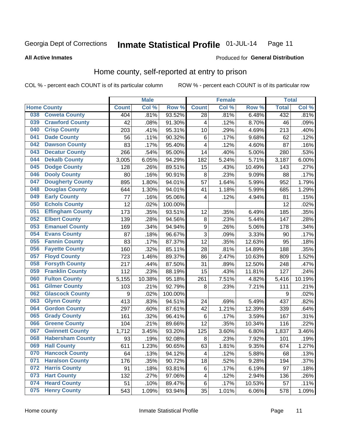#### Inmate Statistical Profile 01-JUL-14 Page 11

**All Active Inmates** 

### **Produced for General Distribution**

# Home county, self-reported at entry to prison

COL % - percent each COUNT is of its particular column

|     |                         |              | <b>Male</b> |                  |              | <b>Female</b> |                  | <b>Total</b> |        |
|-----|-------------------------|--------------|-------------|------------------|--------------|---------------|------------------|--------------|--------|
|     | <b>Home County</b>      | <b>Count</b> | Col %       | Row <sup>%</sup> | <b>Count</b> | Col %         | Row <sup>%</sup> | <b>Total</b> | Col %  |
| 038 | <b>Coweta County</b>    | 404          | .81%        | 93.52%           | 28           | .81%          | 6.48%            | 432          | .81%   |
| 039 | <b>Crawford County</b>  | 42           | .08%        | 91.30%           | 4            | .12%          | 8.70%            | 46           | .09%   |
| 040 | <b>Crisp County</b>     | 203          | .41%        | 95.31%           | 10           | .29%          | 4.69%            | 213          | .40%   |
| 041 | <b>Dade County</b>      | 56           | .11%        | 90.32%           | 6            | .17%          | 9.68%            | 62           | .12%   |
| 042 | <b>Dawson County</b>    | 83           | .17%        | 95.40%           | 4            | .12%          | 4.60%            | 87           | .16%   |
| 043 | <b>Decatur County</b>   | 266          | .54%        | 95.00%           | 14           | .40%          | 5.00%            | 280          | .53%   |
| 044 | <b>Dekalb County</b>    | 3,005        | 6.05%       | 94.29%           | 182          | 5.24%         | 5.71%            | 3,187        | 6.00%  |
| 045 | <b>Dodge County</b>     | 128          | .26%        | 89.51%           | 15           | .43%          | 10.49%           | 143          | .27%   |
| 046 | <b>Dooly County</b>     | 80           | .16%        | 90.91%           | 8            | .23%          | 9.09%            | 88           | .17%   |
| 047 | <b>Dougherty County</b> | 895          | 1.80%       | 94.01%           | 57           | 1.64%         | 5.99%            | 952          | 1.79%  |
| 048 | <b>Douglas County</b>   | 644          | 1.30%       | 94.01%           | 41           | 1.18%         | 5.99%            | 685          | 1.29%  |
| 049 | <b>Early County</b>     | 77           | .16%        | 95.06%           | 4            | .12%          | 4.94%            | 81           | .15%   |
| 050 | <b>Echols County</b>    | 12           | .02%        | 100.00%          |              |               |                  | 12           | .02%   |
| 051 | <b>Effingham County</b> | 173          | .35%        | 93.51%           | 12           | .35%          | 6.49%            | 185          | .35%   |
| 052 | <b>Elbert County</b>    | 139          | .28%        | 94.56%           | 8            | .23%          | 5.44%            | 147          | .28%   |
| 053 | <b>Emanuel County</b>   | 169          | .34%        | 94.94%           | 9            | .26%          | 5.06%            | 178          | .34%   |
| 054 | <b>Evans County</b>     | 87           | .18%        | 96.67%           | 3            | .09%          | 3.33%            | 90           | .17%   |
| 055 | <b>Fannin County</b>    | 83           | .17%        | 87.37%           | 12           | .35%          | 12.63%           | 95           | .18%   |
| 056 | <b>Fayette County</b>   | 160          | .32%        | 85.11%           | 28           | .81%          | 14.89%           | 188          | .35%   |
| 057 | <b>Floyd County</b>     | 723          | 1.46%       | 89.37%           | 86           | 2.47%         | 10.63%           | 809          | 1.52%  |
| 058 | <b>Forsyth County</b>   | 217          | .44%        | 87.50%           | 31           | .89%          | 12.50%           | 248          | .47%   |
| 059 | <b>Franklin County</b>  | 112          | .23%        | 88.19%           | 15           | .43%          | 11.81%           | 127          | .24%   |
| 060 | <b>Fulton County</b>    | 5,155        | 10.38%      | 95.18%           | 261          | 7.51%         | 4.82%            | 5,416        | 10.19% |
| 061 | <b>Gilmer County</b>    | 103          | .21%        | 92.79%           | 8            | .23%          | 7.21%            | 111          | .21%   |
| 062 | <b>Glascock County</b>  | 9            | .02%        | 100.00%          |              |               |                  | 9            | .02%   |
| 063 | <b>Glynn County</b>     | 413          | .83%        | 94.51%           | 24           | .69%          | 5.49%            | 437          | .82%   |
| 064 | <b>Gordon County</b>    | 297          | .60%        | 87.61%           | 42           | 1.21%         | 12.39%           | 339          | .64%   |
| 065 | <b>Grady County</b>     | 161          | .32%        | 96.41%           | 6            | .17%          | 3.59%            | 167          | .31%   |
| 066 | <b>Greene County</b>    | 104          | .21%        | 89.66%           | 12           | .35%          | 10.34%           | 116          | .22%   |
| 067 | <b>Gwinnett County</b>  | 1,712        | 3.45%       | 93.20%           | 125          | 3.60%         | 6.80%            | 1,837        | 3.46%  |
| 068 | <b>Habersham County</b> | 93           | .19%        | 92.08%           | 8            | .23%          | 7.92%            | 101          | .19%   |
| 069 | <b>Hall County</b>      | 611          | 1.23%       | 90.65%           | 63           | 1.81%         | 9.35%            | 674          | 1.27%  |
| 070 | <b>Hancock County</b>   | 64           | .13%        | 94.12%           | 4            | .12%          | 5.88%            | 68           | .13%   |
| 071 | <b>Haralson County</b>  | 176          | .35%        | 90.72%           | 18           | .52%          | 9.28%            | 194          | .37%   |
| 072 | <b>Harris County</b>    | 91           | .18%        | 93.81%           | 6            | .17%          | 6.19%            | 97           | .18%   |
| 073 | <b>Hart County</b>      | 132          | .27%        | 97.06%           | 4            | .12%          | 2.94%            | 136          | .26%   |
| 074 | <b>Heard County</b>     | 51           | .10%        | 89.47%           | $\,6$        | .17%          | 10.53%           | 57           | .11%   |
| 075 | <b>Henry County</b>     | 543          | 1.09%       | 93.94%           | 35           | 1.01%         | 6.06%            | 578          | 1.09%  |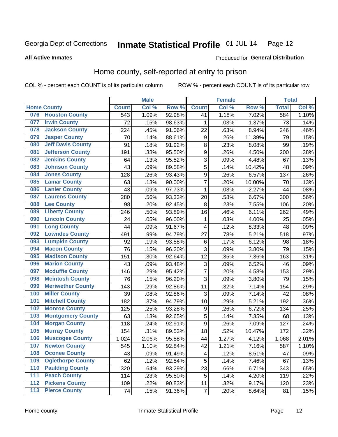#### Inmate Statistical Profile 01-JUL-14 Page 12

### **All Active Inmates**

# Produced for General Distribution

# Home county, self-reported at entry to prison

COL % - percent each COUNT is of its particular column

|     |                          |              | <b>Male</b> |        |                           | <b>Female</b> |        | <b>Total</b> |       |
|-----|--------------------------|--------------|-------------|--------|---------------------------|---------------|--------|--------------|-------|
|     | <b>Home County</b>       | <b>Count</b> | Col %       | Row %  | <b>Count</b>              | Col %         | Row %  | <b>Total</b> | Col % |
| 076 | <b>Houston County</b>    | 543          | 1.09%       | 92.98% | 41                        | 1.18%         | 7.02%  | 584          | 1.10% |
| 077 | <b>Irwin County</b>      | 72           | .15%        | 98.63% | 1                         | .03%          | 1.37%  | 73           | .14%  |
| 078 | <b>Jackson County</b>    | 224          | .45%        | 91.06% | 22                        | .63%          | 8.94%  | 246          | .46%  |
| 079 | <b>Jasper County</b>     | 70           | .14%        | 88.61% | 9                         | .26%          | 11.39% | 79           | .15%  |
| 080 | <b>Jeff Davis County</b> | 91           | .18%        | 91.92% | 8                         | .23%          | 8.08%  | 99           | .19%  |
| 081 | <b>Jefferson County</b>  | 191          | .38%        | 95.50% | $\boldsymbol{9}$          | .26%          | 4.50%  | 200          | .38%  |
| 082 | <b>Jenkins County</b>    | 64           | .13%        | 95.52% | $\overline{3}$            | .09%          | 4.48%  | 67           | .13%  |
| 083 | <b>Johnson County</b>    | 43           | .09%        | 89.58% | 5                         | .14%          | 10.42% | 48           | .09%  |
| 084 | <b>Jones County</b>      | 128          | .26%        | 93.43% | $\boldsymbol{9}$          | .26%          | 6.57%  | 137          | .26%  |
| 085 | <b>Lamar County</b>      | 63           | .13%        | 90.00% | $\overline{7}$            | .20%          | 10.00% | 70           | .13%  |
| 086 | <b>Lanier County</b>     | 43           | .09%        | 97.73% | $\mathbf 1$               | .03%          | 2.27%  | 44           | .08%  |
| 087 | <b>Laurens County</b>    | 280          | .56%        | 93.33% | 20                        | .58%          | 6.67%  | 300          | .56%  |
| 088 | <b>Lee County</b>        | 98           | .20%        | 92.45% | 8                         | .23%          | 7.55%  | 106          | .20%  |
| 089 | <b>Liberty County</b>    | 246          | .50%        | 93.89% | 16                        | .46%          | 6.11%  | 262          | .49%  |
| 090 | <b>Lincoln County</b>    | 24           | .05%        | 96.00% | $\mathbf 1$               | .03%          | 4.00%  | 25           | .05%  |
| 091 | <b>Long County</b>       | 44           | .09%        | 91.67% | 4                         | .12%          | 8.33%  | 48           | .09%  |
| 092 | <b>Lowndes County</b>    | 491          | .99%        | 94.79% | 27                        | .78%          | 5.21%  | 518          | .97%  |
| 093 | <b>Lumpkin County</b>    | 92           | .19%        | 93.88% | $\,6$                     | .17%          | 6.12%  | 98           | .18%  |
| 094 | <b>Macon County</b>      | 76           | .15%        | 96.20% | 3                         | .09%          | 3.80%  | 79           | .15%  |
| 095 | <b>Madison County</b>    | 151          | .30%        | 92.64% | 12                        | .35%          | 7.36%  | 163          | .31%  |
| 096 | <b>Marion County</b>     | 43           | .09%        | 93.48% | $\ensuremath{\mathsf{3}}$ | .09%          | 6.52%  | 46           | .09%  |
| 097 | <b>Mcduffie County</b>   | 146          | .29%        | 95.42% | $\overline{7}$            | .20%          | 4.58%  | 153          | .29%  |
| 098 | <b>Mcintosh County</b>   | 76           | .15%        | 96.20% | $\overline{3}$            | .09%          | 3.80%  | 79           | .15%  |
| 099 | <b>Meriwether County</b> | 143          | .29%        | 92.86% | 11                        | .32%          | 7.14%  | 154          | .29%  |
| 100 | <b>Miller County</b>     | 39           | .08%        | 92.86% | 3                         | .09%          | 7.14%  | 42           | .08%  |
| 101 | <b>Mitchell County</b>   | 182          | .37%        | 94.79% | 10                        | .29%          | 5.21%  | 192          | .36%  |
| 102 | <b>Monroe County</b>     | 125          | .25%        | 93.28% | $\boldsymbol{9}$          | .26%          | 6.72%  | 134          | .25%  |
| 103 | <b>Montgomery County</b> | 63           | .13%        | 92.65% | 5                         | .14%          | 7.35%  | 68           | .13%  |
| 104 | <b>Morgan County</b>     | 118          | .24%        | 92.91% | $\boldsymbol{9}$          | .26%          | 7.09%  | 127          | .24%  |
| 105 | <b>Murray County</b>     | 154          | .31%        | 89.53% | 18                        | .52%          | 10.47% | 172          | .32%  |
| 106 | <b>Muscogee County</b>   | 1,024        | 2.06%       | 95.88% | 44                        | 1.27%         | 4.12%  | 1,068        | 2.01% |
| 107 | <b>Newton County</b>     | 545          | 1.10%       | 92.84% | 42                        | 1.21%         | 7.16%  | 587          | 1.10% |
| 108 | <b>Oconee County</b>     | 43           | .09%        | 91.49% | 4                         | .12%          | 8.51%  | 47           | .09%  |
| 109 | <b>Oglethorpe County</b> | 62           | .12%        | 92.54% | 5                         | .14%          | 7.46%  | 67           | .13%  |
| 110 | <b>Paulding County</b>   | 320          | .64%        | 93.29% | 23                        | .66%          | 6.71%  | 343          | .65%  |
| 111 | <b>Peach County</b>      | 114          | .23%        | 95.80% | 5                         | .14%          | 4.20%  | 119          | .22%  |
| 112 | <b>Pickens County</b>    | 109          | .22%        | 90.83% | 11                        | .32%          | 9.17%  | 120          | .23%  |
| 113 | <b>Pierce County</b>     | 74           | .15%        | 91.36% | $\overline{7}$            | .20%          | 8.64%  | 81           | .15%  |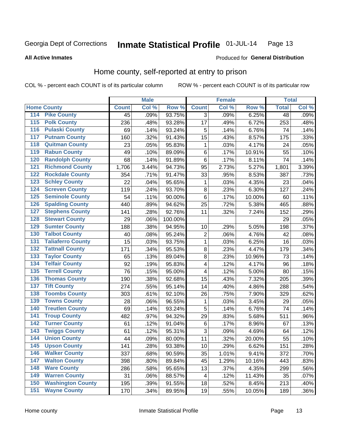#### Inmate Statistical Profile 01-JUL-14 Page 13

**All Active Inmates** 

### Produced for General Distribution

# Home county, self-reported at entry to prison

COL % - percent each COUNT is of its particular column

|                    |                          |              | <b>Male</b> |         |                         | <b>Female</b> |        | <b>Total</b>    |         |
|--------------------|--------------------------|--------------|-------------|---------|-------------------------|---------------|--------|-----------------|---------|
| <b>Home County</b> |                          | <b>Count</b> | Col %       | Row %   | <b>Count</b>            | Col %         | Row %  | <b>Total</b>    | Col %   |
| 114                | <b>Pike County</b>       | 45           | .09%        | 93.75%  | $\overline{3}$          | .09%          | 6.25%  | $\overline{48}$ | .09%    |
| 115                | <b>Polk County</b>       | 236          | .48%        | 93.28%  | 17                      | .49%          | 6.72%  | 253             | .48%    |
| 116                | <b>Pulaski County</b>    | 69           | .14%        | 93.24%  | 5                       | .14%          | 6.76%  | 74              | .14%    |
| 117                | <b>Putnam County</b>     | 160          | .32%        | 91.43%  | 15                      | .43%          | 8.57%  | 175             | .33%    |
| 118                | <b>Quitman County</b>    | 23           | .05%        | 95.83%  | 1                       | .03%          | 4.17%  | 24              | .05%    |
| 119                | <b>Rabun County</b>      | 49           | .10%        | 89.09%  | $\,6$                   | .17%          | 10.91% | 55              | .10%    |
| 120                | <b>Randolph County</b>   | 68           | .14%        | 91.89%  | $\,6$                   | .17%          | 8.11%  | 74              | .14%    |
| 121                | <b>Richmond County</b>   | 1,706        | 3.44%       | 94.73%  | 95                      | 2.73%         | 5.27%  | 1,801           | 3.39%   |
| 122                | <b>Rockdale County</b>   | 354          | .71%        | 91.47%  | 33                      | .95%          | 8.53%  | 387             | .73%    |
| 123                | <b>Schley County</b>     | 22           | .04%        | 95.65%  | 1                       | .03%          | 4.35%  | 23              | .04%    |
| 124                | <b>Screven County</b>    | 119          | .24%        | 93.70%  | $\bf 8$                 | .23%          | 6.30%  | 127             | .24%    |
| 125                | <b>Seminole County</b>   | 54           | .11%        | 90.00%  | $\,6$                   | .17%          | 10.00% | 60              | .11%    |
| 126                | <b>Spalding County</b>   | 440          | .89%        | 94.62%  | 25                      | .72%          | 5.38%  | 465             | .88%    |
| 127                | <b>Stephens County</b>   | 141          | .28%        | 92.76%  | 11                      | .32%          | 7.24%  | 152             | .29%    |
| 128                | <b>Stewart County</b>    | 29           | .06%        | 100.00% |                         |               |        | 29              | .05%    |
| 129                | <b>Sumter County</b>     | 188          | .38%        | 94.95%  | 10                      | .29%          | 5.05%  | 198             | .37%    |
| 130                | <b>Talbot County</b>     | 40           | .08%        | 95.24%  | $\overline{c}$          | .06%          | 4.76%  | 42              | .08%    |
| 131                | <b>Taliaferro County</b> | 15           | .03%        | 93.75%  | $\mathbf{1}$            | .03%          | 6.25%  | 16              | .03%    |
| 132                | <b>Tattnall County</b>   | 171          | .34%        | 95.53%  | $\bf 8$                 | .23%          | 4.47%  | 179             | .34%    |
| 133                | <b>Taylor County</b>     | 65           | .13%        | 89.04%  | 8                       | .23%          | 10.96% | 73              | .14%    |
| 134                | <b>Telfair County</b>    | 92           | .19%        | 95.83%  | $\overline{\mathbf{4}}$ | .12%          | 4.17%  | 96              | .18%    |
| 135                | <b>Terrell County</b>    | 76           | .15%        | 95.00%  | $\overline{\mathbf{4}}$ | .12%          | 5.00%  | 80              | .15%    |
| 136                | <b>Thomas County</b>     | 190          | .38%        | 92.68%  | 15                      | .43%          | 7.32%  | 205             | .39%    |
| 137                | <b>Tift County</b>       | 274          | .55%        | 95.14%  | 14                      | .40%          | 4.86%  | 288             | .54%    |
| 138                | <b>Toombs County</b>     | 303          | .61%        | 92.10%  | 26                      | .75%          | 7.90%  | 329             | .62%    |
| 139                | <b>Towns County</b>      | 28           | .06%        | 96.55%  | 1                       | .03%          | 3.45%  | 29              | .05%    |
| 140                | <b>Treutlen County</b>   | 69           | .14%        | 93.24%  | 5                       | .14%          | 6.76%  | 74              | .14%    |
| 141                | <b>Troup County</b>      | 482          | .97%        | 94.32%  | 29                      | .83%          | 5.68%  | 511             | .96%    |
| $\overline{142}$   | <b>Turner County</b>     | 61           | .12%        | 91.04%  | $\,6$                   | .17%          | 8.96%  | 67              | .13%    |
| 143                | <b>Twiggs County</b>     | 61           | .12%        | 95.31%  | 3                       | .09%          | 4.69%  | 64              | .12%    |
| 144                | <b>Union County</b>      | 44           | .09%        | 80.00%  | 11                      | .32%          | 20.00% | 55              | .10%    |
| 145                | <b>Upson County</b>      | 141          | .28%        | 93.38%  | 10                      | .29%          | 6.62%  | 151             | .28%    |
| 146                | <b>Walker County</b>     | 337          | .68%        | 90.59%  | 35                      | 1.01%         | 9.41%  | 372             | .70%    |
| 147                | <b>Walton County</b>     | 398          | .80%        | 89.84%  | 45                      | 1.29%         | 10.16% | 443             | .83%    |
| 148                | <b>Ware County</b>       | 286          | .58%        | 95.65%  | 13                      | .37%          | 4.35%  | 299             | .56%    |
| 149                | <b>Warren County</b>     | 31           | .06%        | 88.57%  | 4                       | .12%          | 11.43% | 35              | .07%    |
| 150                | <b>Washington County</b> | 195          | .39%        | 91.55%  | 18                      | .52%          | 8.45%  | 213             | .40%    |
| 151                | <b>Wayne County</b>      | 170          | .34%        | 89.95%  | 19                      | .55%          | 10.05% | 189             | $.36\%$ |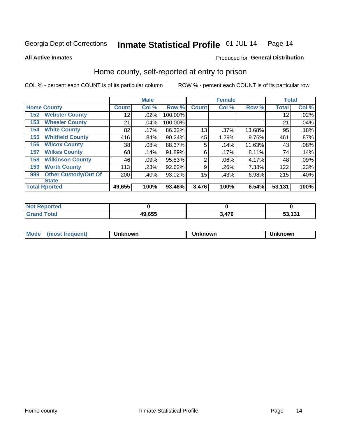#### Inmate Statistical Profile 01-JUL-14 Page 14

**All Active Inmates** 

## **Produced for General Distribution**

# Home county, self-reported at entry to prison

COL % - percent each COUNT is of its particular column

|     |                             |              | <b>Male</b> |         |              | <b>Female</b> |        | <b>Total</b> |       |
|-----|-----------------------------|--------------|-------------|---------|--------------|---------------|--------|--------------|-------|
|     | <b>Home County</b>          | <b>Count</b> | Col %       | Row %   | <b>Count</b> | Col %         | Row %  | <b>Total</b> | Col % |
| 152 | <b>Webster County</b>       | 12           | .02%        | 100.00% |              |               |        | 12           | .02%  |
| 153 | <b>Wheeler County</b>       | 21           | .04%        | 100.00% |              |               |        | 21           | .04%  |
| 154 | <b>White County</b>         | 82           | .17%        | 86.32%  | 13           | .37%          | 13.68% | 95           | .18%  |
| 155 | <b>Whitfield County</b>     | 416          | .84%        | 90.24%  | 45           | 1.29%         | 9.76%  | 461          | .87%  |
| 156 | <b>Wilcox County</b>        | 38           | .08%        | 88.37%  | 5            | .14%          | 11.63% | 43           | .08%  |
| 157 | <b>Wilkes County</b>        | 68           | .14%        | 91.89%  | 6            | .17%          | 8.11%  | 74           | .14%  |
| 158 | <b>Wilkinson County</b>     | 46           | .09%        | 95.83%  | 2            | .06%          | 4.17%  | 48           | .09%  |
| 159 | <b>Worth County</b>         | 113          | .23%        | 92.62%  | 9            | .26%          | 7.38%  | 122          | .23%  |
| 999 | <b>Other Custody/Out Of</b> | 200          | .40%        | 93.02%  | 15           | .43%          | 6.98%  | 215          | .40%  |
|     | <b>State</b>                |              |             |         |              |               |        |              |       |
|     | <b>Total Rported</b>        | 49,655       | 100%        | 93.46%  | 3,476        | 100%          | 6.54%  | 53,131       | 100%  |

| Reported<br>NOI |        |              |                              |
|-----------------|--------|--------------|------------------------------|
| <b>Total</b>    | 49,655 | 17C<br>$+10$ | <b>52424</b><br>1 J I<br>- - |

| Mode<br><b>Tequent)</b><br>ns | nown | mown | เทown |
|-------------------------------|------|------|-------|
|                               |      |      |       |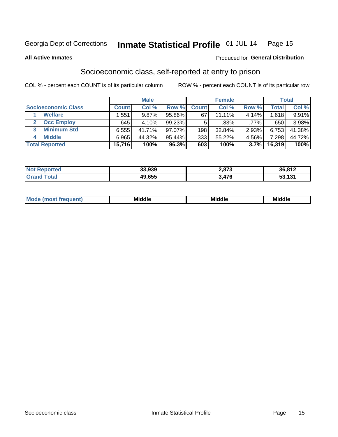#### Inmate Statistical Profile 01-JUL-14 Page 15

**All Active Inmates** 

### **Produced for General Distribution**

# Socioeconomic class, self-reported at entry to prison

COL % - percent each COUNT is of its particular column

|                            |              | <b>Male</b> |        |              | <b>Female</b> |         |        | <b>Total</b> |
|----------------------------|--------------|-------------|--------|--------------|---------------|---------|--------|--------------|
| <b>Socioeconomic Class</b> | <b>Count</b> | Col %       | Row %  | <b>Count</b> | Col %         | Row %   | Total  | Col %        |
| <b>Welfare</b>             | .551         | $9.87\%$    | 95.86% | 67           | 11.11%        | 4.14%   | 1,618  | 9.91%        |
| <b>Occ Employ</b>          | 645          | $4.10\%$    | 99.23% |              | .83%          | $.77\%$ | 650    | 3.98%        |
| <b>Minimum Std</b><br>3    | 6,555        | 41.71%      | 97.07% | 198          | 32.84%        | 2.93%   | 6,753  | 41.38%       |
| <b>Middle</b>              | 6,965        | 44.32%      | 95.44% | 333          | 55.22%        | 4.56%   | 7,298  | 44.72%       |
| <b>Total Reported</b>      | 15,716       | 100%        | 96.3%  | 603          | 100%          | 3.7%    | 16,319 | 100%         |

| Reported<br>NOT F | 33,939 | 2,873 | 36,812            |
|-------------------|--------|-------|-------------------|
|                   | 49,655 | .476  | E9 494<br>ರು. IJ. |

| ____<br>____ |
|--------------|
|--------------|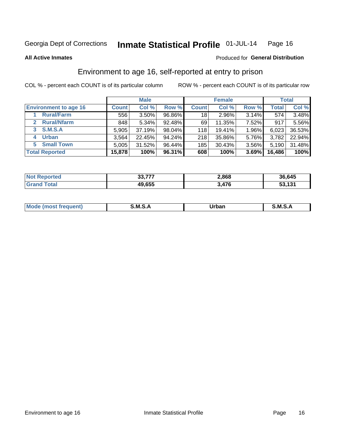#### Inmate Statistical Profile 01-JUL-14 Page 16

**All Active Inmates** 

### Produced for General Distribution

# Environment to age 16, self-reported at entry to prison

COL % - percent each COUNT is of its particular column

|                                    |              | <b>Male</b> |        |              | <b>Female</b> |       |        | <b>Total</b> |
|------------------------------------|--------------|-------------|--------|--------------|---------------|-------|--------|--------------|
| <b>Environment to age 16</b>       | <b>Count</b> | Col %       | Row %  | <b>Count</b> | Col %         | Row % | Total  | Col %        |
| <b>Rural/Farm</b>                  | 556          | $3.50\%$    | 96.86% | 18 I         | 2.96%         | 3.14% | 574    | 3.48%        |
| <b>Rural/Nfarm</b><br>$\mathbf{2}$ | 848          | 5.34%       | 92.48% | 69           | 11.35%        | 7.52% | 917    | 5.56%        |
| 3 S.M.S.A                          | 5,905        | 37.19%      | 98.04% | 118          | 19.41%        | 1.96% | 6,023  | 36.53%       |
| <b>Urban</b><br>4                  | 3,564        | 22.45%      | 94.24% | 218          | 35.86%        | 5.76% | 3,782  | 22.94%       |
| 5 Small Town                       | 5,005        | 31.52%      | 96.44% | 185          | 30.43%        | 3.56% | 5,190  | 31.48%       |
| <b>Total Reported</b>              | 15,878       | 100%        | 96.31% | 608          | 100%          | 3.69% | 16,486 | 100%         |

| <b>Not Reported</b> | 22.777<br><b>JJ.</b> II. | 2,868 | 36,645 |
|---------------------|--------------------------|-------|--------|
| <b>Grand Total</b>  | 49,655                   | 476.د | 53,131 |

| Mo | M | Irhan<br>rva<br>______ | M<br>______ |
|----|---|------------------------|-------------|
|    |   |                        |             |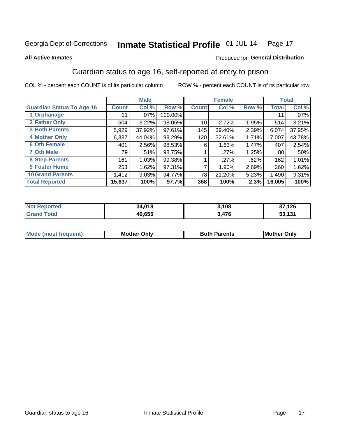#### Inmate Statistical Profile 01-JUL-14 Page 17

**All Active Inmates** 

### Produced for General Distribution

# Guardian status to age 16, self-reported at entry to prison

COL % - percent each COUNT is of its particular column

|                                  |              | <b>Male</b> |         |              | <b>Female</b> |       |        | <b>Total</b> |
|----------------------------------|--------------|-------------|---------|--------------|---------------|-------|--------|--------------|
| <b>Guardian Status To Age 16</b> | <b>Count</b> | Col %       | Row %   | <b>Count</b> | Col %         | Row % | Total  | Col %        |
| 1 Orphanage                      | 11           | $.07\%$     | 100.00% |              |               |       | 11     | .07%         |
| 2 Father Only                    | 504          | 3.22%       | 98.05%  | 10           | 2.72%         | 1.95% | 514    | 3.21%        |
| <b>3 Both Parents</b>            | 5,929        | 37.92%      | 97.61%  | 145          | 39.40%        | 2.39% | 6,074  | 37.95%       |
| <b>4 Mother Only</b>             | 6,887        | 44.04%      | 98.29%  | 120          | 32.61%        | 1.71% | 7,007  | 43.78%       |
| <b>6 Oth Female</b>              | 401          | 2.56%       | 98.53%  | 6            | 1.63%         | 1.47% | 407    | 2.54%        |
| <b>7 Oth Male</b>                | 79           | .51%        | 98.75%  |              | .27%          | 1.25% | 80     | .50%         |
| 8 Step-Parents                   | 161          | 1.03%       | 99.38%  |              | $.27\%$       | .62%  | 162    | 1.01%        |
| 9 Foster Home                    | 253          | 1.62%       | 97.31%  | ⇁            | 1.90%         | 2.69% | 260    | 1.62%        |
| <b>10 Grand Parents</b>          | 1,412        | 9.03%       | 94.77%  | 78           | 21.20%        | 5.23% | 1,490  | 9.31%        |
| <b>Total Reported</b>            | 15,637       | 100%        | 97.7%   | 368          | 100%          | 2.3%  | 16,005 | 100%         |

| <b>Not</b><br><b>Reported</b> | 34,018 | 3,108 | ,126<br>57             |
|-------------------------------|--------|-------|------------------------|
| Total                         | 49.655 | 3,476 | E2A24<br><b>JJ, JJ</b> |

| Mode | วทIv<br>Mot | <b>Both Parents</b><br>Parents | lM.<br>Only<br>. |
|------|-------------|--------------------------------|------------------|
|      |             |                                |                  |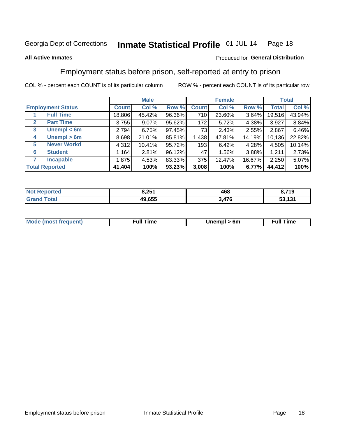#### Inmate Statistical Profile 01-JUL-14 Page 18

### **All Active Inmates**

### Produced for General Distribution

# Employment status before prison, self-reported at entry to prison

COL % - percent each COUNT is of its particular column

|                                  |         | <b>Male</b> |        |              | <b>Female</b> |        |        | <b>Total</b> |
|----------------------------------|---------|-------------|--------|--------------|---------------|--------|--------|--------------|
| <b>Employment Status</b>         | Count l | Col %       | Row %  | <b>Count</b> | Col %         | Row %  | Total  | Col %        |
| <b>Full Time</b>                 | 18,806  | 45.42%      | 96.36% | 710          | 23.60%        | 3.64%  | 19,516 | 43.94%       |
| <b>Part Time</b><br>$\mathbf{2}$ | 3,755   | $9.07\%$    | 95.62% | 172          | 5.72%         | 4.38%  | 3,927  | 8.84%        |
| Unempl $<$ 6m<br>3               | 2,794   | 6.75%       | 97.45% | 73           | 2.43%         | 2.55%  | 2,867  | 6.46%        |
| Unempl > 6m<br>4                 | 8,698   | 21.01%      | 85.81% | 1,438        | 47.81%        | 14.19% | 10,136 | 22.82%       |
| <b>Never Workd</b><br>5          | 4,312   | 10.41%      | 95.72% | 193          | 6.42%         | 4.28%  | 4,505  | 10.14%       |
| <b>Student</b><br>6              | 1,164   | 2.81%       | 96.12% | 47           | 1.56%         | 3.88%  | 1,211  | 2.73%        |
| <b>Incapable</b>                 | 1,875   | 4.53%       | 83.33% | 375          | 12.47%        | 16.67% | 2,250  | 5.07%        |
| <b>Total Reported</b>            | 41,404  | 100%        | 93.23% | 3,008        | 100%          | 6.77%  | 44,412 | 100%         |

| rted<br>NO | 8,251  | 468 | ,719             |
|------------|--------|-----|------------------|
| $\sim$ 10  | 49.655 | 17C | 52 121<br>33.IJ. |

| <b>Moo.</b><br><b>THOST</b> | the contract of the contract of the contract of the contract of the contract of the contract of the contract of the contract of the contract of the contract of the contract of the contract of the contract of the contract o | 6m | ıme |
|-----------------------------|--------------------------------------------------------------------------------------------------------------------------------------------------------------------------------------------------------------------------------|----|-----|
|                             |                                                                                                                                                                                                                                |    |     |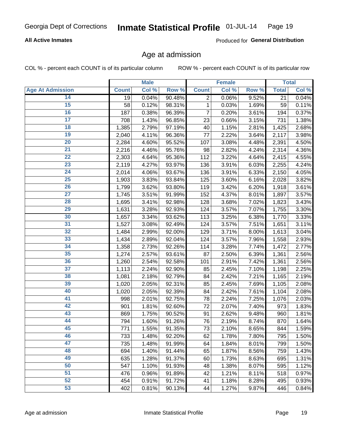## **All Active Inmates**

Produced for General Distribution

# Age at admission

COL % - percent each COUNT is of its particular column

|                         |              | <b>Male</b> |        |                | <b>Female</b> |       |              | <b>Total</b> |
|-------------------------|--------------|-------------|--------|----------------|---------------|-------|--------------|--------------|
| <b>Age At Admission</b> | <b>Count</b> | Col %       | Row %  | <b>Count</b>   | Col %         | Row % | <b>Total</b> | Col %        |
| 14                      | 19           | 0.04%       | 90.48% | $\overline{2}$ | 0.06%         | 9.52% | 21           | 0.04%        |
| 15                      | 58           | 0.12%       | 98.31% | 1              | 0.03%         | 1.69% | 59           | 0.11%        |
| 16                      | 187          | 0.38%       | 96.39% | 7              | 0.20%         | 3.61% | 194          | 0.37%        |
| $\overline{17}$         | 708          | 1.43%       | 96.85% | 23             | 0.66%         | 3.15% | 731          | 1.38%        |
| $\overline{18}$         | 1,385        | 2.79%       | 97.19% | 40             | 1.15%         | 2.81% | 1,425        | 2.68%        |
| 19                      | 2,040        | 4.11%       | 96.36% | 77             | 2.22%         | 3.64% | 2,117        | 3.98%        |
| 20                      | 2,284        | 4.60%       | 95.52% | 107            | 3.08%         | 4.48% | 2,391        | 4.50%        |
| $\overline{21}$         | 2,216        | 4.46%       | 95.76% | 98             | 2.82%         | 4.24% | 2,314        | 4.36%        |
| $\overline{22}$         | 2,303        | 4.64%       | 95.36% | 112            | 3.22%         | 4.64% | 2,415        | 4.55%        |
| 23                      | 2,119        | 4.27%       | 93.97% | 136            | 3.91%         | 6.03% | 2,255        | 4.24%        |
| 24                      | 2,014        | 4.06%       | 93.67% | 136            | 3.91%         | 6.33% | 2,150        | 4.05%        |
| $\overline{25}$         | 1,903        | 3.83%       | 93.84% | 125            | 3.60%         | 6.16% | 2,028        | 3.82%        |
| $\overline{26}$         | 1,799        | 3.62%       | 93.80% | 119            | 3.42%         | 6.20% | 1,918        | 3.61%        |
| $\overline{27}$         | 1,745        | 3.51%       | 91.99% | 152            | 4.37%         | 8.01% | 1,897        | 3.57%        |
| 28                      | 1,695        | 3.41%       | 92.98% | 128            | 3.68%         | 7.02% | 1,823        | 3.43%        |
| 29                      | 1,631        | 3.28%       | 92.93% | 124            | 3.57%         | 7.07% | 1,755        | 3.30%        |
| 30                      | 1,657        | 3.34%       | 93.62% | 113            | 3.25%         | 6.38% | 1,770        | 3.33%        |
| 31                      | 1,527        | 3.08%       | 92.49% | 124            | 3.57%         | 7.51% | 1,651        | 3.11%        |
| 32                      | 1,484        | 2.99%       | 92.00% | 129            | 3.71%         | 8.00% | 1,613        | 3.04%        |
| 33                      | 1,434        | 2.89%       | 92.04% | 124            | 3.57%         | 7.96% | 1,558        | 2.93%        |
| 34                      | 1,358        | 2.73%       | 92.26% | 114            | 3.28%         | 7.74% | 1,472        | 2.77%        |
| 35                      | 1,274        | 2.57%       | 93.61% | 87             | 2.50%         | 6.39% | 1,361        | 2.56%        |
| 36                      | 1,260        | 2.54%       | 92.58% | 101            | 2.91%         | 7.42% | 1,361        | 2.56%        |
| $\overline{37}$         | 1,113        | 2.24%       | 92.90% | 85             | 2.45%         | 7.10% | 1,198        | 2.25%        |
| 38                      | 1,081        | 2.18%       | 92.79% | 84             | 2.42%         | 7.21% | 1,165        | 2.19%        |
| 39                      | 1,020        | 2.05%       | 92.31% | 85             | 2.45%         | 7.69% | 1,105        | 2.08%        |
| 40                      | 1,020        | 2.05%       | 92.39% | 84             | 2.42%         | 7.61% | 1,104        | 2.08%        |
| 41                      | 998          | 2.01%       | 92.75% | 78             | 2.24%         | 7.25% | 1,076        | 2.03%        |
| 42                      | 901          | 1.81%       | 92.60% | 72             | 2.07%         | 7.40% | 973          | 1.83%        |
| 43                      | 869          | 1.75%       | 90.52% | 91             | 2.62%         | 9.48% | 960          | 1.81%        |
| 44                      | 794          | 1.60%       | 91.26% | 76             | 2.19%         | 8.74% | 870          | 1.64%        |
| 45                      | 771          | 1.55%       | 91.35% | 73             | 2.10%         | 8.65% | 844          | 1.59%        |
| 46                      | 733          | 1.48%       | 92.20% | 62             | 1.78%         | 7.80% | 795          | 1.50%        |
| 47                      | 735          | 1.48%       | 91.99% | 64             | 1.84%         | 8.01% | 799          | 1.50%        |
| 48                      | 694          | 1.40%       | 91.44% | 65             | 1.87%         | 8.56% | 759          | 1.43%        |
| 49                      | 635          | 1.28%       | 91.37% | 60             | 1.73%         | 8.63% | 695          | 1.31%        |
| 50                      | 547          | 1.10%       | 91.93% | 48             | 1.38%         | 8.07% | 595          | 1.12%        |
| 51                      | 476          | 0.96%       | 91.89% | 42             | 1.21%         | 8.11% | 518          | 0.97%        |
| 52                      | 454          | 0.91%       | 91.72% | 41             | 1.18%         | 8.28% | 495          | 0.93%        |
| 53                      | 402          | 0.81%       | 90.13% | 44             | 1.27%         | 9.87% | 446          | 0.84%        |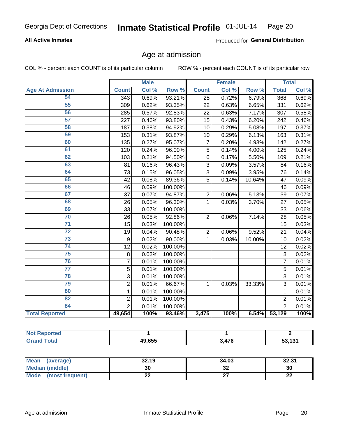## **All Active Inmates**

Produced for General Distribution

# Age at admission

COL % - percent each COUNT is of its particular column

|                         | <b>Male</b>    |       | <b>Female</b> |                |       | <b>Total</b> |                |       |
|-------------------------|----------------|-------|---------------|----------------|-------|--------------|----------------|-------|
| <b>Age At Admission</b> | <b>Count</b>   | Col % | Row %         | <b>Count</b>   | Col % | Row %        | <b>Total</b>   | Col % |
| 54                      | 343            | 0.69% | 93.21%        | 25             | 0.72% | 6.79%        | 368            | 0.69% |
| $\overline{55}$         | 309            | 0.62% | 93.35%        | 22             | 0.63% | 6.65%        | 331            | 0.62% |
| 56                      | 285            | 0.57% | 92.83%        | 22             | 0.63% | 7.17%        | 307            | 0.58% |
| $\overline{57}$         | 227            | 0.46% | 93.80%        | 15             | 0.43% | 6.20%        | 242            | 0.46% |
| 58                      | 187            | 0.38% | 94.92%        | 10             | 0.29% | 5.08%        | 197            | 0.37% |
| 59                      | 153            | 0.31% | 93.87%        | 10             | 0.29% | 6.13%        | 163            | 0.31% |
| 60                      | 135            | 0.27% | 95.07%        | $\overline{7}$ | 0.20% | 4.93%        | 142            | 0.27% |
| 61                      | 120            | 0.24% | 96.00%        | $\overline{5}$ | 0.14% | 4.00%        | 125            | 0.24% |
| 62                      | 103            | 0.21% | 94.50%        | 6              | 0.17% | 5.50%        | 109            | 0.21% |
| 63                      | 81             | 0.16% | 96.43%        | 3              | 0.09% | 3.57%        | 84             | 0.16% |
| 64                      | 73             | 0.15% | 96.05%        | $\overline{3}$ | 0.09% | 3.95%        | 76             | 0.14% |
| 65                      | 42             | 0.08% | 89.36%        | 5              | 0.14% | 10.64%       | 47             | 0.09% |
| 66                      | 46             | 0.09% | 100.00%       |                |       |              | 46             | 0.09% |
| 67                      | 37             | 0.07% | 94.87%        | $\overline{2}$ | 0.06% | 5.13%        | 39             | 0.07% |
| 68                      | 26             | 0.05% | 96.30%        | $\mathbf 1$    | 0.03% | 3.70%        | 27             | 0.05% |
| 69                      | 33             | 0.07% | 100.00%       |                |       |              | 33             | 0.06% |
| 70                      | 26             | 0.05% | 92.86%        | $\overline{2}$ | 0.06% | 7.14%        | 28             | 0.05% |
| $\overline{71}$         | 15             | 0.03% | 100.00%       |                |       |              | 15             | 0.03% |
| $\overline{72}$         | 19             | 0.04% | 90.48%        | $\overline{2}$ | 0.06% | 9.52%        | 21             | 0.04% |
| 73                      | 9              | 0.02% | 90.00%        | 1              | 0.03% | 10.00%       | 10             | 0.02% |
| $\overline{74}$         | 12             | 0.02% | 100.00%       |                |       |              | 12             | 0.02% |
| $\overline{75}$         | 8              | 0.02% | 100.00%       |                |       |              | 8              | 0.02% |
| 76                      | $\overline{7}$ | 0.01% | 100.00%       |                |       |              | $\overline{7}$ | 0.01% |
| $\overline{77}$         | 5              | 0.01% | 100.00%       |                |       |              | $\overline{5}$ | 0.01% |
| 78                      | 3              | 0.01% | 100.00%       |                |       |              | 3              | 0.01% |
| 79                      | $\overline{2}$ | 0.01% | 66.67%        | 1              | 0.03% | 33.33%       | 3              | 0.01% |
| 80                      | $\mathbf 1$    | 0.01% | 100.00%       |                |       |              | $\mathbf{1}$   | 0.01% |
| 82                      | $\overline{2}$ | 0.01% | 100.00%       |                |       |              | $\overline{2}$ | 0.01% |
| 84                      | $\overline{2}$ | 0.01% | 100.00%       |                |       |              | $\overline{2}$ | 0.01% |
| <b>Total Reported</b>   | 49,654         | 100%  | 93.46%        | 3,475          | 100%  |              | 6.54% 53,129   | 100%  |

| e ported<br><b>NOT</b> |        |       |        |
|------------------------|--------|-------|--------|
| <b>Tota</b>            | 49,655 | 3,476 | 53,131 |

| Mean (average)         | 32.19 | 34.03    | 32.31   |
|------------------------|-------|----------|---------|
| <b>Median (middle)</b> | 30    | ^^<br>JZ | 30      |
| Mode (most frequent)   | LL    |          | ົ<br>LL |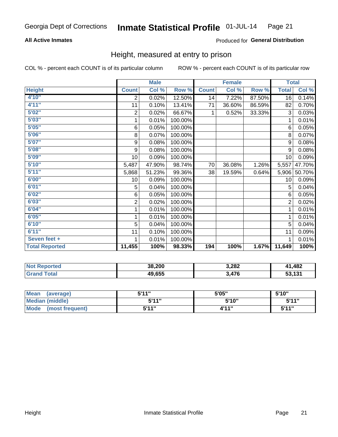## **All Active Inmates**

### Produced for General Distribution

# Height, measured at entry to prison

COL % - percent each COUNT is of its particular column

|                       | <b>Male</b>     |        |         | <b>Female</b> |        |        | <b>Total</b>   |          |
|-----------------------|-----------------|--------|---------|---------------|--------|--------|----------------|----------|
| <b>Height</b>         | <b>Count</b>    | Col %  | Row %   | <b>Count</b>  | Col %  | Row %  | <b>Total</b>   | Col %    |
| 4'10"                 | 2               | 0.02%  | 12.50%  | 14            | 7.22%  | 87.50% | 16             | 0.14%    |
| 4'11''                | 11              | 0.10%  | 13.41%  | 71            | 36.60% | 86.59% | 82             | 0.70%    |
| 5'02"                 | $\overline{2}$  | 0.02%  | 66.67%  | 1             | 0.52%  | 33.33% | 3              | 0.03%    |
| 5'03''                | 1               | 0.01%  | 100.00% |               |        |        | 1              | 0.01%    |
| 5'05''                | $\,6\,$         | 0.05%  | 100.00% |               |        |        | 6              | 0.05%    |
| 5'06''                | 8               | 0.07%  | 100.00% |               |        |        | 8              | 0.07%    |
| 5'07''                | 9               | 0.08%  | 100.00% |               |        |        | 9              | 0.08%    |
| 5'08''                | 9               | 0.08%  | 100.00% |               |        |        | 9              | 0.08%    |
| 5'09''                | 10 <sup>1</sup> | 0.09%  | 100.00% |               |        |        | 10             | 0.09%    |
| 5'10''                | 5,487           | 47.90% | 98.74%  | 70            | 36.08% | 1.26%  | 5,557          | 47.70%   |
| 5'11''                | 5,868           | 51.23% | 99.36%  | 38            | 19.59% | 0.64%  | 5,906          | 50.70%   |
| 6'00''                | 10              | 0.09%  | 100.00% |               |        |        | 10             | 0.09%    |
| 6'01''                | 5               | 0.04%  | 100.00% |               |        |        | 5              | 0.04%    |
| 6'02''                | $\,6$           | 0.05%  | 100.00% |               |        |        | 6              | 0.05%    |
| 6'03''                | 2               | 0.02%  | 100.00% |               |        |        | $\overline{2}$ | 0.02%    |
| 6'04''                | 1               | 0.01%  | 100.00% |               |        |        | 1              | 0.01%    |
| 6'05''                | 1               | 0.01%  | 100.00% |               |        |        | 1              | 0.01%    |
| 6'10''                | 5               | 0.04%  | 100.00% |               |        |        | 5              | 0.04%    |
| 6'11''                | 11              | 0.10%  | 100.00% |               |        |        | 11             | 0.09%    |
| Seven feet +          | 1               | 0.01%  | 100.00% |               |        |        |                | $0.01\%$ |
| <b>Total Reported</b> | 11,455          | 100%   | 98.33%  | 194           | 100%   | 1.67%  | 11,649         | 100%     |

| <b>Not Reported</b> | 38,200 | 3,282 | 1,482<br>$\overline{11}$ |
|---------------------|--------|-------|--------------------------|
| Total               | 49,655 | ,476  | 53,131                   |

| <b>Mean</b><br>(average) | <b>5'14"</b> | 5'05" | 5'10" |
|--------------------------|--------------|-------|-------|
| Median (middle)          | 544"         | 5'10" | 5'11" |
| Mode<br>(most frequent)  | 544 "        | 4'11" | 544"  |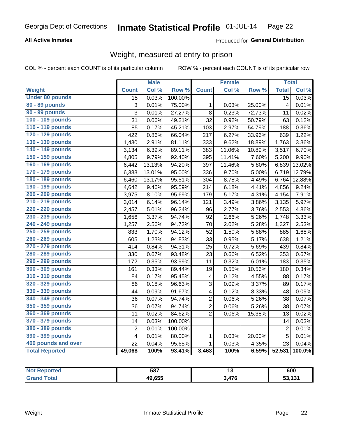## **All Active Inmates**

### Produced for General Distribution

# Weight, measured at entry to prison

COL % - percent each COUNT is of its particular column

|                        |                         | <b>Male</b> |                  |                         | <b>Female</b> |        | <b>Total</b>    |        |
|------------------------|-------------------------|-------------|------------------|-------------------------|---------------|--------|-----------------|--------|
| Weight                 | <b>Count</b>            | Col %       | Row <sup>%</sup> | <b>Count</b>            | Col %         | Row %  | <b>Total</b>    | Col %  |
| <b>Under 80 pounds</b> | $\overline{15}$         | 0.03%       | 100.00%          |                         |               |        | $\overline{15}$ | 0.03%  |
| 80 - 89 pounds         | 3                       | 0.01%       | 75.00%           | 1                       | 0.03%         | 25.00% | $\overline{4}$  | 0.01%  |
| 90 - 99 pounds         | $\overline{3}$          | 0.01%       | 27.27%           | 8                       | 0.23%         | 72.73% | 11              | 0.02%  |
| 100 - 109 pounds       | 31                      | 0.06%       | 49.21%           | 32                      | 0.92%         | 50.79% | 63              | 0.12%  |
| 110 - 119 pounds       | 85                      | 0.17%       | 45.21%           | 103                     | 2.97%         | 54.79% | 188             | 0.36%  |
| 120 - 129 pounds       | 422                     | 0.86%       | 66.04%           | 217                     | 6.27%         | 33.96% | 639             | 1.22%  |
| 130 - 139 pounds       | 1,430                   | 2.91%       | 81.11%           | 333                     | 9.62%         | 18.89% | 1,763           | 3.36%  |
| 140 - 149 pounds       | 3,134                   | 6.39%       | 89.11%           | 383                     | 11.06%        | 10.89% | 3,517           | 6.70%  |
| 150 - 159 pounds       | 4,805                   | 9.79%       | 92.40%           | 395                     | 11.41%        | 7.60%  | 5,200           | 9.90%  |
| 160 - 169 pounds       | 6,442                   | 13.13%      | 94.20%           | 397                     | 11.46%        | 5.80%  | 6,839           | 13.02% |
| 170 - 179 pounds       | 6,383                   | 13.01%      | 95.00%           | 336                     | 9.70%         | 5.00%  | 6,719           | 12.79% |
| 180 - 189 pounds       | 6,460                   | 13.17%      | 95.51%           | 304                     | 8.78%         | 4.49%  | 6,764           | 12.88% |
| 190 - 199 pounds       | 4,642                   | 9.46%       | 95.59%           | 214                     | 6.18%         | 4.41%  | 4,856           | 9.24%  |
| 200 - 209 pounds       | 3,975                   | 8.10%       | 95.69%           | 179                     | 5.17%         | 4.31%  | 4,154           | 7.91%  |
| 210 - 219 pounds       | 3,014                   | 6.14%       | 96.14%           | 121                     | 3.49%         | 3.86%  | 3,135           | 5.97%  |
| 220 - 229 pounds       | 2,457                   | 5.01%       | 96.24%           | 96                      | 2.77%         | 3.76%  | 2,553           | 4.86%  |
| 230 - 239 pounds       | 1,656                   | 3.37%       | 94.74%           | 92                      | 2.66%         | 5.26%  | 1,748           | 3.33%  |
| 240 - 249 pounds       | $\overline{1,257}$      | 2.56%       | 94.72%           | 70                      | 2.02%         | 5.28%  | 1,327           | 2.53%  |
| 250 - 259 pounds       | 833                     | 1.70%       | 94.12%           | 52                      | 1.50%         | 5.88%  | 885             | 1.68%  |
| 260 - 269 pounds       | 605                     | 1.23%       | 94.83%           | 33                      | 0.95%         | 5.17%  | 638             | 1.21%  |
| 270 - 279 pounds       | 414                     | 0.84%       | 94.31%           | 25                      | 0.72%         | 5.69%  | 439             | 0.84%  |
| 280 - 289 pounds       | 330                     | 0.67%       | 93.48%           | 23                      | 0.66%         | 6.52%  | 353             | 0.67%  |
| 290 - 299 pounds       | 172                     | 0.35%       | 93.99%           | 11                      | 0.32%         | 6.01%  | 183             | 0.35%  |
| 300 - 309 pounds       | 161                     | 0.33%       | 89.44%           | 19                      | 0.55%         | 10.56% | 180             | 0.34%  |
| 310 - 319 pounds       | 84                      | 0.17%       | 95.45%           | 4                       | 0.12%         | 4.55%  | 88              | 0.17%  |
| 320 - 329 pounds       | 86                      | 0.18%       | 96.63%           | 3                       | 0.09%         | 3.37%  | 89              | 0.17%  |
| 330 - 339 pounds       | 44                      | 0.09%       | 91.67%           | $\overline{\mathbf{4}}$ | 0.12%         | 8.33%  | 48              | 0.09%  |
| 340 - 349 pounds       | 36                      | 0.07%       | 94.74%           | $\overline{2}$          | 0.06%         | 5.26%  | 38              | 0.07%  |
| 350 - 359 pounds       | 36                      | 0.07%       | 94.74%           | $\overline{2}$          | 0.06%         | 5.26%  | 38              | 0.07%  |
| 360 - 369 pounds       | 11                      | 0.02%       | 84.62%           | $\overline{2}$          | 0.06%         | 15.38% | 13              | 0.02%  |
| 370 - 379 pounds       | 14                      | 0.03%       | 100.00%          |                         |               |        | 14              | 0.03%  |
| 380 - 389 pounds       | $\overline{2}$          | 0.01%       | 100.00%          |                         |               |        | $\overline{2}$  | 0.01%  |
| 390 - 399 pounds       | $\overline{\mathbf{4}}$ | 0.01%       | 80.00%           | $\mathbf 1$             | 0.03%         | 20.00% | 5               | 0.01%  |
| 400 pounds and over    | 22                      | 0.04%       | 95.65%           | $\mathbf{1}$            | 0.03%         | 4.35%  | 23              | 0.04%  |
| <b>Total Reported</b>  | 49,068                  | 100%        | 93.41%           | 3,463                   | 100%          | 6.59%  | 52,531          | 100.0% |

| <b>Not</b><br><b>Reported</b> | 587    |      | 600    |
|-------------------------------|--------|------|--------|
| Total                         | 49.655 | A7C  | -9.498 |
| <b>'</b> Gran∈                |        | 41 V | วง. เง |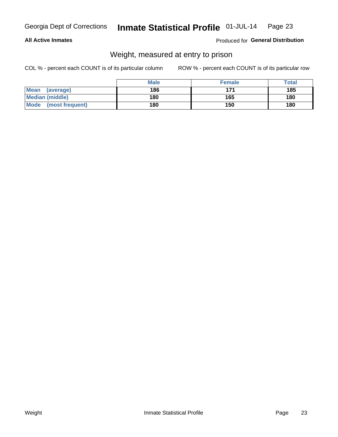### **All Active Inmates**

### Produced for General Distribution

# Weight, measured at entry to prison

COL % - percent each COUNT is of its particular column

|                          | <b>Male</b> | <b>Female</b> | Total |
|--------------------------|-------------|---------------|-------|
| <b>Mean</b><br>(average) | 186         | 171           | 185   |
| <b>Median (middle)</b>   | 180         | 165           | 180   |
| Mode<br>(most frequent)  | 180         | 150           | 180   |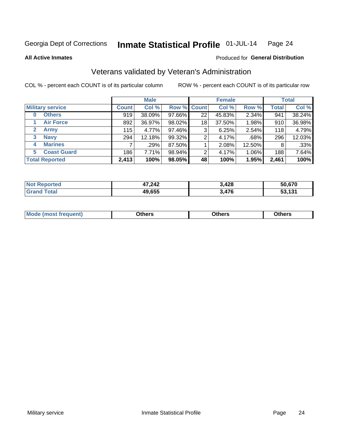#### Inmate Statistical Profile 01-JUL-14 Page 24

**All Active Inmates** 

### Produced for General Distribution

# Veterans validated by Veteran's Administration

COL % - percent each COUNT is of its particular column

|                             | <b>Male</b>  |        |             | <b>Female</b> |        |        | <b>Total</b> |        |
|-----------------------------|--------------|--------|-------------|---------------|--------|--------|--------------|--------|
| <b>Military service</b>     | <b>Count</b> | Col %  | Row % Count |               | Col %  | Row %  | <b>Total</b> | Col %  |
| <b>Others</b><br>0          | 919          | 38.09% | 97.66%      | 22            | 45.83% | 2.34%  | 941          | 38.24% |
| <b>Air Force</b>            | 892          | 36.97% | 98.02%      | 18            | 37.50% | 1.98%  | 910          | 36.98% |
| <b>Army</b><br>$\mathbf{2}$ | 115          | 4.77%  | $97.46\%$   | 3             | 6.25%  | 2.54%  | 118          | 4.79%  |
| <b>Navy</b><br>3            | 294          | 12.18% | 99.32%      | 2             | 4.17%  | .68%   | 296          | 12.03% |
| <b>Marines</b><br>4         |              | .29%   | 87.50%      |               | 2.08%  | 12.50% | 8            | .33%   |
| <b>Coast Guard</b><br>5.    | 186          | 7.71%  | 98.94%      | 2             | 4.17%  | 1.06%  | 188          | 7.64%  |
| <b>Total Reported</b>       | 2,413        | 100%   | 98.05%      | 48            | 100%   | 1.95%  | 2,461        | 100%   |

| 'ted<br>NOI | 47,242 | 3,428 | 50.670 |
|-------------|--------|-------|--------|
|             | 49,655 | 3,476 | -404   |

|  |  | <b>Mode</b><br>quent)<br>most trea | <b>Dthers</b> | Others | Others |
|--|--|------------------------------------|---------------|--------|--------|
|--|--|------------------------------------|---------------|--------|--------|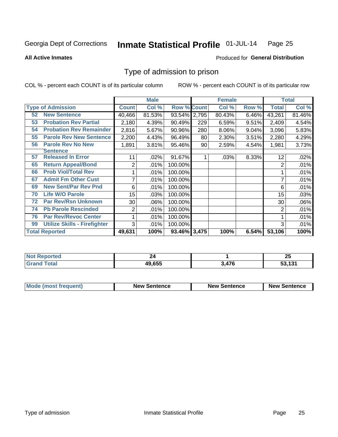#### Inmate Statistical Profile 01-JUL-14 Page 25

**All Active Inmates** 

### Produced for General Distribution

# Type of admission to prison

COL % - percent each COUNT is of its particular column

|    |                                     |              | <b>Male</b> |                    |     | <b>Female</b> |       |              | <b>Total</b> |
|----|-------------------------------------|--------------|-------------|--------------------|-----|---------------|-------|--------------|--------------|
|    | <b>Type of Admission</b>            | <b>Count</b> | Col %       | <b>Row % Count</b> |     | Col %         | Row % | <b>Total</b> | Col %        |
| 52 | <b>New Sentence</b>                 | 40,466       | 81.53%      | 93.54% 2,795       |     | 80.43%        | 6.46% | 43,261       | 81.46%       |
| 53 | <b>Probation Rev Partial</b>        | 2,180        | 4.39%       | 90.49%             | 229 | 6.59%         | 9.51% | 2,409        | 4.54%        |
| 54 | <b>Probation Rev Remainder</b>      | 2,816        | 5.67%       | 90.96%             | 280 | 8.06%         | 9.04% | 3,096        | 5.83%        |
| 55 | <b>Parole Rev New Sentence</b>      | 2,200        | 4.43%       | 96.49%             | 80  | 2.30%         | 3.51% | 2,280        | 4.29%        |
| 56 | <b>Parole Rev No New</b>            | 1,891        | 3.81%       | 95.46%             | 90  | 2.59%         | 4.54% | 1,981        | 3.73%        |
|    | <b>Sentence</b>                     |              |             |                    |     |               |       |              |              |
| 57 | <b>Released In Error</b>            | 11           | .02%        | 91.67%             |     | .03%          | 8.33% | 12           | .02%         |
| 65 | <b>Return Appeal/Bond</b>           | 2            | .01%        | 100.00%            |     |               |       | 2            | .01%         |
| 66 | <b>Prob Viol/Total Rev</b>          |              | .01%        | 100.00%            |     |               |       |              | .01%         |
| 67 | <b>Admit Fm Other Cust</b>          | 7            | .01%        | 100.00%            |     |               |       |              | .01%         |
| 69 | <b>New Sent/Par Rev Pnd</b>         | 6            | .01%        | 100.00%            |     |               |       | 6            | .01%         |
| 70 | <b>Life W/O Parole</b>              | 15           | .03%        | 100.00%            |     |               |       | 15           | .03%         |
| 72 | <b>Par Rev/Rsn Unknown</b>          | 30           | .06%        | 100.00%            |     |               |       | 30           | .06%         |
| 74 | <b>Pb Parole Rescinded</b>          | 2            | .01%        | 100.00%            |     |               |       | 2            | .01%         |
| 76 | <b>Par Rev/Revoc Center</b>         |              | .01%        | 100.00%            |     |               |       |              | .01%         |
| 99 | <b>Utilize Skills - Firefighter</b> | 3            | .01%        | 100.00%            |     |               |       | 3            | .01%         |
|    | <b>Total Reported</b>               | 49,631       | 100%        | 93.46% 3,475       |     | 100%          | 6.54% | 53,106       | 100%         |

| ported<br><b>Not</b> |        |      | יי<br>ΖJ |
|----------------------|--------|------|----------|
| `otal<br>Gr:         | 49.655 | .476 | , 494    |

| <b>Mode (most frequent)</b> | <b>New Sentence</b> | <b>New Sentence</b> | <b>New Sentence</b> |
|-----------------------------|---------------------|---------------------|---------------------|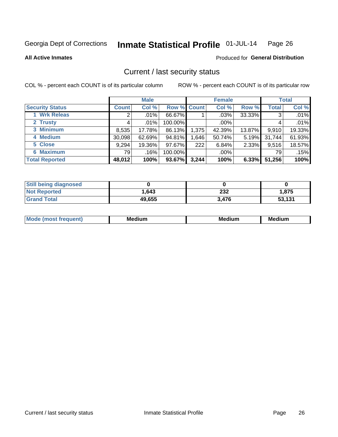#### Inmate Statistical Profile 01-JUL-14 Page 26

**All Active Inmates** 

### **Produced for General Distribution**

# Current / last security status

COL % - percent each COUNT is of its particular column

|                        |              | <b>Male</b> |                    |       | <b>Female</b> |          |              | <b>Total</b> |
|------------------------|--------------|-------------|--------------------|-------|---------------|----------|--------------|--------------|
| <b>Security Status</b> | <b>Count</b> | Col %       | <b>Row % Count</b> |       | Col %         | Row %    | <b>Total</b> | Col %        |
| 1 Wrk Releas           | 2            | $.01\%$     | 66.67%             |       | .03%          | 33.33%   | 3            | .01%         |
| 2 Trusty               |              | $.01\%$     | 100.00%            |       | .00%          |          | 4            | .01%         |
| 3 Minimum              | 8,535        | 17.78%      | 86.13%             | 1,375 | 42.39%        | 13.87%   | 9,910        | 19.33%       |
| 4 Medium               | 30,098       | 62.69%      | 94.81%             | 1,646 | 50.74%        | 5.19%    | 31,744       | 61.93%       |
| 5 Close                | 9,294        | 19.36%      | 97.67%             | 222   | 6.84%         | $2.33\%$ | 9,516        | 18.57%       |
| <b>6 Maximum</b>       | 79           | .16%        | 100.00%            |       | $.00\%$       |          | 79           | .15%         |
| <b>Total Reported</b>  | 48,012       | 100%        | 93.67%             | 3,244 | 100%          | 6.33%    | 51,256       | 100%         |

| <b>Still being diagnosed</b> |        |       |        |
|------------------------------|--------|-------|--------|
| <b>Not Reported</b>          | 1,643  | 232   | 1,875  |
| <b>Grand Total</b>           | 49,655 | 3,476 | 53,131 |

| <b>Mo</b><br>ети | M.<br>. .<br>dium | M٢<br>. | <br><b>Medium</b> |
|------------------|-------------------|---------|-------------------|
|                  |                   |         |                   |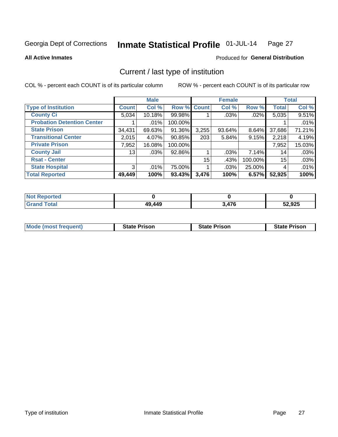#### Inmate Statistical Profile 01-JUL-14 Page 27

**All Active Inmates** 

### Produced for General Distribution

# Current / last type of institution

COL % - percent each COUNT is of its particular column

|                                   |              | <b>Male</b> |             |                 | <b>Female</b> |          |                 | <b>Total</b> |
|-----------------------------------|--------------|-------------|-------------|-----------------|---------------|----------|-----------------|--------------|
| <b>Type of Institution</b>        | <b>Count</b> | Col %       | Row % Count |                 | Col %         | Row %    | <b>Total</b>    | Col %        |
| <b>County Ci</b>                  | 5,034        | 10.18%      | 99.98%      |                 | .03%          | $.02\%$  | 5,035           | 9.51%        |
| <b>Probation Detention Center</b> |              | .01%        | 100.00%     |                 |               |          |                 | .01%         |
| <b>State Prison</b>               | 34,431       | 69.63%      | 91.36%      | 3,255           | $93.64\%$     | $8.64\%$ | 37,686          | 71.21%       |
| <b>Transitional Center</b>        | 2,015        | 4.07%       | 90.85%      | 203             | 5.84%         | 9.15%    | 2,218           | 4.19%        |
| <b>Private Prison</b>             | 7,952        | 16.08%      | 100.00%     |                 |               |          | 7,952           | 15.03%       |
| <b>County Jail</b>                | 13           | .03%        | 92.86%      |                 | $.03\%$       | $7.14\%$ | 14              | .03%         |
| <b>Rsat - Center</b>              |              |             |             | 15 <sup>1</sup> | .43%          | 100.00%  | 15 <sub>2</sub> | .03%         |
| <b>State Hospital</b>             | 3            | .01%        | 75.00%      |                 | $.03\%$       | 25.00%   | 4               | .01%         |
| <b>Total Reported</b>             | 49,449       | 100%        | $93.43\%$   | 3,476           | 100%          | 6.57%    | 52,925          | 100%         |

| $^{\mathrm{H}}$ Not $\cdot$<br>Reported |        |       |        |
|-----------------------------------------|--------|-------|--------|
| Total                                   | 49,449 | 3,476 | 52,925 |

| Mode (most frequent) | <b>State Prison</b> | <b>State Prison</b> | <b>State Prison</b> |
|----------------------|---------------------|---------------------|---------------------|
|                      |                     |                     |                     |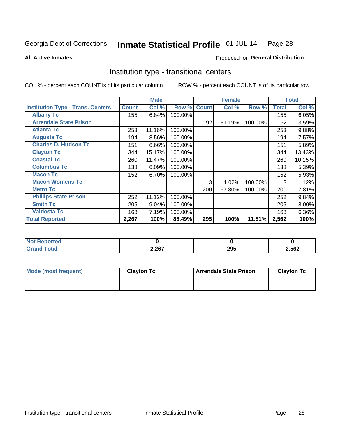#### Inmate Statistical Profile 01-JUL-14 Page 28

**All Active Inmates** 

## **Produced for General Distribution**

# Institution type - transitional centers

COL % - percent each COUNT is of its particular column

|                                          |              | <b>Male</b> |         |              | <b>Female</b> |         |              | <b>Total</b> |
|------------------------------------------|--------------|-------------|---------|--------------|---------------|---------|--------------|--------------|
| <b>Institution Type - Trans. Centers</b> | <b>Count</b> | Col %       | Row %   | <b>Count</b> | Col %         | Row %   | <b>Total</b> | Col %        |
| <b>Albany Tc</b>                         | 155          | 6.84%       | 100.00% |              |               |         | 155          | 6.05%        |
| <b>Arrendale State Prison</b>            |              |             |         | 92           | 31.19%        | 100.00% | 92           | 3.59%        |
| <b>Atlanta Tc</b>                        | 253          | 11.16%      | 100.00% |              |               |         | 253          | 9.88%        |
| <b>Augusta Tc</b>                        | 194          | 8.56%       | 100.00% |              |               |         | 194          | 7.57%        |
| <b>Charles D. Hudson Tc</b>              | 151          | 6.66%       | 100.00% |              |               |         | 151          | 5.89%        |
| <b>Clayton Tc</b>                        | 344          | 15.17%      | 100.00% |              |               |         | 344          | 13.43%       |
| <b>Coastal Tc</b>                        | 260          | 11.47%      | 100.00% |              |               |         | 260          | 10.15%       |
| <b>Columbus Tc</b>                       | 138          | 6.09%       | 100.00% |              |               |         | 138          | 5.39%        |
| <b>Macon Tc</b>                          | 152          | 6.70%       | 100.00% |              |               |         | 152          | 5.93%        |
| <b>Macon Womens Tc</b>                   |              |             |         | 3            | 1.02%         | 100.00% | 3            | .12%         |
| <b>Metro Tc</b>                          |              |             |         | 200          | 67.80%        | 100.00% | 200          | 7.81%        |
| <b>Phillips State Prison</b>             | 252          | 11.12%      | 100.00% |              |               |         | 252          | 9.84%        |
| <b>Smith Tc</b>                          | 205          | 9.04%       | 100.00% |              |               |         | 205          | $8.00\%$     |
| <b>Valdosta Tc</b>                       | 163          | 7.19%       | 100.00% |              |               |         | 163          | $6.36\%$     |
| <b>Total Reported</b>                    | 2,267        | 100%        | 88.49%  | 295          | 100%          | 11.51%  | 2,562        | 100%         |

| <b>orted</b> |       |                         |       |
|--------------|-------|-------------------------|-------|
|              | 2,267 | <b>205</b><br>∠ອວ<br>__ | 2,562 |

| Mode (most frequent) | <b>Clayton Tc</b> | <b>Arrendale State Prison</b><br><b>Clayton Tc</b> |  |  |  |  |  |
|----------------------|-------------------|----------------------------------------------------|--|--|--|--|--|
|                      |                   |                                                    |  |  |  |  |  |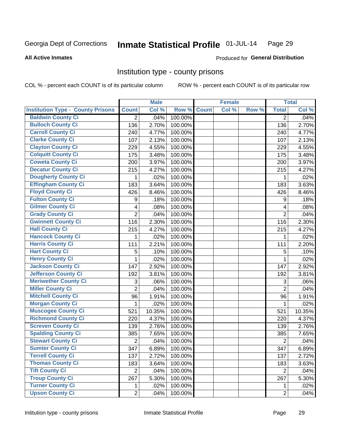#### Inmate Statistical Profile 01-JUL-14 Page 29

### **All Active Inmates**

### **Produced for General Distribution**

## Institution type - county prisons

COL % - percent each COUNT is of its particular column

|                                          |                           | <b>Male</b> |         |              | <b>Female</b> |       |                | <b>Total</b> |
|------------------------------------------|---------------------------|-------------|---------|--------------|---------------|-------|----------------|--------------|
| <b>Institution Type - County Prisons</b> | <b>Count</b>              | Col %       | Row %   | <b>Count</b> | Col %         | Row % | <b>Total</b>   | Col %        |
| <b>Baldwin County Ci</b>                 | $\overline{2}$            | .04%        | 100.00% |              |               |       | $\overline{2}$ | .04%         |
| <b>Bulloch County Ci</b>                 | 136                       | 2.70%       | 100.00% |              |               |       | 136            | 2.70%        |
| <b>Carroll County Ci</b>                 | 240                       | 4.77%       | 100.00% |              |               |       | 240            | 4.77%        |
| <b>Clarke County Ci</b>                  | 107                       | 2.13%       | 100.00% |              |               |       | 107            | 2.13%        |
| <b>Clayton County Ci</b>                 | 229                       | 4.55%       | 100.00% |              |               |       | 229            | 4.55%        |
| <b>Colquitt County Ci</b>                | 175                       | 3.48%       | 100.00% |              |               |       | 175            | 3.48%        |
| <b>Coweta County Ci</b>                  | 200                       | 3.97%       | 100.00% |              |               |       | 200            | 3.97%        |
| <b>Decatur County Ci</b>                 | 215                       | 4.27%       | 100.00% |              |               |       | 215            | 4.27%        |
| <b>Dougherty County Ci</b>               | 1                         | .02%        | 100.00% |              |               |       | 1              | .02%         |
| <b>Effingham County Ci</b>               | 183                       | 3.64%       | 100.00% |              |               |       | 183            | 3.63%        |
| <b>Floyd County Ci</b>                   | 426                       | 8.46%       | 100.00% |              |               |       | 426            | 8.46%        |
| <b>Fulton County Ci</b>                  | 9                         | .18%        | 100.00% |              |               |       | 9              | .18%         |
| <b>Gilmer County Ci</b>                  | 4                         | .08%        | 100.00% |              |               |       | 4              | .08%         |
| <b>Grady County Ci</b>                   | $\overline{2}$            | .04%        | 100.00% |              |               |       | $\overline{2}$ | .04%         |
| <b>Gwinnett County Ci</b>                | 116                       | 2.30%       | 100.00% |              |               |       | 116            | 2.30%        |
| <b>Hall County Ci</b>                    | 215                       | 4.27%       | 100.00% |              |               |       | 215            | 4.27%        |
| <b>Hancock County Ci</b>                 | 1                         | .02%        | 100.00% |              |               |       | 1              | .02%         |
| <b>Harris County Ci</b>                  | 111                       | 2.21%       | 100.00% |              |               |       | 111            | 2.20%        |
| <b>Hart County Ci</b>                    | 5                         | .10%        | 100.00% |              |               |       | 5              | .10%         |
| <b>Henry County Ci</b>                   | $\mathbf{1}$              | .02%        | 100.00% |              |               |       | $\mathbf{1}$   | .02%         |
| <b>Jackson County Ci</b>                 | 147                       | 2.92%       | 100.00% |              |               |       | 147            | 2.92%        |
| Jefferson County Ci                      | 192                       | 3.81%       | 100.00% |              |               |       | 192            | 3.81%        |
| <b>Meriwether County Ci</b>              | $\ensuremath{\mathsf{3}}$ | .06%        | 100.00% |              |               |       | 3              | .06%         |
| <b>Miller County Ci</b>                  | $\overline{2}$            | .04%        | 100.00% |              |               |       | $\overline{2}$ | .04%         |
| <b>Mitchell County Ci</b>                | 96                        | 1.91%       | 100.00% |              |               |       | 96             | 1.91%        |
| <b>Morgan County Ci</b>                  | 1                         | .02%        | 100.00% |              |               |       | 1              | .02%         |
| <b>Muscogee County Ci</b>                | 521                       | 10.35%      | 100.00% |              |               |       | 521            | 10.35%       |
| <b>Richmond County Ci</b>                | 220                       | 4.37%       | 100.00% |              |               |       | 220            | 4.37%        |
| <b>Screven County Ci</b>                 | 139                       | 2.76%       | 100.00% |              |               |       | 139            | 2.76%        |
| <b>Spalding County Ci</b>                | 385                       | 7.65%       | 100.00% |              |               |       | 385            | 7.65%        |
| <b>Stewart County Ci</b>                 | $\mathbf 2$               | .04%        | 100.00% |              |               |       | $\overline{2}$ | .04%         |
| <b>Sumter County Ci</b>                  | 347                       | 6.89%       | 100.00% |              |               |       | 347            | 6.89%        |
| <b>Terrell County Ci</b>                 | 137                       | 2.72%       | 100.00% |              |               |       | 137            | 2.72%        |
| <b>Thomas County Ci</b>                  | 183                       | 3.64%       | 100.00% |              |               |       | 183            | 3.63%        |
| <b>Tift County Ci</b>                    | $\overline{2}$            | .04%        | 100.00% |              |               |       | $\overline{2}$ | .04%         |
| <b>Troup County Ci</b>                   | 267                       | 5.30%       | 100.00% |              |               |       | 267            | 5.30%        |
| <b>Turner County Ci</b>                  | 1                         | .02%        | 100.00% |              |               |       | 1              | .02%         |
| <b>Upson County Ci</b>                   | $\overline{2}$            | .04%        | 100.00% |              |               |       | $\overline{2}$ | .04%         |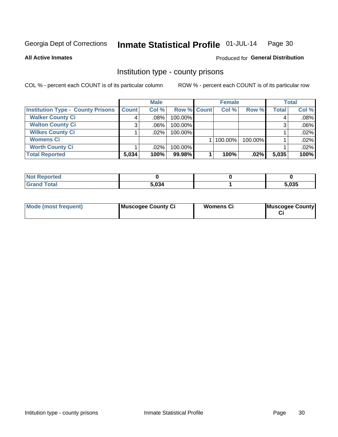#### Inmate Statistical Profile 01-JUL-14 Page 30

### **All Active Inmates**

## Produced for General Distribution

# Institution type - county prisons

COL % - percent each COUNT is of its particular column

|                                          |              | <b>Male</b> |             | <b>Female</b> |         |              | <b>Total</b> |
|------------------------------------------|--------------|-------------|-------------|---------------|---------|--------------|--------------|
| <b>Institution Type - County Prisons</b> | <b>Count</b> | Col %       | Row % Count | Col %         | Row %   | <b>Total</b> | Col %        |
| <b>Walker County Ci</b>                  | 4            | $.08\%$     | 100.00%     |               |         | 4            | .08%         |
| <b>Walton County Ci</b>                  | 3            | $.06\%$     | 100.00%     |               |         | 3            | .06%         |
| <b>Wilkes County Ci</b>                  |              | .02%        | 100.00%     |               |         |              | .02%         |
| <b>Womens Ci</b>                         |              |             |             | $ 100.00\% $  | 100.00% |              | .02%         |
| <b>Worth County Ci</b>                   |              | $.02\%$     | 100.00%     |               |         |              | .02%         |
| <b>Total Reported</b>                    | 5,034        | 100%        | 99.98%      | 100%          | .02%    | 5,035        | 100%         |

| Reported     |       |       |
|--------------|-------|-------|
| <b>Total</b> | 5,034 | 5,035 |

| <b>Mode (most frequent)</b> | Muscogee County Ci | <b>Womens Ci</b> | Muscogee County |
|-----------------------------|--------------------|------------------|-----------------|
|-----------------------------|--------------------|------------------|-----------------|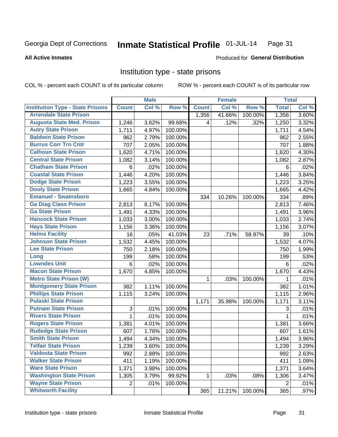#### Inmate Statistical Profile 01-JUL-14 Page 31

### **All Active Inmates**

### Produced for General Distribution

## Institution type - state prisons

COL % - percent each COUNT is of its particular column

|                                         |                           | <b>Male</b> |         |              | <b>Female</b> |         | <b>Total</b> |       |
|-----------------------------------------|---------------------------|-------------|---------|--------------|---------------|---------|--------------|-------|
| <b>Institution Type - State Prisons</b> | <b>Count</b>              | Col %       | Row %   | <b>Count</b> | Col %         | Row %   | <b>Total</b> | Col % |
| <b>Arrendale State Prison</b>           |                           |             |         | 1,356        | 41.66%        | 100.00% | 1,356        | 3.60% |
| <b>Augusta State Med. Prison</b>        | 1,246                     | 3.62%       | 99.68%  | 4            | .12%          | .32%    | 1,250        | 3.32% |
| <b>Autry State Prison</b>               | 1,711                     | 4.97%       | 100.00% |              |               |         | 1,711        | 4.54% |
| <b>Baldwin State Prison</b>             | 962                       | 2.79%       | 100.00% |              |               |         | 962          | 2.55% |
| <b>Burrus Corr Trn Cntr</b>             | 707                       | 2.05%       | 100.00% |              |               |         | 707          | 1.88% |
| <b>Calhoun State Prison</b>             | 1,620                     | 4.71%       | 100.00% |              |               |         | 1,620        | 4.30% |
| <b>Central State Prison</b>             | 1,082                     | 3.14%       | 100.00% |              |               |         | 1,082        | 2.87% |
| <b>Chatham State Prison</b>             | 6                         | .02%        | 100.00% |              |               |         | 6            | .02%  |
| <b>Coastal State Prison</b>             | 1,446                     | 4.20%       | 100.00% |              |               |         | 1,446        | 3.84% |
| <b>Dodge State Prison</b>               | 1,223                     | 3.55%       | 100.00% |              |               |         | 1,223        | 3.25% |
| <b>Dooly State Prison</b>               | 1,665                     | 4.84%       | 100.00% |              |               |         | 1,665        | 4.42% |
| <b>Emanuel - Swainsboro</b>             |                           |             |         | 334          | 10.26%        | 100.00% | 334          | .89%  |
| <b>Ga Diag Class Prison</b>             | 2,813                     | 8.17%       | 100.00% |              |               |         | 2,813        | 7.46% |
| <b>Ga State Prison</b>                  | 1,491                     | 4.33%       | 100.00% |              |               |         | 1,491        | 3.96% |
| <b>Hancock State Prison</b>             | 1,033                     | 3.00%       | 100.00% |              |               |         | 1,033        | 2.74% |
| <b>Hays State Prison</b>                | 1,156                     | 3.36%       | 100.00% |              |               |         | 1,156        | 3.07% |
| <b>Helms Facility</b>                   | 16                        | .05%        | 41.03%  | 23           | .71%          | 58.97%  | 39           | .10%  |
| <b>Johnson State Prison</b>             | 1,532                     | 4.45%       | 100.00% |              |               |         | 1,532        | 4.07% |
| <b>Lee State Prison</b>                 | 750                       | 2.18%       | 100.00% |              |               |         | 750          | 1.99% |
| Long                                    | 199                       | .58%        | 100.00% |              |               |         | 199          | .53%  |
| <b>Lowndes Unit</b>                     | $6\phantom{1}6$           | .02%        | 100.00% |              |               |         | 6            | .02%  |
| <b>Macon State Prison</b>               | 1,670                     | 4.85%       | 100.00% |              |               |         | 1,670        | 4.43% |
| <b>Metro State Prison (W)</b>           |                           |             |         | 1            | .03%          | 100.00% | 1            | .01%  |
| <b>Montgomery State Prison</b>          | 382                       | 1.11%       | 100.00% |              |               |         | 382          | 1.01% |
| <b>Phillips State Prison</b>            | 1,115                     | 3.24%       | 100.00% |              |               |         | 1,115        | 2.96% |
| <b>Pulaski State Prison</b>             |                           |             |         | 1,171        | 35.98%        | 100.00% | 1,171        | 3.11% |
| <b>Putnam State Prison</b>              | $\ensuremath{\mathsf{3}}$ | .01%        | 100.00% |              |               |         | 3            | .01%  |
| <b>Rivers State Prison</b>              | $\mathbf 1$               | .01%        | 100.00% |              |               |         | 1            | .01%  |
| <b>Rogers State Prison</b>              | 1,381                     | 4.01%       | 100.00% |              |               |         | 1,381        | 3.66% |
| <b>Rutledge State Prison</b>            | 607                       | 1.76%       | 100.00% |              |               |         | 607          | 1.61% |
| <b>Smith State Prison</b>               | 1,494                     | 4.34%       | 100.00% |              |               |         | 1,494        | 3.96% |
| <b>Telfair State Prison</b>             | 1,239                     | 3.60%       | 100.00% |              |               |         | 1,239        | 3.29% |
| <b>Valdosta State Prison</b>            | 992                       | 2.88%       | 100.00% |              |               |         | 992          | 2.63% |
| <b>Walker State Prison</b>              | 411                       | 1.19%       | 100.00% |              |               |         | 411          | 1.09% |
| <b>Ware State Prison</b>                | 1,371                     | 3.98%       | 100.00% |              |               |         | 1,371        | 3.64% |
| <b>Washington State Prison</b>          | 1,305                     | 3.79%       | 99.92%  | 1            | .03%          | .08%    | 1,306        | 3.47% |
| <b>Wayne State Prison</b>               | $\overline{2}$            | .01%        | 100.00% |              |               |         | 2            | .01%  |
| <b>Whitworth Facility</b>               |                           |             |         | 365          | 11.21%        | 100.00% | 365          | .97%  |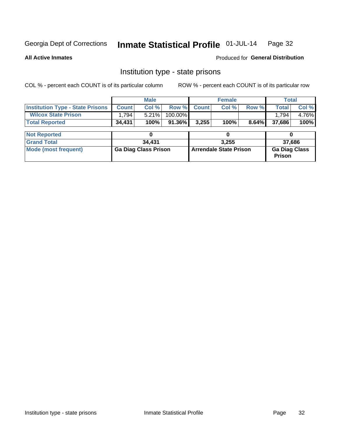#### Inmate Statistical Profile 01-JUL-14 Page 32

**All Active Inmates** 

**Produced for General Distribution** 

# Institution type - state prisons

COL % - percent each COUNT is of its particular column

|                                         |              | <b>Male</b>                 |           |                               | <b>Female</b> |       |                                       | <b>Total</b> |  |
|-----------------------------------------|--------------|-----------------------------|-----------|-------------------------------|---------------|-------|---------------------------------------|--------------|--|
| <b>Institution Type - State Prisons</b> | <b>Count</b> | Col %                       | Row %     | <b>Count</b>                  | Col %         | Row % | <b>Total</b>                          | Col %        |  |
| <b>Wilcox State Prison</b>              | 1,794        | 5.21%                       | 100.00%   |                               |               |       | 1.794                                 | 4.76%        |  |
| <b>Total Reported</b>                   | 34,431       | 100%                        | $91.36\%$ | 3,255                         | 100%          | 8.64% | 37,686                                | 100%         |  |
|                                         |              |                             |           |                               |               |       |                                       |              |  |
| <b>Not Reported</b>                     |              |                             |           |                               |               |       |                                       |              |  |
| <b>Grand Total</b>                      |              | 34,431                      |           |                               | 3.255         |       |                                       | 37,686       |  |
| <b>Mode (most frequent)</b>             |              | <b>Ga Diag Class Prison</b> |           | <b>Arrendale State Prison</b> |               |       | <b>Ga Diag Class</b><br><b>Prison</b> |              |  |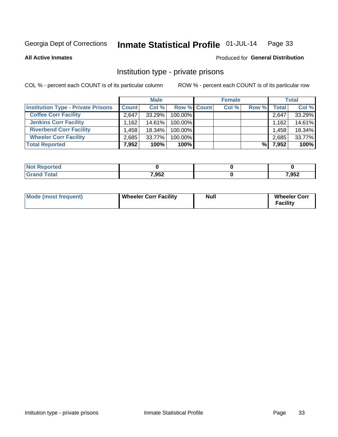#### Inmate Statistical Profile 01-JUL-14 Page 33

### **All Active Inmates**

# Produced for General Distribution

# Institution type - private prisons

COL % - percent each COUNT is of its particular column

|                                           | <b>Male</b>  |           |                    | <b>Female</b> |       |       | <b>Total</b> |  |
|-------------------------------------------|--------------|-----------|--------------------|---------------|-------|-------|--------------|--|
| <b>Institution Type - Private Prisons</b> | <b>Count</b> | Col %     | <b>Row % Count</b> | Col %         | Row % | Total | Col %        |  |
| <b>Coffee Corr Facility</b>               | 2.647        | $33.29\%$ | 100.00%            |               |       | 2,647 | 33.29%       |  |
| <b>Jenkins Corr Facility</b>              | ∃162.،       | $14.61\%$ | $100.00\%$         |               |       | 1,162 | 14.61%       |  |
| <b>Riverbend Corr Facility</b>            | .458         | 18.34%    | $100.00\%$         |               |       | 1.458 | 18.34%       |  |
| <b>Wheeler Corr Facility</b>              | 2.685        | 33.77%    | 100.00%            |               |       | 2,685 | 33.77%       |  |
| <b>Total Reported</b>                     | 7.952        | 100%      | 100%               |               | %।    | 7,952 | 100%         |  |

| <b>Reported</b><br>NOT |       |       |
|------------------------|-------|-------|
| 'otal                  | 7,952 | 7,952 |

| Mode (most frequent) | Wheeler Corr Facility | Null | <b>Wheeler Corr</b><br>Facility |
|----------------------|-----------------------|------|---------------------------------|
|----------------------|-----------------------|------|---------------------------------|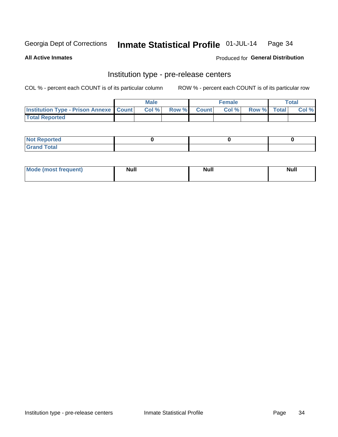#### Inmate Statistical Profile 01-JUL-14 Page 34

**All Active Inmates** 

Produced for General Distribution

# Institution type - pre-release centers

COL % - percent each COUNT is of its particular column

|                                                   | <b>Male</b> |              |       | <b>Female</b> |                    | <b>Total</b> |
|---------------------------------------------------|-------------|--------------|-------|---------------|--------------------|--------------|
| <b>Institution Type - Prison Annexe   Count  </b> | Col %       | <b>Row %</b> | Count | Col %         | <b>Row %</b> Total | Col %        |
| <b>Total Reported</b>                             |             |              |       |               |                    |              |

| <b>Reported</b><br>I NOT |  |  |
|--------------------------|--|--|
| <b>Total</b><br>$C$ ren  |  |  |

| Mor<br><b>ruent</b> )<br>rea<br>nos | <b>Null</b> | <b>Moll</b><br>_____ | . .<br><b>Null</b> |
|-------------------------------------|-------------|----------------------|--------------------|
|                                     |             |                      |                    |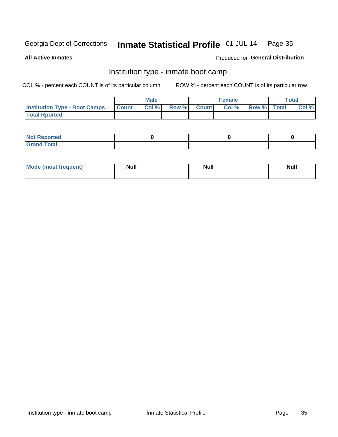#### Inmate Statistical Profile 01-JUL-14 Page 35

**All Active Inmates** 

### Produced for General Distribution

# Institution type - inmate boot camp

COL % - percent each COUNT is of its particular column

|                                      |              | <b>Male</b> |       |              | <b>Female</b> |             | <b>Total</b> |
|--------------------------------------|--------------|-------------|-------|--------------|---------------|-------------|--------------|
| <b>Institution Type - Boot Camps</b> | <b>Count</b> | Col %       | Row % | <b>Count</b> | Col %         | Row % Total | Col %        |
| <b>Total Rported</b>                 |              |             |       |              |               |             |              |

| <b>Not Reported</b> |  |  |
|---------------------|--|--|
| <b>Total</b><br>Cro |  |  |

| <b>I Mode (most frequent)</b> | <b>Null</b> | <b>Null</b> | <b>Null</b> |
|-------------------------------|-------------|-------------|-------------|
|                               |             |             |             |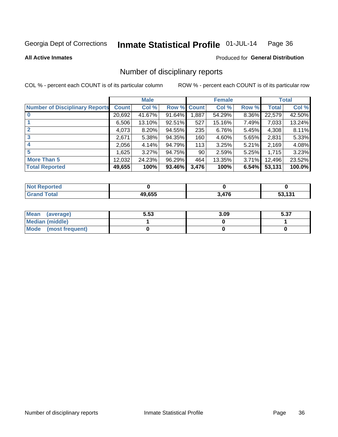#### Inmate Statistical Profile 01-JUL-14 Page 36

**All Active Inmates** 

### **Produced for General Distribution**

# Number of disciplinary reports

COL % - percent each COUNT is of its particular column

|                                       |              | <b>Male</b> |             |       | <b>Female</b> |       |        | <b>Total</b> |
|---------------------------------------|--------------|-------------|-------------|-------|---------------|-------|--------|--------------|
| <b>Number of Disciplinary Reports</b> | <b>Count</b> | Col %       | Row % Count |       | Col %         | Row % | Total  | Col %        |
|                                       | 20,692       | 41.67%      | 91.64%      | 1,887 | 54.29%        | 8.36% | 22,579 | 42.50%       |
|                                       | 6,506        | 13.10%      | $92.51\%$   | 527   | 15.16%        | 7.49% | 7,033  | 13.24%       |
|                                       | 4,073        | 8.20%       | 94.55%      | 235   | 6.76%         | 5.45% | 4,308  | 8.11%        |
| 3                                     | 2,671        | 5.38%       | 94.35%      | 160   | 4.60%         | 5.65% | 2,831  | 5.33%        |
|                                       | 2,056        | 4.14%       | 94.79%      | 113   | 3.25%         | 5.21% | 2,169  | 4.08%        |
| 5                                     | .625         | 3.27%       | 94.75%      | 90    | 2.59%         | 5.25% | 1,715  | 3.23%        |
| <b>More Than 5</b>                    | 12,032       | 24.23%      | 96.29%      | 464   | 13.35%        | 3.71% | 12,496 | 23.52%       |
| <b>Total Reported</b>                 | 49,655       | 100%        | 93.46%      | 3,476 | 100%          | 6.54% | 53,131 | 100.0%       |

| orted<br>NOI |        |          |      |
|--------------|--------|----------|------|
| <b>Total</b> | 49.655 | 17C<br>. | .131 |

| Mean (average)         | 5.53 | 3.09 | E 97<br>ว.ง เ |
|------------------------|------|------|---------------|
| <b>Median (middle)</b> |      |      |               |
| Mode (most frequent)   |      |      |               |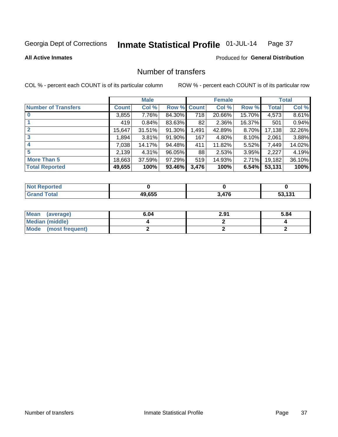#### Inmate Statistical Profile 01-JUL-14 Page 37

**All Active Inmates** 

## **Produced for General Distribution**

# Number of transfers

COL % - percent each COUNT is of its particular column

|                            |              | <b>Male</b> |        |             | <b>Female</b> |        |        | <b>Total</b> |
|----------------------------|--------------|-------------|--------|-------------|---------------|--------|--------|--------------|
| <b>Number of Transfers</b> | <b>Count</b> | Col %       |        | Row % Count | Col %         | Row %  | Total  | Col %        |
|                            | 3,855        | 7.76%       | 84.30% | 718         | 20.66%        | 15.70% | 4,573  | 8.61%        |
|                            | 419          | 0.84%       | 83.63% | 82          | 2.36%         | 16.37% | 501    | 0.94%        |
| $\mathbf{2}$               | 15,647       | 31.51%      | 91.30% | 1,491       | 42.89%        | 8.70%  | 17,138 | 32.26%       |
| 3                          | .894         | 3.81%       | 91.90% | 167         | 4.80%         | 8.10%  | 2,061  | 3.88%        |
| 4                          | 7,038        | 14.17%      | 94.48% | 411         | 11.82%        | 5.52%  | 7,449  | 14.02%       |
| 5                          | 2,139        | 4.31%       | 96.05% | 88          | 2.53%         | 3.95%  | 2,227  | 4.19%        |
| <b>More Than 5</b>         | 18,663       | 37.59%      | 97.29% | 519         | 14.93%        | 2.71%  | 19,182 | 36.10%       |
| <b>Total Reported</b>      | 49,655       | 100%        | 93.46% | 3,476       | 100%          | 6.54%  | 53,131 | 100%         |

| <b>Reported</b><br><b>NOT</b> |        |                        |     |
|-------------------------------|--------|------------------------|-----|
| <sup>-</sup> otal             | 49.655 | $\overline{176}$<br>۰. | 424 |

| Mean (average)         | 6.04 | 2.91 | 5.84 |
|------------------------|------|------|------|
| <b>Median (middle)</b> |      |      |      |
| Mode (most frequent)   |      |      |      |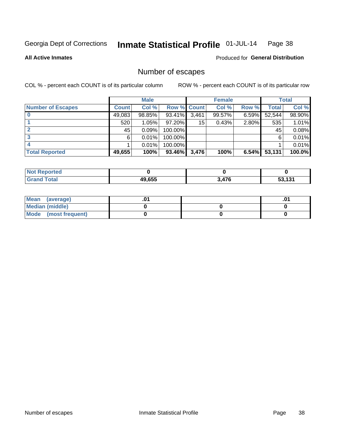#### Inmate Statistical Profile 01-JUL-14 Page 38

**All Active Inmates** 

## Produced for General Distribution

# Number of escapes

COL % - percent each COUNT is of its particular column

|                          |              | <b>Male</b> |             |       | <b>Female</b> |       |        | <b>Total</b> |
|--------------------------|--------------|-------------|-------------|-------|---------------|-------|--------|--------------|
| <b>Number of Escapes</b> | <b>Count</b> | Col %       | Row % Count |       | Col %         | Row % | Total  | Col %        |
|                          | 49,083       | 98.85%      | 93.41%      | 3,461 | 99.57%        | 6.59% | 52,544 | 98.90%       |
|                          | 520          | 1.05%       | $97.20\%$   | 15    | 0.43%         | 2.80% | 535    | 1.01%        |
|                          | 45           | 0.09%       | 100.00%     |       |               |       | 45     | 0.08%        |
|                          | 6            | 0.01%       | 100.00%     |       |               |       | 6      | 0.01%        |
|                          |              | 0.01%       | 100.00%     |       |               |       |        | 0.01%        |
| <b>Total Reported</b>    | 49,655       | 100%        | 93.46%      | 3,476 | 100%          | 6.54% | 53,131 | 100.0%       |

| <b>Not Reported</b> |        |     |     |
|---------------------|--------|-----|-----|
| <b>Total</b>        | 49.655 | 17c | 121 |

| Mean (average)       |  | .0 <sup>4</sup> |
|----------------------|--|-----------------|
| Median (middle)      |  |                 |
| Mode (most frequent) |  |                 |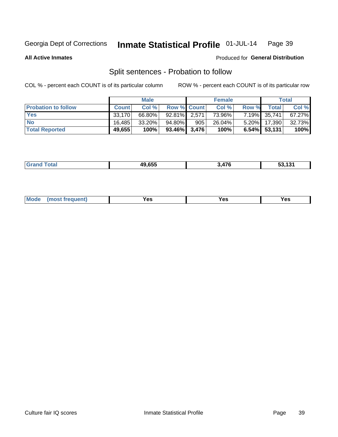#### Inmate Statistical Profile 01-JUL-14 Page 39

**All Active Inmates** 

#### Produced for General Distribution

# Split sentences - Probation to follow

COL % - percent each COUNT is of its particular column

|                            |              | <b>Male</b> |                    |     | <b>Female</b> |       |                 | <b>Total</b> |
|----------------------------|--------------|-------------|--------------------|-----|---------------|-------|-----------------|--------------|
| <b>Probation to follow</b> | <b>Count</b> | Col%        | <b>Row % Count</b> |     | Col %         | Row % | <b>Total</b>    | Col %        |
| <b>Yes</b>                 | 33.170       | 66.80%      | $92.81\%$ 2.571    |     | 73.96%        |       | 7.19% 35,741    | 67.27%       |
| <b>No</b>                  | 16.485       | $33.20\%$   | 94.80%             | 905 | $26.04\%$     |       | 5.20% 17,390    | 32.73%       |
| <b>Total Reported</b>      | 49,655       | 100%        | $93.46\%$ 3,476    |     | 100%          |       | $6.54\%$ 53,131 | 100%         |

| 49.655 | $\rightarrow$<br>-76 | $\overline{\phantom{a}}$<br>ວວ. ເວ⊺ |
|--------|----------------------|-------------------------------------|
|        |                      |                                     |

| reauent)<br>Yes<br>v.c<br>0٥<br>.<br>. .<br>$\sim$ |  | <b>Mode</b> |  |  |  |
|----------------------------------------------------|--|-------------|--|--|--|
|----------------------------------------------------|--|-------------|--|--|--|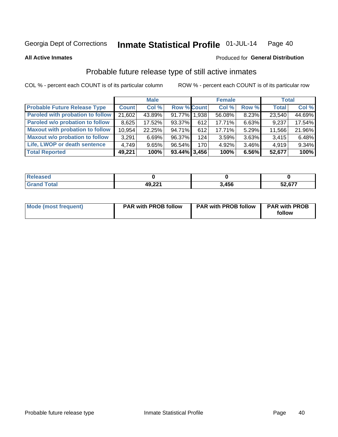#### Inmate Statistical Profile 01-JUL-14 Page 40

**All Active Inmates** 

#### Produced for General Distribution

# Probable future release type of still active inmates

COL % - percent each COUNT is of its particular column

|                                         |              | <b>Male</b> |                    |     | <b>Female</b> |          | <b>Total</b> |        |
|-----------------------------------------|--------------|-------------|--------------------|-----|---------------|----------|--------------|--------|
| <b>Probable Future Release Type</b>     | <b>Count</b> | Col %       | <b>Row % Count</b> |     | Col %         | Row %    | <b>Total</b> | Col %  |
| <b>Paroled with probation to follow</b> | 21,602       | 43.89%      | 91.77% 1.938       |     | 56.08%        | 8.23%    | 23,540       | 44.69% |
| Paroled w/o probation to follow         | 8,625        | 17.52%      | 93.37%             | 612 | $17.71\%$     | 6.63%    | 9,237        | 17.54% |
| <b>Maxout with probation to follow</b>  | 10,954       | 22.25%      | 94.71%             | 612 | 17.71%        | 5.29%    | 11,566       | 21.96% |
| <b>Maxout w/o probation to follow</b>   | 3,291        | 6.69%       | 96.37%             | 124 | 3.59%         | 3.63%    | 3,415        | 6.48%  |
| Life, LWOP or death sentence            | 4.749        | 9.65%       | 96.54%             | 170 | 4.92%         | $3.46\%$ | 4,919        | 9.34%  |
| <b>Total Reported</b>                   | 49,221       | 100%        | $93.44\%$ 3,456    |     | 100%          | 6.56%    | 52,677       | 100%   |

| <b>otal</b> | 49,221 | .456 | c77<br>co.<br>.67.<br><u>ວ∠</u> |
|-------------|--------|------|---------------------------------|

| <b>Mode (most frequent)</b> | <b>PAR with PROB follow</b> | <b>PAR with PROB follow</b> | <b>PAR with PROB</b> |
|-----------------------------|-----------------------------|-----------------------------|----------------------|
|                             |                             |                             | follow               |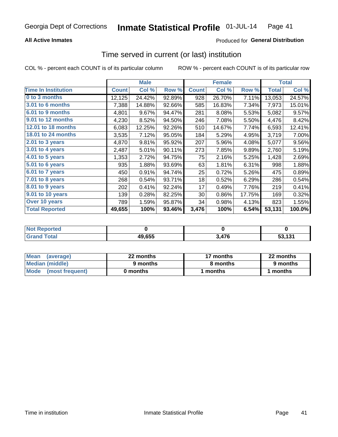## **All Active Inmates**

## Produced for General Distribution

# Time served in current (or last) institution

COL % - percent each COUNT is of its particular column

|                            |              | <b>Male</b> |        |              | <b>Female</b> |        |              | <b>Total</b> |
|----------------------------|--------------|-------------|--------|--------------|---------------|--------|--------------|--------------|
| <b>Time In Institution</b> | <b>Count</b> | Col %       | Row %  | <b>Count</b> | Col %         | Row %  | <b>Total</b> | Col %        |
| 0 to 3 months              | 12,125       | 24.42%      | 92.89% | 928          | 26.70%        | 7.11%  | 13,053       | 24.57%       |
| 3.01 to 6 months           | 7,388        | 14.88%      | 92.66% | 585          | 16.83%        | 7.34%  | 7,973        | 15.01%       |
| 6.01 to 9 months           | 4,801        | 9.67%       | 94.47% | 281          | 8.08%         | 5.53%  | 5,082        | 9.57%        |
| 9.01 to 12 months          | 4,230        | 8.52%       | 94.50% | 246          | 7.08%         | 5.50%  | 4,476        | 8.42%        |
| <b>12.01 to 18 months</b>  | 6,083        | 12.25%      | 92.26% | 510          | 14.67%        | 7.74%  | 6,593        | 12.41%       |
| 18.01 to 24 months         | 3,535        | 7.12%       | 95.05% | 184          | 5.29%         | 4.95%  | 3,719        | 7.00%        |
| $2.01$ to 3 years          | 4,870        | 9.81%       | 95.92% | 207          | 5.96%         | 4.08%  | 5,077        | 9.56%        |
| 3.01 to 4 years            | 2,487        | 5.01%       | 90.11% | 273          | 7.85%         | 9.89%  | 2,760        | 5.19%        |
| 4.01 to 5 years            | 1,353        | 2.72%       | 94.75% | 75           | 2.16%         | 5.25%  | 1,428        | 2.69%        |
| 5.01 to 6 years            | 935          | 1.88%       | 93.69% | 63           | 1.81%         | 6.31%  | 998          | 1.88%        |
| 6.01 to 7 years            | 450          | 0.91%       | 94.74% | 25           | 0.72%         | 5.26%  | 475          | 0.89%        |
| 7.01 to 8 years            | 268          | 0.54%       | 93.71% | 18           | 0.52%         | 6.29%  | 286          | 0.54%        |
| 8.01 to 9 years            | 202          | 0.41%       | 92.24% | 17           | 0.49%         | 7.76%  | 219          | 0.41%        |
| 9.01 to 10 years           | 139          | 0.28%       | 82.25% | 30           | 0.86%         | 17.75% | 169          | 0.32%        |
| Over 10 years              | 789          | 1.59%       | 95.87% | 34           | 0.98%         | 4.13%  | 823          | 1.55%        |
| <b>Total Reported</b>      | 49,655       | 100%        | 93.46% | 3,476        | 100%          | 6.54%  | 53,131       | 100.0%       |

| <b>Penorted</b><br><b>Not</b> |        |               |     |
|-------------------------------|--------|---------------|-----|
| rotal.                        | 49,655 | $\rightarrow$ | 424 |

| <b>Mean</b><br>(average) | 22 months | 17 months | 22 months |
|--------------------------|-----------|-----------|-----------|
| Median (middle)          | 9 months  | 8 months  | 9 months  |
| Mode (most frequent)     | 0 months  | months    | l months  |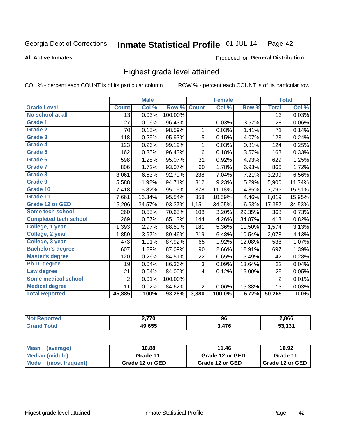#### **All Active Inmates**

#### Produced for General Distribution

# Highest grade level attained

COL % - percent each COUNT is of its particular column

|                              |                 | <b>Male</b>                |         |                | <b>Female</b> |        |                 | <b>Total</b> |
|------------------------------|-----------------|----------------------------|---------|----------------|---------------|--------|-----------------|--------------|
| <b>Grade Level</b>           | <b>Count</b>    | $\overline{\text{Col }\%}$ | Row %   | <b>Count</b>   | Col %         | Row %  | <b>Total</b>    | Col %        |
| No school at all             | $\overline{13}$ | 0.03%                      | 100.00% |                |               |        | $\overline{13}$ | 0.03%        |
| Grade 1                      | 27              | 0.06%                      | 96.43%  | 1              | 0.03%         | 3.57%  | 28              | 0.06%        |
| <b>Grade 2</b>               | 70              | 0.15%                      | 98.59%  | 1              | 0.03%         | 1.41%  | 71              | 0.14%        |
| <b>Grade 3</b>               | 118             | 0.25%                      | 95.93%  | 5              | 0.15%         | 4.07%  | 123             | 0.24%        |
| Grade 4                      | 123             | 0.26%                      | 99.19%  | 1              | 0.03%         | 0.81%  | 124             | 0.25%        |
| Grade 5                      | 162             | 0.35%                      | 96.43%  | 6              | 0.18%         | 3.57%  | 168             | 0.33%        |
| Grade 6                      | 598             | 1.28%                      | 95.07%  | 31             | 0.92%         | 4.93%  | 629             | 1.25%        |
| Grade 7                      | 806             | 1.72%                      | 93.07%  | 60             | 1.78%         | 6.93%  | 866             | 1.72%        |
| Grade 8                      | 3,061           | 6.53%                      | 92.79%  | 238            | 7.04%         | 7.21%  | 3,299           | 6.56%        |
| Grade 9                      | 5,588           | 11.92%                     | 94.71%  | 312            | 9.23%         | 5.29%  | 5,900           | 11.74%       |
| Grade 10                     | 7,418           | 15.82%                     | 95.15%  | 378            | 11.18%        | 4.85%  | 7,796           | 15.51%       |
| Grade 11                     | 7,661           | 16.34%                     | 95.54%  | 358            | 10.59%        | 4.46%  | 8,019           | 15.95%       |
| <b>Grade 12 or GED</b>       | 16,206          | 34.57%                     | 93.37%  | 1,151          | 34.05%        | 6.63%  | 17,357          | 34.53%       |
| Some tech school             | 260             | 0.55%                      | 70.65%  | 108            | 3.20%         | 29.35% | 368             | 0.73%        |
| <b>Completed tech school</b> | 269             | 0.57%                      | 65.13%  | 144            | 4.26%         | 34.87% | 413             | 0.82%        |
| College, 1 year              | 1,393           | 2.97%                      | 88.50%  | 181            | 5.36%         | 11.50% | 1,574           | 3.13%        |
| College, 2 year              | 1,859           | 3.97%                      | 89.46%  | 219            | 6.48%         | 10.54% | 2,078           | 4.13%        |
| College, 3 year              | 473             | 1.01%                      | 87.92%  | 65             | 1.92%         | 12.08% | 538             | 1.07%        |
| <b>Bachelor's degree</b>     | 607             | 1.29%                      | 87.09%  | 90             | 2.66%         | 12.91% | 697             | 1.39%        |
| <b>Master's degree</b>       | 120             | 0.26%                      | 84.51%  | 22             | 0.65%         | 15.49% | 142             | 0.28%        |
| Ph.D. degree                 | 19              | 0.04%                      | 86.36%  | 3              | 0.09%         | 13.64% | 22              | 0.04%        |
| Law degree                   | 21              | 0.04%                      | 84.00%  | 4              | 0.12%         | 16.00% | 25              | 0.05%        |
| <b>Some medical school</b>   | $\overline{2}$  | 0.01%                      | 100.00% |                |               |        | $\overline{2}$  | 0.01%        |
| <b>Medical degree</b>        | 11              | 0.02%                      | 84.62%  | $\overline{2}$ | 0.06%         | 15.38% | 13              | 0.03%        |
| <b>Total Reported</b>        | 46,885          | 100%                       | 93.28%  | 3,380          | 100.0%        | 6.72%  | 50,265          | 100%         |

| הדד נ  | 96  | 2,866 |
|--------|-----|-------|
| IN CEE | A7C | 404   |

| <b>Mean</b><br>(average)       | 10.88           | 11.46           | 10.92           |
|--------------------------------|-----------------|-----------------|-----------------|
| Median (middle)                | Grade 11        | Grade 12 or GED | Grade 11        |
| <b>Mode</b><br>(most frequent) | Grade 12 or GED | Grade 12 or GED | Grade 12 or GED |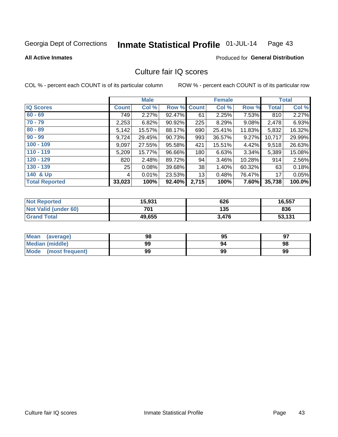#### Inmate Statistical Profile 01-JUL-14 Page 43

**All Active Inmates** 

## **Produced for General Distribution**

# Culture fair IQ scores

COL % - percent each COUNT is of its particular column

|                       |              | <b>Male</b> |             |       | <b>Female</b> |        |              | <b>Total</b> |
|-----------------------|--------------|-------------|-------------|-------|---------------|--------|--------------|--------------|
| <b>IQ Scores</b>      | <b>Count</b> | Col %       | Row % Count |       | Col %         | Row %  | <b>Total</b> | Col %        |
| $60 - 69$             | 749          | 2.27%       | 92.47%      | 61    | 2.25%         | 7.53%  | 810          | 2.27%        |
| $70 - 79$             | 2,253        | 6.82%       | 90.92%      | 225   | 8.29%         | 9.08%  | 2,478        | 6.93%        |
| $80 - 89$             | 5,142        | 15.57%      | 88.17%      | 690   | 25.41%        | 11.83% | 5,832        | 16.32%       |
| $90 - 99$             | 9,724        | 29.45%      | 90.73%      | 993   | 36.57%        | 9.27%  | 10,717       | 29.99%       |
| $100 - 109$           | 9,097        | 27.55%      | 95.58%      | 421   | 15.51%        | 4.42%  | 9,518        | 26.63%       |
| $110 - 119$           | 5,209        | 15.77%      | 96.66%      | 180   | 6.63%         | 3.34%  | 5,389        | 15.08%       |
| $120 - 129$           | 820          | 2.48%       | 89.72%      | 94    | 3.46%         | 10.28% | 914          | 2.56%        |
| $130 - 139$           | 25           | 0.08%       | 39.68%      | 38    | 1.40%         | 60.32% | 63           | 0.18%        |
| 140 & Up              | 4            | 0.01%       | 23.53%      | 13    | 0.48%         | 76.47% | 17           | 0.05%        |
| <b>Total Reported</b> | 33,023       | 100%        | 92.40%      | 2,715 | 100%          | 7.60%  | 35,738       | 100.0%       |

| <b>Not Reported</b>  | 15,931 | 626   | 16,557 |
|----------------------|--------|-------|--------|
| Not Valid (under 60) | 701    | 135   | 836    |
| <b>Grand Total</b>   | 49,655 | 3.476 | 53,131 |

| Mean<br>(average)       | 98 | 95 | 97 |
|-------------------------|----|----|----|
| Median (middle)         | 99 | 94 | 98 |
| Mode<br>(most frequent) | 99 | 99 | 99 |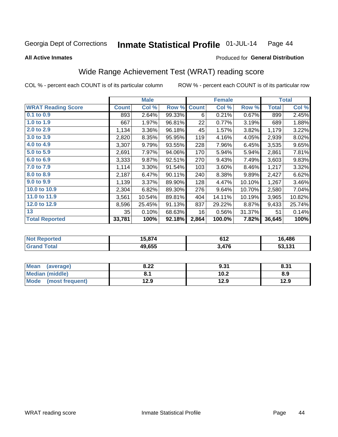#### Inmate Statistical Profile 01-JUL-14 Page 44

**All Active Inmates** 

#### Produced for General Distribution

# Wide Range Achievement Test (WRAT) reading score

COL % - percent each COUNT is of its particular column

|                           |                 | <b>Male</b> |        |              | <b>Female</b> |        |              | <b>Total</b> |
|---------------------------|-----------------|-------------|--------|--------------|---------------|--------|--------------|--------------|
| <b>WRAT Reading Score</b> | <b>Count</b>    | Col %       | Row %  | <b>Count</b> | Col %         | Row %  | <b>Total</b> | Col %        |
| $0.1$ to $0.9$            | 893             | 2.64%       | 99.33% | 6            | 0.21%         | 0.67%  | 899          | 2.45%        |
| 1.0 to 1.9                | 667             | 1.97%       | 96.81% | 22           | 0.77%         | 3.19%  | 689          | 1.88%        |
| 2.0 to 2.9                | 1,134           | 3.36%       | 96.18% | 45           | 1.57%         | 3.82%  | 1,179        | 3.22%        |
| 3.0 to 3.9                | 2,820           | 8.35%       | 95.95% | 119          | 4.16%         | 4.05%  | 2,939        | 8.02%        |
| 4.0 to 4.9                | 3,307           | 9.79%       | 93.55% | 228          | 7.96%         | 6.45%  | 3,535        | 9.65%        |
| 5.0 to 5.9                | 2,691           | 7.97%       | 94.06% | 170          | 5.94%         | 5.94%  | 2,861        | 7.81%        |
| 6.0 to 6.9                | 3,333           | 9.87%       | 92.51% | 270          | 9.43%         | 7.49%  | 3,603        | 9.83%        |
| 7.0 to 7.9                | 1,114           | 3.30%       | 91.54% | 103          | 3.60%         | 8.46%  | 1,217        | 3.32%        |
| 8.0 to 8.9                | 2,187           | 6.47%       | 90.11% | 240          | 8.38%         | 9.89%  | 2,427        | 6.62%        |
| 9.0 to 9.9                | 1,139           | 3.37%       | 89.90% | 128          | 4.47%         | 10.10% | 1,267        | 3.46%        |
| 10.0 to 10.9              | 2,304           | 6.82%       | 89.30% | 276          | 9.64%         | 10.70% | 2,580        | 7.04%        |
| 11.0 to 11.9              | 3,561           | 10.54%      | 89.81% | 404          | 14.11%        | 10.19% | 3,965        | 10.82%       |
| 12.0 to 12.9              | 8,596           | 25.45%      | 91.13% | 837          | 29.22%        | 8.87%  | 9,433        | 25.74%       |
| 13                        | 35 <sub>1</sub> | 0.10%       | 68.63% | 16           | 0.56%         | 31.37% | 51           | 0.14%        |
| <b>Total Reported</b>     | 33,781          | 100%        | 92.18% | 2,864        | 100.0%        | 7.82%  | 36,645       | 100%         |
|                           |                 |             |        |              |               |        |              |              |

| <b>Not Reported</b> | 15,874 | 61 J<br>0 I Z | 16,486 |
|---------------------|--------|---------------|--------|
| <b>Srand Total</b>  | 49,655 | 3.476         | 53,131 |

| Mean (average)       | 8.22 | 9.31 | 8.31 |
|----------------------|------|------|------|
| Median (middle)      | υ.ι  | 10.2 | 8.9  |
| Mode (most frequent) | 12.9 | 12.9 | 12.9 |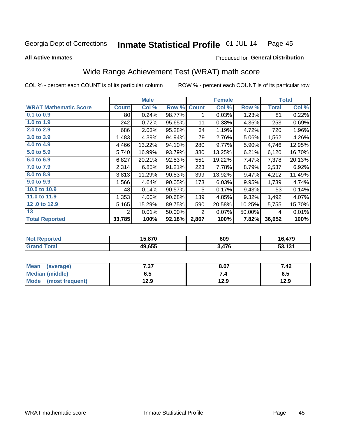#### Inmate Statistical Profile 01-JUL-14 Page 45

#### **All Active Inmates**

# Produced for General Distribution

# Wide Range Achievement Test (WRAT) math score

COL % - percent each COUNT is of its particular column

|                              |                | <b>Male</b> |        |              | <b>Female</b> |        |              | <b>Total</b> |
|------------------------------|----------------|-------------|--------|--------------|---------------|--------|--------------|--------------|
| <b>WRAT Mathematic Score</b> | <b>Count</b>   | Col %       | Row %  | <b>Count</b> | Col %         | Row %  | <b>Total</b> | Col %        |
| 0.1 to 0.9                   | 80             | 0.24%       | 98.77% |              | 0.03%         | 1.23%  | 81           | 0.22%        |
| 1.0 to 1.9                   | 242            | 0.72%       | 95.65% | 11           | 0.38%         | 4.35%  | 253          | 0.69%        |
| 2.0 to 2.9                   | 686            | 2.03%       | 95.28% | 34           | 1.19%         | 4.72%  | 720          | 1.96%        |
| 3.0 to 3.9                   | 1,483          | 4.39%       | 94.94% | 79           | 2.76%         | 5.06%  | 1,562        | 4.26%        |
| 4.0 to 4.9                   | 4,466          | 13.22%      | 94.10% | 280          | 9.77%         | 5.90%  | 4,746        | 12.95%       |
| 5.0 to 5.9                   | 5,740          | 16.99%      | 93.79% | 380          | 13.25%        | 6.21%  | 6,120        | 16.70%       |
| 6.0 to 6.9                   | 6,827          | 20.21%      | 92.53% | 551          | 19.22%        | 7.47%  | 7,378        | 20.13%       |
| 7.0 to 7.9                   | 2,314          | 6.85%       | 91.21% | 223          | 7.78%         | 8.79%  | 2,537        | 6.92%        |
| 8.0 to 8.9                   | 3,813          | 11.29%      | 90.53% | 399          | 13.92%        | 9.47%  | 4,212        | 11.49%       |
| 9.0 to 9.9                   | 1,566          | 4.64%       | 90.05% | 173          | 6.03%         | 9.95%  | 1,739        | 4.74%        |
| 10.0 to 10.9                 | 48             | 0.14%       | 90.57% | 5            | 0.17%         | 9.43%  | 53           | 0.14%        |
| 11.0 to 11.9                 | 1,353          | 4.00%       | 90.68% | 139          | 4.85%         | 9.32%  | 1,492        | 4.07%        |
| 12.0 to 12.9                 | 5,165          | 15.29%      | 89.75% | 590          | 20.58%        | 10.25% | 5,755        | 15.70%       |
| 13                           | $\overline{2}$ | 0.01%       | 50.00% | 2            | 0.07%         | 50.00% | 4            | 0.01%        |
| <b>Total Reported</b>        | 33,785         | 100%        | 92.18% | 2,867        | 100%          | 7.82%  | 36,652       | 100%         |

| <b>Not</b><br>Reported | 15,870 | 609  | 6,479  |
|------------------------|--------|------|--------|
| <b>Total</b>           | 49,655 | .476 | 53,131 |

| Mean<br>(average)      | 7.37 | 8.07 | 7.42 |
|------------------------|------|------|------|
| <b>Median (middle)</b> | ხ. J | 7.4  | 6.5  |
| Mode (most frequent)   | 12.9 | 12.9 | 12.9 |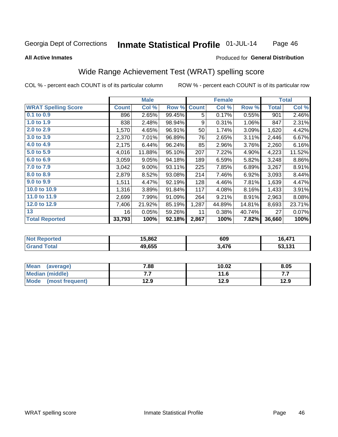#### Inmate Statistical Profile 01-JUL-14 Page 46

#### **All Active Inmates**

#### Produced for General Distribution

# Wide Range Achievement Test (WRAT) spelling score

COL % - percent each COUNT is of its particular column

|                            |              | <b>Male</b> |        |              | <b>Female</b> |        |              | <b>Total</b> |
|----------------------------|--------------|-------------|--------|--------------|---------------|--------|--------------|--------------|
| <b>WRAT Spelling Score</b> | <b>Count</b> | Col %       | Row %  | <b>Count</b> | Col %         | Row %  | <b>Total</b> | Col %        |
| $0.1$ to $0.9$             | 896          | 2.65%       | 99.45% | 5            | 0.17%         | 0.55%  | 901          | 2.46%        |
| 1.0 to 1.9                 | 838          | 2.48%       | 98.94% | 9            | 0.31%         | 1.06%  | 847          | 2.31%        |
| 2.0 to 2.9                 | 1,570        | 4.65%       | 96.91% | 50           | 1.74%         | 3.09%  | 1,620        | 4.42%        |
| 3.0 to 3.9                 | 2,370        | 7.01%       | 96.89% | 76           | 2.65%         | 3.11%  | 2,446        | 6.67%        |
| 4.0 to 4.9                 | 2,175        | 6.44%       | 96.24% | 85           | 2.96%         | 3.76%  | 2,260        | 6.16%        |
| 5.0 to 5.9                 | 4,016        | 11.88%      | 95.10% | 207          | 7.22%         | 4.90%  | 4,223        | 11.52%       |
| 6.0 to 6.9                 | 3,059        | 9.05%       | 94.18% | 189          | 6.59%         | 5.82%  | 3,248        | 8.86%        |
| 7.0 to 7.9                 | 3,042        | 9.00%       | 93.11% | 225          | 7.85%         | 6.89%  | 3,267        | 8.91%        |
| 8.0 to 8.9                 | 2,879        | 8.52%       | 93.08% | 214          | 7.46%         | 6.92%  | 3,093        | 8.44%        |
| 9.0 to 9.9                 | 1,511        | 4.47%       | 92.19% | 128          | 4.46%         | 7.81%  | 1,639        | 4.47%        |
| 10.0 to 10.9               | 1,316        | 3.89%       | 91.84% | 117          | 4.08%         | 8.16%  | 1,433        | 3.91%        |
| 11.0 to 11.9               | 2,699        | 7.99%       | 91.09% | 264          | 9.21%         | 8.91%  | 2,963        | 8.08%        |
| 12.0 to 12.9               | 7,406        | 21.92%      | 85.19% | 1,287        | 44.89%        | 14.81% | 8,693        | 23.71%       |
| 13                         | 16           | 0.05%       | 59.26% | 11           | 0.38%         | 40.74% | 27           | 0.07%        |
| <b>Total Reported</b>      | 33,793       | 100%        | 92.18% | 2,867        | 100%          | 7.82%  | 36,660       | 100%         |

| prted<br>NO | 15,862 | 609   | .17'               |
|-------------|--------|-------|--------------------|
| int         | 49,655 | 3,476 | E9 494<br>וטו<br>ິ |

| <b>Mean</b><br>(average) | 7.88 | 10.02 | 8.05 |
|--------------------------|------|-------|------|
| Median (middle)          | .    | 11.6  | .    |
| Mode (most frequent)     | 12.9 | 12.9  | 12.9 |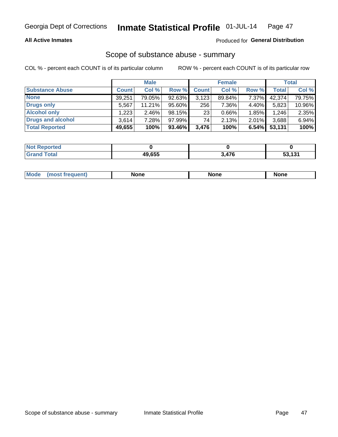### **All Active Inmates**

## Produced for General Distribution

# Scope of substance abuse - summary

COL % - percent each COUNT is of its particular column

|                        |              | <b>Male</b> |        |                 | <b>Female</b> |       |              | <b>Total</b> |
|------------------------|--------------|-------------|--------|-----------------|---------------|-------|--------------|--------------|
| <b>Substance Abuse</b> | <b>Count</b> | Col %       | Row %  | <b>Count</b>    | Col %         | Row % | <b>Total</b> | Col %        |
| <b>None</b>            | 39,251       | 79.05%      | 92.63% | 3,123           | 89.84%        | 7.37% | 42,374       | 79.75%       |
| Drugs only             | 5,567        | 11.21%      | 95.60% | 256             | 7.36%         | 4.40% | 5,823        | 10.96%       |
| <b>Alcohol only</b>    | .223         | $2.46\%$    | 98.15% | 23 <sub>1</sub> | $0.66\%$      | 1.85% | 1,246        | 2.35%        |
| Drugs and alcohol      | 3,614        | 7.28%       | 97.99% | 74              | 2.13%         | 2.01% | 3,688        | 6.94%        |
| <b>Total Reported</b>  | 49,655       | 100%        | 93.46% | 3,476           | 100%          | 6.54% | 53,131       | 100%         |

| <b>Not Reported</b> |        |             |                    |
|---------------------|--------|-------------|--------------------|
| <b>Grand Total</b>  | 49.655 | A76<br>47 O | 53 131<br>JJ. IJ I |

| nuem | <b>Mo</b> | None | <b>None</b> | None |
|------|-----------|------|-------------|------|
|------|-----------|------|-------------|------|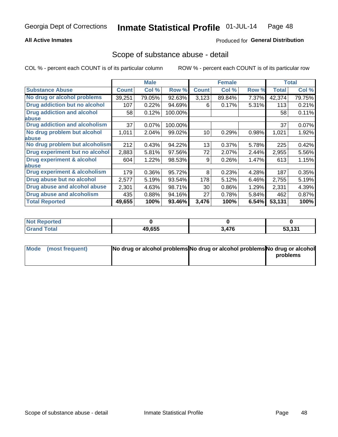## **All Active Inmates**

## Produced for General Distribution

## Scope of substance abuse - detail

COL % - percent each COUNT is of its particular column

|                                      |              | <b>Male</b> |         |              | <b>Female</b> |       |              | <b>Total</b> |
|--------------------------------------|--------------|-------------|---------|--------------|---------------|-------|--------------|--------------|
| <b>Substance Abuse</b>               | <b>Count</b> | Col %       | Row %   | <b>Count</b> | Col %         | Row % | <b>Total</b> | Col %        |
| No drug or alcohol problems          | 39,251       | 79.05%      | 92.63%  | 3,123        | 89.84%        | 7.37% | 42,374       | 79.75%       |
| <b>Drug addiction but no alcohol</b> | 107          | 0.22%       | 94.69%  | 6            | 0.17%         | 5.31% | 113          | 0.21%        |
| <b>Drug addiction and alcohol</b>    | 58           | 0.12%       | 100.00% |              |               |       | 58           | 0.11%        |
| <b>labuse</b>                        |              |             |         |              |               |       |              |              |
| <b>Drug addiction and alcoholism</b> | 37           | 0.07%       | 100.00% |              |               |       | 37           | 0.07%        |
| No drug problem but alcohol          | 1,011        | 2.04%       | 99.02%  | 10           | 0.29%         | 0.98% | 1,021        | 1.92%        |
| <b>labuse</b>                        |              |             |         |              |               |       |              |              |
| No drug problem but alcoholism       | 212          | 0.43%       | 94.22%  | 13           | 0.37%         | 5.78% | 225          | 0.42%        |
| Drug experiment but no alcohol       | 2,883        | 5.81%       | 97.56%  | 72           | 2.07%         | 2.44% | 2,955        | 5.56%        |
| <b>Drug experiment &amp; alcohol</b> | 604          | 1.22%       | 98.53%  | 9            | 0.26%         | 1.47% | 613          | 1.15%        |
| <b>labuse</b>                        |              |             |         |              |               |       |              |              |
| Drug experiment & alcoholism         | 179          | 0.36%       | 95.72%  | 8            | 0.23%         | 4.28% | 187          | 0.35%        |
| Drug abuse but no alcohol            | 2,577        | 5.19%       | 93.54%  | 178          | 5.12%         | 6.46% | 2,755        | 5.19%        |
| Drug abuse and alcohol abuse         | 2,301        | 4.63%       | 98.71%  | 30           | 0.86%         | 1.29% | 2,331        | 4.39%        |
| <b>Drug abuse and alcoholism</b>     | 435          | 0.88%       | 94.16%  | 27           | 0.78%         | 5.84% | 462          | 0.87%        |
| <b>Total Reported</b>                | 49,655       | 100%        | 93.46%  | 3,476        | 100%          | 6.54% | 53,131       | 100%         |

| <b>orted</b><br>NOT |        |       |        |
|---------------------|--------|-------|--------|
| <b>otal</b>         | 49,655 | 3.476 | 53,131 |

| Mode (most frequent) | No drug or alcohol problems No drug or alcohol problems No drug or alcohol |          |
|----------------------|----------------------------------------------------------------------------|----------|
|                      |                                                                            | problems |
|                      |                                                                            |          |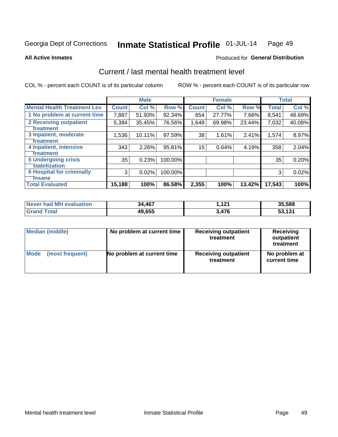#### Inmate Statistical Profile 01-JUL-14 Page 49

**All Active Inmates** 

### **Produced for General Distribution**

# Current / last mental health treatment level

COL % - percent each COUNT is of its particular column

|                                    |              | <b>Male</b> |         |              | <b>Female</b> |        |              | <b>Total</b> |
|------------------------------------|--------------|-------------|---------|--------------|---------------|--------|--------------|--------------|
| <b>Mental Health Treatment Lev</b> | <b>Count</b> | Col %       | Row %   | <b>Count</b> | Col %         | Row %  | <b>Total</b> | Col %        |
| 1 No problem at current time       | 7,887        | 51.93%      | 92.34%  | 654          | 27.77%        | 7.66%  | 8,541        | 48.69%       |
| 2 Receiving outpatient             | 5,384        | 35.45%      | 76.56%  | 1,648        | 69.98%        | 23.44% | 7,032        | 40.08%       |
| <b>Treatment</b>                   |              |             |         |              |               |        |              |              |
| 3 Inpatient, moderate              | 1,536        | 10.11%      | 97.59%  | 38           | 1.61%         | 2.41%  | 1,574        | 8.97%        |
| <b>Treatment</b>                   |              |             |         |              |               |        |              |              |
| 4 Inpatient, intensive             | 343          | 2.26%       | 95.81%  | 15           | 0.64%         | 4.19%  | 358          | 2.04%        |
| <b>Treatment</b>                   |              |             |         |              |               |        |              |              |
| <b>5 Undergoing crisis</b>         | 35           | 0.23%       | 100.00% |              |               |        | 35           | 0.20%        |
| <b>stabilization</b>               |              |             |         |              |               |        |              |              |
| <b>6 Hospital for criminally</b>   | 3            | 0.02%       | 100.00% |              |               |        | 3            | 0.02%        |
| <b>Tinsane</b>                     |              |             |         |              |               |        |              |              |
| <b>Total Evaluated</b>             | 15,188       | 100%        | 86.58%  | 2,355        | 100%          | 13.42% | 17,543       | 100%         |

| <b>Never had MH evaluation</b> | 34,467 | 121<br>, I 4 I | 35,588 |
|--------------------------------|--------|----------------|--------|
| Total                          | 49,655 | 3,476          | 53.131 |

| Median (middle) | No problem at current time | <b>Receiving outpatient</b><br>treatment | <b>Receiving</b><br>outpatient<br>treatment |
|-----------------|----------------------------|------------------------------------------|---------------------------------------------|
| <b>Mode</b>     | No problem at current time | <b>Receiving outpatient</b>              | No problem at                               |
| (most frequent) |                            | treatment                                | current time                                |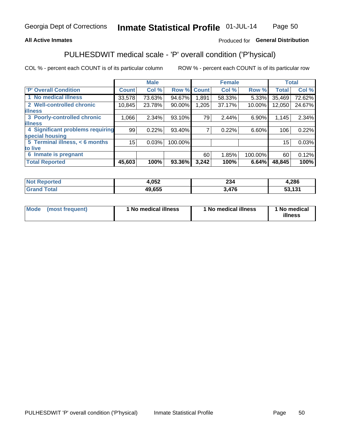## **All Active Inmates**

## Produced for General Distribution

# PULHESDWIT medical scale - 'P' overall condition ('P'hysical)

COL % - percent each COUNT is of its particular column

|                                  |              | <b>Male</b> |         |              | <b>Female</b> |         |              | <b>Total</b> |
|----------------------------------|--------------|-------------|---------|--------------|---------------|---------|--------------|--------------|
| <b>P' Overall Condition</b>      | <b>Count</b> | Col %       | Row %   | <b>Count</b> | Col %         | Row %   | <b>Total</b> | Col %        |
| 1 No medical illness             | 33,578       | 73.63%      | 94.67%  | 1,891        | 58.33%        | 5.33%   | 35,469       | 72.62%       |
| 2 Well-controlled chronic        | 10,845       | 23.78%      | 90.00%  | 1,205        | 37.17%        | 10.00%  | 12,050       | 24.67%       |
| <b>lillness</b>                  |              |             |         |              |               |         |              |              |
| 3 Poorly-controlled chronic      | 1,066        | $2.34\%$    | 93.10%  | 79           | 2.44%         | 6.90%   | 1,145        | 2.34%        |
| <b>illness</b>                   |              |             |         |              |               |         |              |              |
| 4 Significant problems requiring | 99           | 0.22%       | 93.40%  |              | 0.22%         | 6.60%   | 106          | 0.22%        |
| special housing                  |              |             |         |              |               |         |              |              |
| 5 Terminal illness, < 6 months   | 15           | 0.03%       | 100.00% |              |               |         | 15           | 0.03%        |
| to live                          |              |             |         |              |               |         |              |              |
| 6 Inmate is pregnant             |              |             |         | 60           | 1.85%         | 100.00% | 60           | 0.12%        |
| <b>Total Reported</b>            | 45,603       | 100%        | 93.36%  | 3,242        | 100%          | 6.64%   | 48,845       | 100%         |

| тео | 052,ا  | つつん<br>204 | ,286 |
|-----|--------|------------|------|
|     | 49,655 | 17C        | 494  |
|     | ДU     | .u         | .    |

| Mode | (most frequent) | 1 No medical illness | 1 No medical illness | 1 No medical<br>illness |
|------|-----------------|----------------------|----------------------|-------------------------|
|------|-----------------|----------------------|----------------------|-------------------------|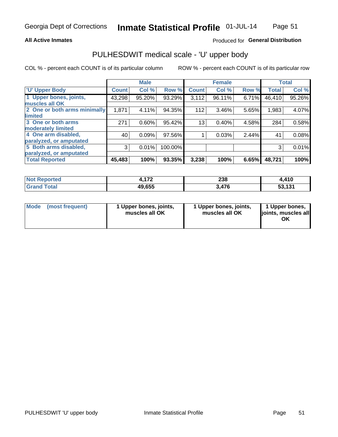#### **All Active Inmates**

## Produced for General Distribution

# PULHESDWIT medical scale - 'U' upper body

COL % - percent each COUNT is of its particular column

|                              |              | <b>Male</b> |         |              | <b>Female</b> |       |              | <b>Total</b> |
|------------------------------|--------------|-------------|---------|--------------|---------------|-------|--------------|--------------|
| <b>U' Upper Body</b>         | <b>Count</b> | Col %       | Row %   | <b>Count</b> | Col %         | Row % | <b>Total</b> | Col %        |
| 1 Upper bones, joints,       | 43,298       | 95.20%      | 93.29%  | 3,112        | 96.11%        | 6.71% | 46,410       | 95.26%       |
| muscles all OK               |              |             |         |              |               |       |              |              |
| 2 One or both arms minimally | 1,871        | 4.11%       | 94.35%  | 112          | $3.46\%$      | 5.65% | 1,983        | 4.07%        |
| limited                      |              |             |         |              |               |       |              |              |
| 3 One or both arms           | 271          | 0.60%       | 95.42%  | 13           | 0.40%         | 4.58% | 284          | 0.58%        |
| <b>moderately limited</b>    |              |             |         |              |               |       |              |              |
| 4 One arm disabled,          | 40           | 0.09%       | 97.56%  |              | 0.03%         | 2.44% | 41           | 0.08%        |
| paralyzed, or amputated      |              |             |         |              |               |       |              |              |
| 5 Both arms disabled,        | 3            | 0.01%       | 100.00% |              |               |       | 3            | 0.01%        |
| paralyzed, or amputated      |              |             |         |              |               |       |              |              |
| <b>Total Reported</b>        | 45,483       | 100%        | 93.35%  | 3,238        | 100%          | 6.65% | 48,721       | 100%         |

| <b>Not Reported</b> | 470<br>$\mathbf{1}$ | 238   | ,410   |
|---------------------|---------------------|-------|--------|
| <b>Total</b>        | 49,655              | 170   | E2 424 |
| <b>Grand</b>        |                     | 3.476 | 33.IJI |

|  | Mode (most frequent) | 1 Upper bones, joints,<br>muscles all OK | 1 Upper bones, joints,<br>muscles all OK | 1 Upper bones,<br>ljoints, muscles all<br>ΟK |
|--|----------------------|------------------------------------------|------------------------------------------|----------------------------------------------|
|--|----------------------|------------------------------------------|------------------------------------------|----------------------------------------------|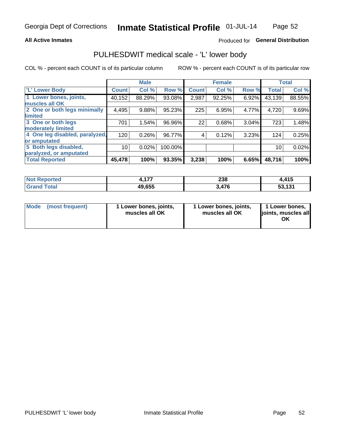#### **All Active Inmates**

## Produced for General Distribution

# PULHESDWIT medical scale - 'L' lower body

COL % - percent each COUNT is of its particular column

|                                |                 | <b>Male</b> |         |              | <b>Female</b> |       |                 | <b>Total</b> |
|--------------------------------|-----------------|-------------|---------|--------------|---------------|-------|-----------------|--------------|
| 'L' Lower Body                 | <b>Count</b>    | Col %       | Row %   | <b>Count</b> | Col %         | Row % | <b>Total</b>    | Col %        |
| 1 Lower bones, joints,         | 40,152          | 88.29%      | 93.08%  | 2,987        | 92.25%        | 6.92% | 43,139          | 88.55%       |
| muscles all OK                 |                 |             |         |              |               |       |                 |              |
| 2 One or both legs minimally   | 4,495           | 9.88%       | 95.23%  | 225          | 6.95%         | 4.77% | 4,720           | 9.69%        |
| limited                        |                 |             |         |              |               |       |                 |              |
| 3 One or both legs             | 701             | 1.54%       | 96.96%  | 22           | 0.68%         | 3.04% | 723             | 1.48%        |
| moderately limited             |                 |             |         |              |               |       |                 |              |
| 4 One leg disabled, paralyzed, | 120             | 0.26%       | 96.77%  | 4            | 0.12%         | 3.23% | 124             | 0.25%        |
| or amputated                   |                 |             |         |              |               |       |                 |              |
| 5 Both legs disabled,          | 10 <sup>1</sup> | 0.02%       | 100.00% |              |               |       | 10 <sub>1</sub> | 0.02%        |
| paralyzed, or amputated        |                 |             |         |              |               |       |                 |              |
| <b>Total Reported</b>          | 45,478          | 100%        | 93.35%  | 3,238        | 100%          | 6.65% | 48,716          | 100%         |

| <b>Not Reported</b> | $\overline{a}$<br>. | 238   | .415،  |
|---------------------|---------------------|-------|--------|
| <b>Total</b>        | 49,655              | 170   | E2 424 |
| Grand               |                     | 3.476 | 33.IJI |

|  | Mode (most frequent) | 1 Lower bones, joints,<br>muscles all OK | 1 Lower bones, joints,<br>muscles all OK | 1 Lower bones,<br>joints, muscles all<br>ΟK |
|--|----------------------|------------------------------------------|------------------------------------------|---------------------------------------------|
|--|----------------------|------------------------------------------|------------------------------------------|---------------------------------------------|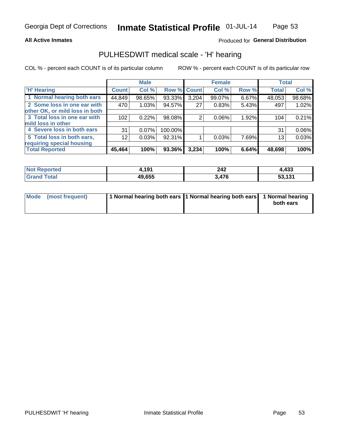#### **All Active Inmates**

## Produced for General Distribution

## PULHESDWIT medical scale - 'H' hearing

COL % - percent each COUNT is of its particular column

|                                |                 | <b>Male</b> |                    |       | <b>Female</b> |       | <b>Total</b> |          |
|--------------------------------|-----------------|-------------|--------------------|-------|---------------|-------|--------------|----------|
| <b>'H' Hearing</b>             | <b>Count</b>    | Col %       | <b>Row % Count</b> |       | Col %         | Row % | <b>Total</b> | Col %    |
| 1 Normal hearing both ears     | 44,849          | 98.65%      | 93.33%             | 3,204 | 99.07%        | 6.67% | 48,053       | 98.68%   |
| 2 Some loss in one ear with    | 470             | 1.03%       | 94.57%             | 27    | 0.83%         | 5.43% | 497          | 1.02%    |
| other OK, or mild loss in both |                 |             |                    |       |               |       |              |          |
| 3 Total loss in one ear with   | 102             | 0.22%       | 98.08%             | 2     | 0.06%         | 1.92% | 104          | 0.21%    |
| mild loss in other             |                 |             |                    |       |               |       |              |          |
| 4 Severe loss in both ears     | 31              | $0.07\%$    | 100.00%            |       |               |       | 31           | $0.06\%$ |
| 5 Total loss in both ears,     | 12 <sub>1</sub> | 0.03%       | 92.31%             |       | 0.03%         | 7.69% | 13           | 0.03%    |
| requiring special housing      |                 |             |                    |       |               |       |              |          |
| <b>Total Reported</b>          | 45,464          | 100%        | 93.36%             | 3,234 | 100%          | 6.64% | 48,698       | 100%     |

| <b>Not Reported</b> | , 191  | 242 | 4,433                 |
|---------------------|--------|-----|-----------------------|
| <b>Total</b>        | 49.655 | 17C | 424<br>-^<br>JJ, IJ I |

| Mode (most frequent) | 1 Normal hearing both ears 11 Normal hearing both ears 1 Normal hearing | both ears |
|----------------------|-------------------------------------------------------------------------|-----------|
|                      |                                                                         |           |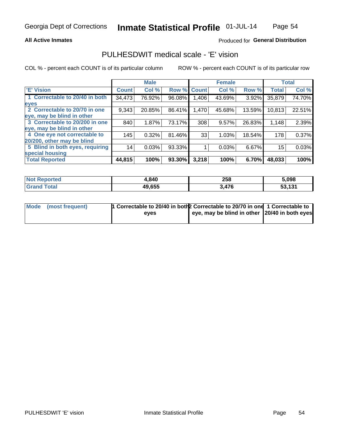#### **All Active Inmates**

## Produced for General Distribution

# PULHESDWIT medical scale - 'E' vision

COL % - percent each COUNT is of its particular column

|                                 |              | <b>Male</b> |        |              | <b>Female</b> |        |              | <b>Total</b> |
|---------------------------------|--------------|-------------|--------|--------------|---------------|--------|--------------|--------------|
| <b>E' Vision</b>                | <b>Count</b> | Col %       | Row %  | <b>Count</b> | Col %         | Row %  | <b>Total</b> | Col %        |
| 1 Correctable to 20/40 in both  | 34,473       | 76.92%      | 96.08% | ,406         | 43.69%        | 3.92%  | 35,879       | 74.70%       |
| eyes                            |              |             |        |              |               |        |              |              |
| 2 Correctable to 20/70 in one   | 9,343        | 20.85%      | 86.41% | 1,470        | 45.68%        | 13.59% | 10,813       | 22.51%       |
| eye, may be blind in other      |              |             |        |              |               |        |              |              |
| 3 Correctable to 20/200 in one  | 840          | 1.87%       | 73.17% | 308          | 9.57%         | 26.83% | 1,148        | 2.39%        |
| eye, may be blind in other      |              |             |        |              |               |        |              |              |
| 4 One eye not correctable to    | 145          | 0.32%       | 81.46% | 33           | 1.03%         | 18.54% | 178          | 0.37%        |
| 20/200, other may be blind      |              |             |        |              |               |        |              |              |
| 5 Blind in both eyes, requiring | 14           | 0.03%       | 93.33% |              | 0.03%         | 6.67%  | 15           | 0.03%        |
| special housing                 |              |             |        |              |               |        |              |              |
| <b>Total Reported</b>           | 44,815       | 100%        | 93.30% | 3,218        | 100%          | 6.70%  | 48,033       | 100%         |

| <b>Not Reported</b> | .840،  | 258   | 5,098  |
|---------------------|--------|-------|--------|
| Гоtа                | 49,655 | 3,476 | E2 121 |

| Mode (most frequent) | In Correctable to 20/40 in both 2 Correctable to 20/70 in one 1 Correctable to |                                               |  |
|----------------------|--------------------------------------------------------------------------------|-----------------------------------------------|--|
|                      | eves                                                                           | eye, may be blind in other 20/40 in both eyes |  |
|                      |                                                                                |                                               |  |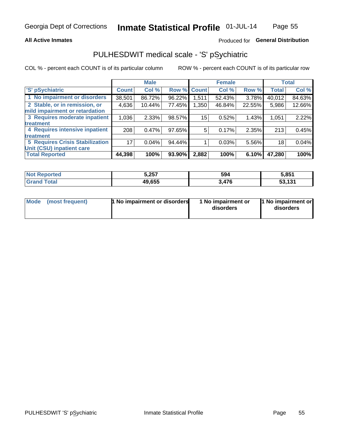#### **All Active Inmates**

## Produced for General Distribution

# PULHESDWIT medical scale - 'S' pSychiatric

COL % - percent each COUNT is of its particular column

|                                        |              | <b>Male</b> |        |              | <b>Female</b> |        |              | <b>Total</b> |
|----------------------------------------|--------------|-------------|--------|--------------|---------------|--------|--------------|--------------|
| 'S' pSychiatric                        | <b>Count</b> | Col %       | Row %  | <b>Count</b> | Col %         | Row %  | <b>Total</b> | Col %        |
| 1 No impairment or disorders           | 38,501       | 86.72%      | 96.22% | 1,511        | 52.43%        | 3.78%  | 40,012       | 84.63%       |
| 2 Stable, or in remission, or          | 4,636        | 10.44%      | 77.45% | .350         | 46.84%        | 22.55% | 5,986        | 12.66%       |
| mild impairment or retardation         |              |             |        |              |               |        |              |              |
| 3 Requires moderate inpatient          | 1,036        | 2.33%       | 98.57% | 15           | 0.52%         | 1.43%  | 1,051        | 2.22%        |
| treatment                              |              |             |        |              |               |        |              |              |
| 4 Requires intensive inpatient         | 208          | 0.47%       | 97.65% | 5            | 0.17%         | 2.35%  | 213          | 0.45%        |
| treatment                              |              |             |        |              |               |        |              |              |
| <b>5 Requires Crisis Stabilization</b> | 17           | 0.04%       | 94.44% |              | 0.03%         | 5.56%  | 18           | 0.04%        |
| Unit (CSU) inpatient care              |              |             |        |              |               |        |              |              |
| <b>Total Reported</b>                  | 44,398       | 100%        | 93.90% | 2,882        | 100%          | 6.10%  | 47,280       | 100%         |

| <b>Not Reported</b> | 5,257  | 594   | 5,851                   |
|---------------------|--------|-------|-------------------------|
| Total               | 49,655 | 3,476 | <b>EQ 404</b><br>33.IJI |

| Mode<br>1 No impairment or disorders<br>(most frequent) | 1 No impairment or<br>disorders | 1 No impairment or<br>disorders |
|---------------------------------------------------------|---------------------------------|---------------------------------|
|---------------------------------------------------------|---------------------------------|---------------------------------|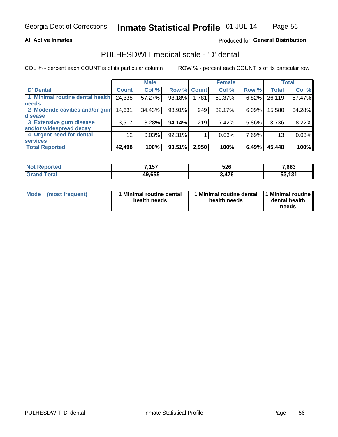#### **All Active Inmates**

## Produced for General Distribution

# PULHESDWIT medical scale - 'D' dental

COL % - percent each COUNT is of its particular column

|                                 |              | <b>Male</b> |        |             | <b>Female</b> |          |              | <b>Total</b> |
|---------------------------------|--------------|-------------|--------|-------------|---------------|----------|--------------|--------------|
| <b>D'</b> Dental                | <b>Count</b> | Col %       |        | Row % Count | Col %         | Row %    | <b>Total</b> | Col %        |
| 1 Minimal routine dental health | 24,338       | 57.27%      | 93.18% | 1,781       | 60.37%        | $6.82\%$ | 26,119       | 57.47%       |
| <b>needs</b>                    |              |             |        |             |               |          |              |              |
| 2 Moderate cavities and/or gum  | 14,631       | 34.43%      | 93.91% | 949         | 32.17%        | 6.09%    | 15,580       | 34.28%       |
| disease                         |              |             |        |             |               |          |              |              |
| 3 Extensive gum disease         | 3,517        | 8.28%       | 94.14% | 219         | 7.42%         | 5.86%    | 3,736        | 8.22%        |
| and/or widespread decay         |              |             |        |             |               |          |              |              |
| 4 Urgent need for dental        | 12           | 0.03%       | 92.31% |             | 0.03%         | 7.69%    | 13           | 0.03%        |
| <b>services</b>                 |              |             |        |             |               |          |              |              |
| <b>Total Reported</b>           | 42,498       | 100%        | 93.51% | 2,950       | 100%          | 6.49%    | 45,448       | 100%         |

| Reported<br>NO. | 7457<br>197 | 526  | 7,683              |
|-----------------|-------------|------|--------------------|
| 'otal           | 49,655      | ,476 | ED ADA<br>JJ, IJ I |

| <b>Mode</b> | (most frequent) | Minimal routine dental<br>health needs | 1 Minimal routine dental 11 Minimal routine<br>health needs | dental health<br>needs |
|-------------|-----------------|----------------------------------------|-------------------------------------------------------------|------------------------|
|-------------|-----------------|----------------------------------------|-------------------------------------------------------------|------------------------|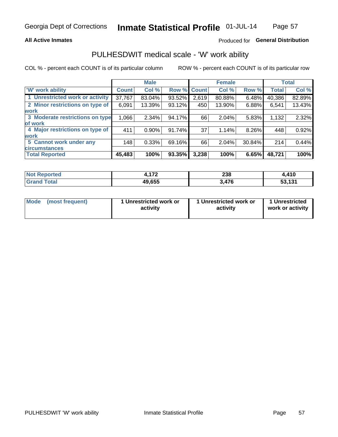## **All Active Inmates**

## Produced for General Distribution

# PULHESDWIT medical scale - 'W' work ability

COL % - percent each COUNT is of its particular column

|                                 |               | <b>Male</b> |        |              | <b>Female</b> |        |              | <b>Total</b> |
|---------------------------------|---------------|-------------|--------|--------------|---------------|--------|--------------|--------------|
| <b>W' work ability</b>          | <b>Count!</b> | Col %       | Row %  | <b>Count</b> | Col %         | Row %  | <b>Total</b> | Col %        |
| 1 Unrestricted work or activity | 37,767        | 83.04%      | 93.52% | 2,619        | 80.88%        | 6.48%  | 40,386       | 82.89%       |
| 2 Minor restrictions on type of | 6,091         | 13.39%      | 93.12% | 450          | 13.90%        | 6.88%  | 6,541        | 13.43%       |
| <b>work</b>                     |               |             |        |              |               |        |              |              |
| 3 Moderate restrictions on type | 1,066         | 2.34%       | 94.17% | 66           | 2.04%         | 5.83%  | 1,132        | 2.32%        |
| of work                         |               |             |        |              |               |        |              |              |
| 4 Major restrictions on type of | 411           | 0.90%       | 91.74% | 37           | 1.14%         | 8.26%  | 448          | 0.92%        |
| <b>work</b>                     |               |             |        |              |               |        |              |              |
| 5 Cannot work under any         | 148           | 0.33%       | 69.16% | 66           | 2.04%         | 30.84% | 214          | 0.44%        |
| <b>circumstances</b>            |               |             |        |              |               |        |              |              |
| <b>Total Reported</b>           | 45,483        | 100%        | 93.35% | 3,238        | 100%          | 6.65%  | 48,721       | 100%         |

| <b>Anorted</b> | 170            | 238 | $\overline{A}$         |
|----------------|----------------|-----|------------------------|
| N              | .              | - - | 7 I V                  |
| Гоtal          | 49.655<br>כט ס | 476 | <b>EQ 404</b><br>1 J I |

| Mode            | 1 Unrestricted work or | 1 Unrestricted work or | 1 Unrestricted   |
|-----------------|------------------------|------------------------|------------------|
| (most frequent) | activity               | activity               | work or activity |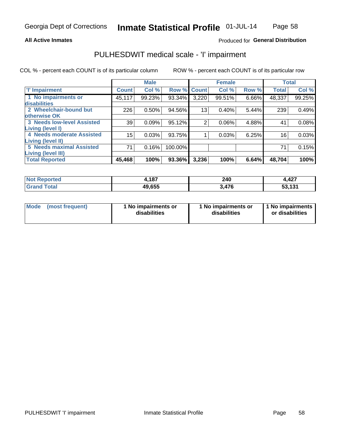#### **All Active Inmates**

## Produced for General Distribution

# PULHESDWIT medical scale - 'I' impairment

COL % - percent each COUNT is of its particular column ROW % - percent each COUNT is of its particular row

|                                 |              | <b>Male</b> |         |                    | <b>Female</b> |       |              | <b>Total</b> |
|---------------------------------|--------------|-------------|---------|--------------------|---------------|-------|--------------|--------------|
| 'l' Impairment                  | <b>Count</b> | Col %       |         | <b>Row % Count</b> | Col %         | Row % | <b>Total</b> | Col %        |
| 1 No impairments or             | 45,117       | 99.23%      | 93.34%  | 3,220              | 99.51%        | 6.66% | 48,337       | 99.25%       |
| disabilities                    |              |             |         |                    |               |       |              |              |
| 2 Wheelchair-bound but          | 226          | 0.50%       | 94.56%  | 13 <sub>1</sub>    | 0.40%         | 5.44% | 239          | 0.49%        |
| otherwise OK                    |              |             |         |                    |               |       |              |              |
| 3 Needs low-level Assisted      | 39           | 0.09%       | 95.12%  | $\overline{2}$     | 0.06%         | 4.88% | 41           | 0.08%        |
| Living (level I)                |              |             |         |                    |               |       |              |              |
| 4 Needs moderate Assisted       | 15           | 0.03%       | 93.75%  |                    | 0.03%         | 6.25% | 16           | 0.03%        |
| <b>Living (level II)</b>        |              |             |         |                    |               |       |              |              |
| <b>5 Needs maximal Assisted</b> | 71           | 0.16%       | 100.00% |                    |               |       | 71           | 0.15%        |
| <b>Living (level III)</b>       |              |             |         |                    |               |       |              |              |
| <b>Total Reported</b>           | 45,468       | 100%        | 93.36%  | 3,236              | 100%          | 6.64% | 48,704       | 100%         |

| ਾted | <b>407</b> | 240                   | 4,427            |
|------|------------|-----------------------|------------------|
| NO1  | .          | $\sim$                |                  |
|      | 49,655     | $\rightarrow$<br>- 76 | 494<br>ाञा<br>აა |

| <b>Mode</b> | (most frequent) | <b>No impairments or</b><br>disabilities | 1 No impairments or<br>disabilities | 1 No impairments<br>or disabilities |
|-------------|-----------------|------------------------------------------|-------------------------------------|-------------------------------------|
|-------------|-----------------|------------------------------------------|-------------------------------------|-------------------------------------|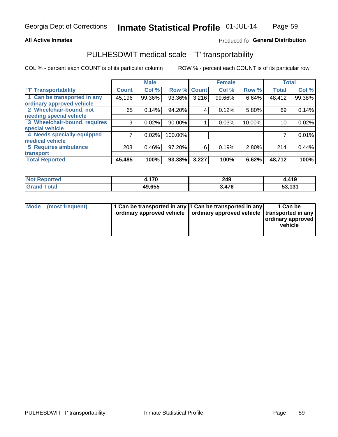#### **All Active Inmates**

## Produced fo General Distribution

# PULHESDWIT medical scale - 'T' transportability

COL % - percent each COUNT is of its particular column

|                              |                    | <b>Male</b> |           |              | <b>Female</b> |        |              | <b>Total</b> |
|------------------------------|--------------------|-------------|-----------|--------------|---------------|--------|--------------|--------------|
| <b>T' Transportability</b>   | Count <sup>!</sup> | Col %       | Row %     | <b>Count</b> | Col %         | Row %  | <b>Total</b> | Col %        |
| 1 Can be transported in any  | 45,196             | 99.36%      | 93.36%    | 3,216        | 99.66%        | 6.64%  | 48,412       | 99.38%       |
| ordinary approved vehicle    |                    |             |           |              |               |        |              |              |
| 2 Wheelchair-bound, not      | 65                 | 0.14%       | 94.20%    | 4            | 0.12%         | 5.80%  | 69           | 0.14%        |
| needing special vehicle      |                    |             |           |              |               |        |              |              |
| 3 Wheelchair-bound, requires | 9                  | 0.02%       | $90.00\%$ |              | 0.03%         | 10.00% | 10           | 0.02%        |
| special vehicle              |                    |             |           |              |               |        |              |              |
| 4 Needs specially-equipped   |                    | 0.02%       | 100.00%   |              |               |        |              | 0.01%        |
| medical vehicle              |                    |             |           |              |               |        |              |              |
| <b>5 Requires ambulance</b>  | 208                | 0.46%       | 97.20%    | 6            | 0.19%         | 2.80%  | 214          | 0.44%        |
| transport                    |                    |             |           |              |               |        |              |              |
| <b>Total Reported</b>        | 45,485             | 100%        | 93.38%    | 3,227        | 100%          | 6.62%  | 48,712       | 100%         |

| <b>Not</b> | 170    | 249         | 4,419            |
|------------|--------|-------------|------------------|
| Reported   | 1 V    | $\sim$      |                  |
| Total      | 49,655 | 17C<br>41 V | 494<br>151<br>ວວ |

|  | Mode (most frequent) | 1 Can be transported in any 1 Can be transported in any<br>ordinary approved vehicle   ordinary approved vehicle   transported in any |  | 1 Can be<br>  ordinary approved  <br>vehicle |
|--|----------------------|---------------------------------------------------------------------------------------------------------------------------------------|--|----------------------------------------------|
|--|----------------------|---------------------------------------------------------------------------------------------------------------------------------------|--|----------------------------------------------|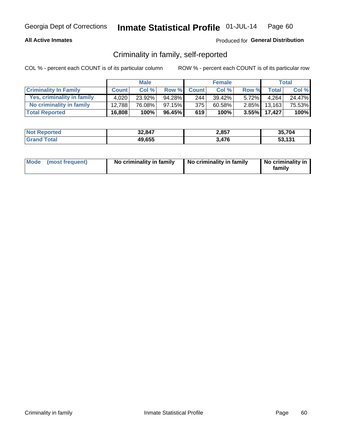### **All Active Inmates**

## Produced for General Distribution

## Criminality in family, self-reported

COL % - percent each COUNT is of its particular column

|                              |              | <b>Male</b> |           |              | <b>Female</b> |          |              | Total  |
|------------------------------|--------------|-------------|-----------|--------------|---------------|----------|--------------|--------|
| <b>Criminality In Family</b> | <b>Count</b> | Col %       | Row %     | <b>Count</b> | Col %         | Row %    | <b>Total</b> | Col %  |
| Yes, criminality in family   | 4.020        | 23.92%      | 94.28%    | 244          | 39.42%        | $5.72\%$ | 4,264        | 24.47% |
| No criminality in family     | 12.788       | 76.08%      | $97.15\%$ | 375          | 60.58%        | $2.85\%$ | 13,163       | 75.53% |
| <b>Total Reported</b>        | 16,808       | 100%        | 96.45%    | 619          | 100%          |          | 3.55% 17,427 | 100%   |

| <b>Not</b><br>Reported | 32,847 | 2,857 | 35.704 |
|------------------------|--------|-------|--------|
| <b>ota</b>             | 49,655 | 476   | 53.131 |

|  | Mode (most frequent) | No criminality in family | No criminality in family | No criminality in<br>family |
|--|----------------------|--------------------------|--------------------------|-----------------------------|
|--|----------------------|--------------------------|--------------------------|-----------------------------|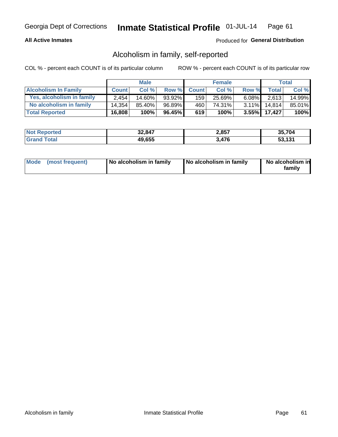## **All Active Inmates**

## Produced for General Distribution

## Alcoholism in family, self-reported

COL % - percent each COUNT is of its particular column

|                             |              | <b>Male</b> |        |              | <b>Female</b> |          |              | Total  |
|-----------------------------|--------------|-------------|--------|--------------|---------------|----------|--------------|--------|
| <b>Alcoholism In Family</b> | <b>Count</b> | Col %       | Row %  | <b>Count</b> | Col %         | Row %    | <b>Total</b> | Col %  |
| Yes, alcoholism in family   | 2.454        | 14.60%      | 93.92% | 159          | 25.69%        | $6.08\%$ | 2,613        | 14.99% |
| No alcoholism in family     | 14.354       | 85.40%      | 96.89% | 460          | 74.31%        | $3.11\%$ | 14.814       | 85.01% |
| <b>Total Reported</b>       | 16,808       | 100%        | 96.45% | 619          | 100%          |          | 3.55% 17,427 | 100%   |

| <b>Not Reported</b> | 32,847 | 2,857 | 35.704 |
|---------------------|--------|-------|--------|
| l Grand<br>īotal    | 49,655 | 3,476 | 53.131 |

|  | Mode (most frequent) | No alcoholism in family | No alcoholism in family | No alcoholism in<br>family |
|--|----------------------|-------------------------|-------------------------|----------------------------|
|--|----------------------|-------------------------|-------------------------|----------------------------|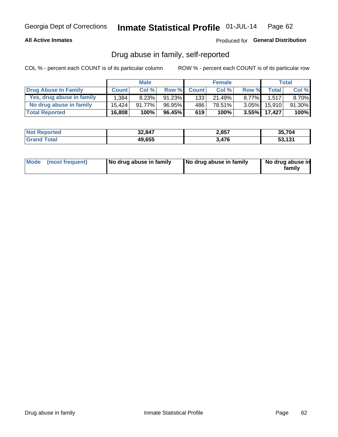### **All Active Inmates**

## Produced for General Distribution

## Drug abuse in family, self-reported

COL % - percent each COUNT is of its particular column

|                           |              | <b>Male</b> |           |              | <b>Female</b> |          |              | Total  |
|---------------------------|--------------|-------------|-----------|--------------|---------------|----------|--------------|--------|
| Drug Abuse In Family      | <b>Count</b> | Col%        | Row %     | <b>Count</b> | Col%          | Row %    | Total        | Col %  |
| Yes, drug abuse in family | 1.384        | 8.23%       | $91.23\%$ | 133          | 21.49%        | $8.77\%$ | 1.517        | 8.70%  |
| No drug abuse in family   | 15.424       | 91.77%      | 96.95%    | 486          | 78.51%        | $3.05\%$ | 15,910       | 91.30% |
| <b>Total Reported</b>     | 16,808       | 100%        | 96.45%    | 619          | 100%          |          | 3.55% 17,427 | 100%   |

| <b>Not</b><br><b>Reported</b> | 32,847 | 2,857 | 35.704       |
|-------------------------------|--------|-------|--------------|
| 'ota                          | 49,655 | 476   | 53.131<br>ວວ |

|  | Mode (most frequent) | No drug abuse in family | No drug abuse in family | No drug abuse in<br>familv |
|--|----------------------|-------------------------|-------------------------|----------------------------|
|--|----------------------|-------------------------|-------------------------|----------------------------|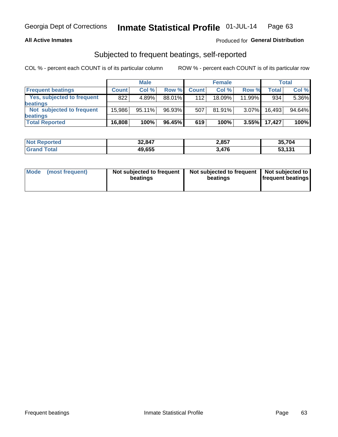#### **All Active Inmates**

## Produced for General Distribution

## Subjected to frequent beatings, self-reported

COL % - percent each COUNT is of its particular column

|                            |              | <b>Male</b> |        |              | <b>Female</b> |          |        | Total  |
|----------------------------|--------------|-------------|--------|--------------|---------------|----------|--------|--------|
| <b>Frequent beatings</b>   | <b>Count</b> | Col %       | Row %  | <b>Count</b> | Col %         | Row %    | Total  | Col %  |
| Yes, subjected to frequent | 822          | 4.89%       | 88.01% | 112          | $18.09\%$     | 11.99%   | 934    | 5.36%  |
| beatings                   |              |             |        |              |               |          |        |        |
| Not subjected to frequent  | 15.986       | 95.11%      | 96.93% | 507          | $81.91\%$     | $3.07\%$ | 16,493 | 94.64% |
| beatings                   |              |             |        |              |               |          |        |        |
| <b>Total Reported</b>      | 16,808       | 100%        | 96.45% | 619          | 100%          | 3.55%    | 17.427 | 100%   |

| <b>Not</b><br>Reported | 32,847 | 2,857 | 35,704 |
|------------------------|--------|-------|--------|
| <b>'Grand Total</b>    | 49,655 | 3,476 | 53,131 |

| Mode (most frequent) | Not subjected to frequent<br>beatings | Not subjected to frequent<br>beatings | Not subjected to<br><b>frequent beatings</b> |
|----------------------|---------------------------------------|---------------------------------------|----------------------------------------------|
|                      |                                       |                                       |                                              |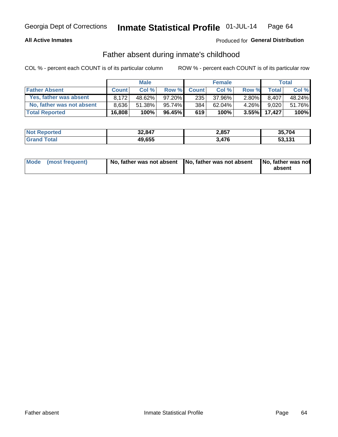#### **All Active Inmates**

## Produced for General Distribution

## Father absent during inmate's childhood

COL % - percent each COUNT is of its particular column

|                           |              | <b>Male</b> |           |              | <b>Female</b> |          |        | <b>Total</b> |
|---------------------------|--------------|-------------|-----------|--------------|---------------|----------|--------|--------------|
| <b>Father Absent</b>      | <b>Count</b> | Col%        | Row %     | <b>Count</b> | Col %         | Row %    | Total  | Col %        |
| Yes, father was absent    | 8.172        | 48.62%      | 97.20%    | 235          | 37.96%        | $2.80\%$ | 8.407  | 48.24%       |
| No, father was not absent | 8.636        | $51.38\%$   | 95.74%    | 384          | 62.04%        | $4.26\%$ | 9.020  | 51.76%       |
| <b>Total Reported</b>     | 16,808       | 100%        | $96.45\%$ | 619          | 100%          | $3.55\%$ | 17,427 | 100%         |

| <b>Not Reported</b> | 32,847 | 2,857 | 35,704 |
|---------------------|--------|-------|--------|
| <b>Srand Total</b>  | 49,655 | 3,476 | 53,131 |

|  | Mode (most frequent) | No, father was not absent No, father was not absent |  | No, father was not<br>absent |
|--|----------------------|-----------------------------------------------------|--|------------------------------|
|--|----------------------|-----------------------------------------------------|--|------------------------------|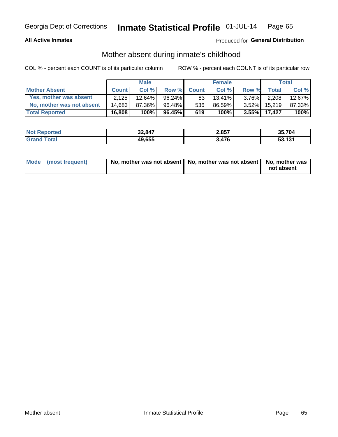## **All Active Inmates**

## Produced for General Distribution

## Mother absent during inmate's childhood

COL % - percent each COUNT is of its particular column

|                           | <b>Male</b>  |           |           | <b>Female</b> |        |          | <b>Total</b> |        |
|---------------------------|--------------|-----------|-----------|---------------|--------|----------|--------------|--------|
| <b>Mother Absent</b>      | <b>Count</b> | Col%      | Row %     | <b>Count</b>  | Col %  | Row %    | Total        | Col %  |
| Yes, mother was absent    | 2.125        | $12.64\%$ | $96.24\%$ | 83            | 13.41% | $3.76\%$ | 2,208        | 12.67% |
| No, mother was not absent | 14.683       | 87.36%    | 96.48%    | 536           | 86.59% | $3.52\%$ | 15.219       | 87.33% |
| <b>Total Reported</b>     | 16,808       | 100%      | $96.45\%$ | 619           | 100%   | $3.55\%$ | 17,427       | 100%   |

| <b>Not</b><br><b>Reported</b> | 32,847 | 2,857 | 35.704       |
|-------------------------------|--------|-------|--------------|
| <b>ota</b>                    | 49,655 | 3,476 | 53.131<br>ാാ |

| Mode (most frequent) | No, mother was not absent   No, mother was not absent   No, mother was | not absent |
|----------------------|------------------------------------------------------------------------|------------|
|                      |                                                                        |            |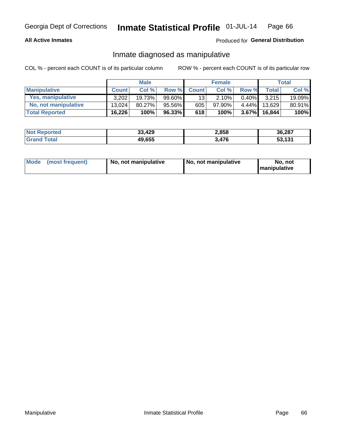### **All Active Inmates**

## Produced for General Distribution

## Inmate diagnosed as manipulative

COL % - percent each COUNT is of its particular column

|                       | <b>Male</b>  |        |        | <b>Female</b> |        |          | Total        |        |
|-----------------------|--------------|--------|--------|---------------|--------|----------|--------------|--------|
| <b>Manipulative</b>   | <b>Count</b> | Col %  | Row %  | <b>Count</b>  | Col%   | Row %    | <b>Total</b> | Col %  |
| Yes, manipulative     | 3,202        | 19.73% | 99.60% | 13            | 2.10%  | 0.40%    | 3.215        | 19.09% |
| No, not manipulative  | 13.024       | 80.27% | 95.56% | 605           | 97.90% | $4.44\%$ | 13.629       | 80.91% |
| <b>Total Reported</b> | 16,226       | 100%   | 96.33% | 618           | 100%   | 3.67%    | 16.844       | 100%   |

| <b>Not Reported</b> | 33,429 | 2,858 | 36,287 |
|---------------------|--------|-------|--------|
| l Grand T<br>Гоtаl  | 49,655 | 3,476 | 53,131 |

|  | Mode (most frequent) | No, not manipulative | No, not manipulative | No. not<br><b>I</b> manipulative |
|--|----------------------|----------------------|----------------------|----------------------------------|
|--|----------------------|----------------------|----------------------|----------------------------------|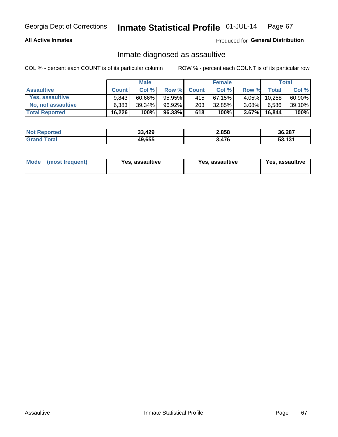### **All Active Inmates**

## Produced for General Distribution

## Inmate diagnosed as assaultive

COL % - percent each COUNT is of its particular column

|                       |              | <b>Male</b> |        |              | <b>Female</b> |          |        | Total  |
|-----------------------|--------------|-------------|--------|--------------|---------------|----------|--------|--------|
| <b>Assaultive</b>     | <b>Count</b> | Col%        | Row %  | <b>Count</b> | Col %         | Row %    | Total  | Col %  |
| Yes, assaultive       | 9.843        | $60.66\%$   | 95.95% | 415          | 67.15%        | 4.05%    | 10,258 | 60.90% |
| No, not assaultive    | 6.383        | $39.34\%$   | 96.92% | 203          | 32.85%        | $3.08\%$ | 6,586  | 39.10% |
| <b>Total Reported</b> | 16,226       | 100%        | 96.33% | 618          | 100%          | $3.67\%$ | 16.844 | 100%   |

| <b>Not Reported</b> | 33,429 | 2,858 | 36,287       |
|---------------------|--------|-------|--------------|
| ⊺otai               | 49,655 | 3,476 | 53.131<br>ാാ |

| Mode<br>(most frequent) | <b>Yes, assaultive</b> | Yes, assaultive | <b>Yes, assaultive</b> |
|-------------------------|------------------------|-----------------|------------------------|
|-------------------------|------------------------|-----------------|------------------------|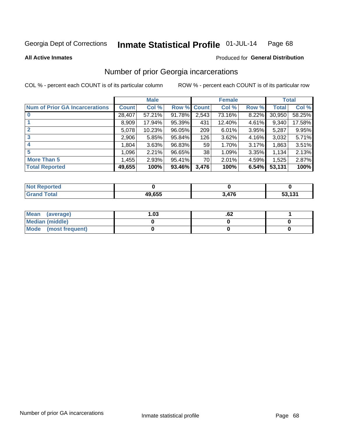#### Inmate Statistical Profile 01-JUL-14 Page 68

**All Active Inmates** 

### **Produced for General Distribution**

# Number of prior Georgia incarcerations

COL % - percent each COUNT is of its particular column

|                                       |              | <b>Male</b> |                    |                 | <b>Female</b> |       |        | <b>Total</b> |
|---------------------------------------|--------------|-------------|--------------------|-----------------|---------------|-------|--------|--------------|
| <b>Num of Prior GA Incarcerations</b> | <b>Count</b> | Col %       | <b>Row % Count</b> |                 | Col %         | Row % | Total  | Col %        |
| $\bf{0}$                              | 28,407       | 57.21%      | 91.78%             | 2,543           | 73.16%        | 8.22% | 30,950 | 58.25%       |
|                                       | 8,909        | 17.94%      | 95.39%             | 431             | 12.40%        | 4.61% | 9,340  | 17.58%       |
| $\mathbf{2}$                          | 5,078        | 10.23%      | 96.05%             | 209             | 6.01%         | 3.95% | 5,287  | 9.95%        |
| 3                                     | 2,906        | 5.85%       | 95.84%             | 126             | 3.62%         | 4.16% | 3,032  | 5.71%        |
| 4                                     | 1,804        | 3.63%       | 96.83%             | 59 <sub>1</sub> | 1.70%         | 3.17% | 1,863  | 3.51%        |
| 5                                     | 1,096        | 2.21%       | 96.65%             | 38              | 1.09%         | 3.35% | 1,134  | 2.13%        |
| <b>More Than 5</b>                    | 1,455        | 2.93%       | 95.41%             | 70 l            | 2.01%         | 4.59% | 1,525  | 2.87%        |
| <b>Total Reported</b>                 | 49,655       | 100%        | 93.46%             | 3,476           | 100%          | 6.54% | 53,131 | 100%         |

| <b>Not</b><br>Reported |        |       |        |
|------------------------|--------|-------|--------|
| Total<br>"Gran∟        | 49,655 | 3,476 | 53,131 |

| Mean (average)         | ∣.03 | .oz |  |
|------------------------|------|-----|--|
| <b>Median (middle)</b> |      |     |  |
| Mode (most frequent)   |      |     |  |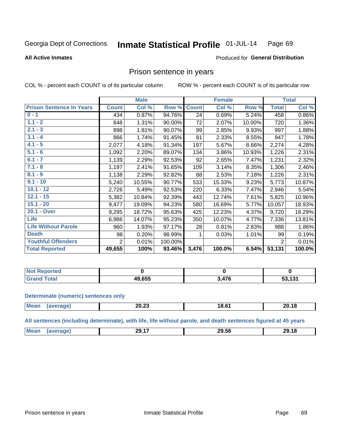#### Inmate Statistical Profile 01-JUL-14 Page 69

**All Active Inmates** 

#### Produced for General Distribution

## Prison sentence in years

COL % - percent each COUNT is of its particular column

ROW % - percent each COUNT is of its particular row

|                                 | <b>Male</b>    |        |         | <b>Female</b> |        |        | <b>Total</b>   |        |
|---------------------------------|----------------|--------|---------|---------------|--------|--------|----------------|--------|
| <b>Prison Sentence In Years</b> | <b>Count</b>   | Col %  | Row %   | <b>Count</b>  | Col %  | Row %  | <b>Total</b>   | Col %  |
| $0 - 1$                         | 434            | 0.87%  | 94.76%  | 24            | 0.69%  | 5.24%  | 458            | 0.86%  |
| $1.1 - 2$                       | 648            | 1.31%  | 90.00%  | 72            | 2.07%  | 10.00% | 720            | 1.36%  |
| $2.1 - 3$                       | 898            | 1.81%  | 90.07%  | 99            | 2.85%  | 9.93%  | 997            | 1.88%  |
| $3.1 - 4$                       | 866            | 1.74%  | 91.45%  | 81            | 2.33%  | 8.55%  | 947            | 1.78%  |
| $4.1 - 5$                       | 2,077          | 4.18%  | 91.34%  | 197           | 5.67%  | 8.66%  | 2,274          | 4.28%  |
| $5.1 - 6$                       | 1,092          | 2.20%  | 89.07%  | 134           | 3.86%  | 10.93% | 1,226          | 2.31%  |
| $6.1 - 7$                       | 1,139          | 2.29%  | 92.53%  | 92            | 2.65%  | 7.47%  | 1,231          | 2.32%  |
| $7.1 - 8$                       | 1,197          | 2.41%  | 91.65%  | 109           | 3.14%  | 8.35%  | 1,306          | 2.46%  |
| $8.1 - 9$                       | 1,138          | 2.29%  | 92.82%  | 88            | 2.53%  | 7.18%  | 1,226          | 2.31%  |
| $9.1 - 10$                      | 5,240          | 10.55% | 90.77%  | 533           | 15.33% | 9.23%  | 5,773          | 10.87% |
| $10.1 - 12$                     | 2,726          | 5.49%  | 92.53%  | 220           | 6.33%  | 7.47%  | 2,946          | 5.54%  |
| $12.1 - 15$                     | 5,382          | 10.84% | 92.39%  | 443           | 12.74% | 7.61%  | 5,825          | 10.96% |
| $15.1 - 20$                     | 9,477          | 19.09% | 94.23%  | 580           | 16.69% | 5.77%  | 10,057         | 18.93% |
| 20.1 - Over                     | 9,295          | 18.72% | 95.63%  | 425           | 12.23% | 4.37%  | 9,720          | 18.29% |
| <b>Life</b>                     | 6,986          | 14.07% | 95.23%  | 350           | 10.07% | 4.77%  | 7,336          | 13.81% |
| <b>Life Without Parole</b>      | 960            | 1.93%  | 97.17%  | 28            | 0.81%  | 2.83%  | 988            | 1.86%  |
| <b>Death</b>                    | 98             | 0.20%  | 98.99%  | 1             | 0.03%  | 1.01%  | 99             | 0.19%  |
| <b>Youthful Offenders</b>       | $\overline{2}$ | 0.01%  | 100.00% |               |        |        | $\overline{2}$ | 0.01%  |
| <b>Total Reported</b>           | 49,655         | 100%   | 93.46%  | 3,476         | 100.0% | 6.54%  | 53,131         | 100.0% |

| Reported<br>I NOT        |        |     |              |  |
|--------------------------|--------|-----|--------------|--|
| A <sub>1</sub><br>. Cart | 19.655 | 17C | 494<br>1 J I |  |

#### **Determinate (numeric) sentences only**

| <b>Mean</b> | 20.ZJ | 18.61 | mл<br>20. IO |
|-------------|-------|-------|--------------|
|             |       |       |              |

All sentences (including determinate), with life, life without parole, and death sentences figured at 45 years

| <b>Me</b><br>11100111 | --<br>$ -$<br>ıч<br>--<br>______ | 00. PC<br>,,, | $\overline{a}$<br>າ໑<br>. . |
|-----------------------|----------------------------------|---------------|-----------------------------|
|                       |                                  |               |                             |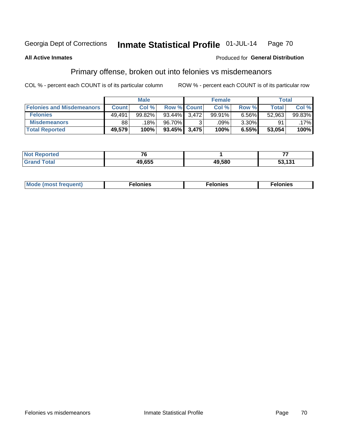#### Inmate Statistical Profile 01-JUL-14 Page 70

#### **All Active Inmates**

#### Produced for General Distribution

# Primary offense, broken out into felonies vs misdemeanors

COL % - percent each COUNT is of its particular column

|                                  | <b>Male</b>  |        |                    | <b>Female</b> |        |          | Total        |        |
|----------------------------------|--------------|--------|--------------------|---------------|--------|----------|--------------|--------|
| <b>Felonies and Misdemeanors</b> | <b>Count</b> | Col %  | <b>Row % Count</b> |               | Col %  | Row %    | <b>Total</b> | Col %  |
| <b>Felonies</b>                  | 49.491       | 99.82% | 93.44% 3.472       |               | 99.91% | 6.56%    | 52,963       | 99.83% |
| <b>Misdemeanors</b>              | 88           | 18%    | 96.70%             |               | .09%   | $3.30\%$ | 91           | .17%   |
| <b>Total Reported</b>            | 49,579       | 100%   | 93.45% 3,475       |               | 100%   | 6.55%    | 53,054       | 100%   |

| <b>Not</b><br>rted.<br>reno. | $\sim$ $\sim$ |        |                        |  |
|------------------------------|---------------|--------|------------------------|--|
| ™otai<br>Gran                | IN CEE        | 49,580 | 121<br>- -<br>วง, เง เ |  |

| Mo | ____ | 11 C.S<br>. | onies<br>. |
|----|------|-------------|------------|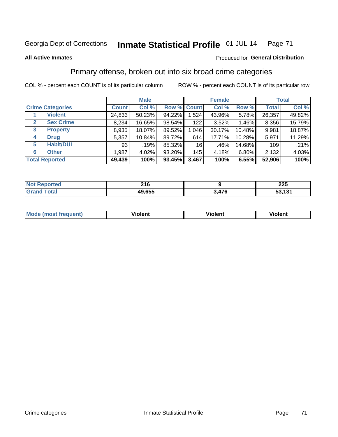# Georgia Dept of Corrections **Inmate Statistical Profile** 01-JUL-14 Page 71

#### **All Active Inmates**

#### Produced for **General Distribution**

# Primary offense, broken out into six broad crime categories

COL % - percent each COUNT is of its particular column ROW % - percent each COUNT is of its particular row

|                                  |              | <b>Male</b> |        |             | <b>Female</b> |          |              | <b>Total</b> |  |
|----------------------------------|--------------|-------------|--------|-------------|---------------|----------|--------------|--------------|--|
| <b>Crime Categories</b>          | <b>Count</b> | Col %       |        | Row % Count | Col %         | Row %    | <b>Total</b> | Col %        |  |
| <b>Violent</b>                   | 24,833       | 50.23%      | 94.22% | 1,524       | 43.96%        | 5.78%    | 26,357       | 49.82%       |  |
| <b>Sex Crime</b><br>$\mathbf{2}$ | 8,234        | 16.65%      | 98.54% | 122         | 3.52%         | $1.46\%$ | 8,356        | 15.79%       |  |
| 3<br><b>Property</b>             | 8,935        | 18.07%      | 89.52% | 1,046       | 30.17%        | 10.48%   | 9,981        | 18.87%       |  |
| <b>Drug</b><br>4                 | 5,357        | 10.84%      | 89.72% | 614         | 17.71%        | 10.28%   | 5,971        | 11.29%       |  |
| <b>Habit/DUI</b><br>5            | 93           | .19%        | 85.32% | 16          | .46%          | 14.68%   | 109          | .21%         |  |
| <b>Other</b><br>6                | 1,987        | 4.02%       | 93.20% | 145         | 4.18%         | 6.80%    | 2,132        | 4.03%        |  |
| <b>Total Reported</b>            | 49,439       | 100%        | 93.45% | 3,467       | 100%          | 6.55%    | 52,906       | 100%         |  |

| enorted<br>NC | 24C<br>2 I Y |     | 225                 |  |  |
|---------------|--------------|-----|---------------------|--|--|
| <b>otal</b>   | 49,655       | 17C | 424<br>- -<br>וטווט |  |  |

| Mode<br>freauent)<br>anst tr | .<br>/iolent | <br>Violent | .<br><b>Tiolent</b> |
|------------------------------|--------------|-------------|---------------------|
|                              |              |             |                     |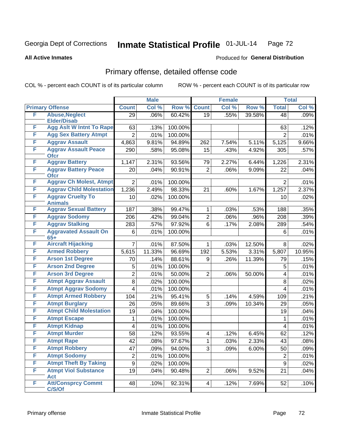# Georgia Dept of Corrections **Inmate Statistical Profile** 01-JUL-14 Page 72

**All Active Inmates**

#### Produced for **General Distribution**

# Primary offense, detailed offense code

COL % - percent each COUNT is of its particular column ROW % - percent each COUNT is of its particular row

|   |                                            |                | <b>Male</b> |         |                | <b>Female</b> |        |                | <b>Total</b> |
|---|--------------------------------------------|----------------|-------------|---------|----------------|---------------|--------|----------------|--------------|
|   | <b>Primary Offense</b>                     | <b>Count</b>   | Col %       | Row %   | <b>Count</b>   | Col %         | Row %  | <b>Total</b>   | Col %        |
| F | <b>Abuse, Neglect</b>                      | 29             | .06%        | 60.42%  | 19             | .55%          | 39.58% | 48             | .09%         |
|   | <b>Elder/Disab</b>                         |                |             |         |                |               |        |                |              |
| F | <b>Agg Aslt W Intnt To Rape</b>            | 63             | .13%        | 100.00% |                |               |        | 63             | .12%         |
| F | <b>Agg Sex Battery Atmpt</b>               | $\overline{2}$ | .01%        | 100.00% |                |               |        | $\overline{2}$ | .01%         |
| F | <b>Aggrav Assault</b>                      | 4,863          | 9.81%       | 94.89%  | 262            | 7.54%         | 5.11%  | 5,125          | 9.66%        |
| F | <b>Aggrav Assault Peace</b><br><b>Ofcr</b> | 290            | .58%        | 95.08%  | 15             | .43%          | 4.92%  | 305            | .57%         |
| F | <b>Aggrav Battery</b>                      | 1,147          | 2.31%       | 93.56%  | 79             | 2.27%         | 6.44%  | 1,226          | 2.31%        |
| F | <b>Aggrav Battery Peace</b><br><b>Ofcr</b> | 20             | .04%        | 90.91%  | $\overline{2}$ | .06%          | 9.09%  | 22             | .04%         |
| F | <b>Aggrav Ch Molest, Atmpt</b>             | $\overline{2}$ | .01%        | 100.00% |                |               |        | $\overline{2}$ | .01%         |
| F | <b>Aggrav Child Molestation</b>            | 1,236          | 2.49%       | 98.33%  | 21             | .60%          | 1.67%  | 1,257          | 2.37%        |
| F | <b>Aggrav Cruelty To</b><br><b>Animals</b> | 10             | .02%        | 100.00% |                |               |        | 10             | .02%         |
| F | <b>Aggrav Sexual Battery</b>               | 187            | .38%        | 99.47%  | 1              | .03%          | .53%   | 188            | .35%         |
| F | <b>Aggrav Sodomy</b>                       | 206            | .42%        | 99.04%  | 2              | .06%          | .96%   | 208            | .39%         |
| F | <b>Aggrav Stalking</b>                     | 283            | .57%        | 97.92%  | 6              | .17%          | 2.08%  | 289            | .54%         |
| F | <b>Aggravated Assault On</b>               | 6              | .01%        | 100.00% |                |               |        | 6              | .01%         |
|   | $65+$                                      |                |             |         |                |               |        |                |              |
| F | <b>Aircraft Hijacking</b>                  | $\overline{7}$ | .01%        | 87.50%  | 1              | .03%          | 12.50% | 8              | .02%         |
| F | <b>Armed Robbery</b>                       | 5,615          | 11.33%      | 96.69%  | 192            | 5.53%         | 3.31%  | 5,807          | 10.95%       |
| F | <b>Arson 1st Degree</b>                    | 70             | .14%        | 88.61%  | 9              | .26%          | 11.39% | 79             | .15%         |
| F | <b>Arson 2nd Degree</b>                    | 5              | .01%        | 100.00% |                |               |        | 5              | .01%         |
| F | <b>Arson 3rd Degree</b>                    | $\overline{2}$ | .01%        | 50.00%  | $\overline{2}$ | .06%          | 50.00% | 4              | .01%         |
| F | <b>Atmpt Aggrav Assault</b>                | 8              | .02%        | 100.00% |                |               |        | 8              | .02%         |
| F | <b>Atmpt Aggrav Sodomy</b>                 | 4              | .01%        | 100.00% |                |               |        | 4              | .01%         |
| F | <b>Atmpt Armed Robbery</b>                 | 104            | .21%        | 95.41%  | 5              | .14%          | 4.59%  | 109            | .21%         |
| F | <b>Atmpt Burglary</b>                      | 26             | .05%        | 89.66%  | 3              | .09%          | 10.34% | 29             | .05%         |
| F | <b>Atmpt Child Molestation</b>             | 19             | .04%        | 100.00% |                |               |        | 19             | .04%         |
| F | <b>Atmpt Escape</b>                        | 1              | .01%        | 100.00% |                |               |        | 1              | .01%         |
| F | <b>Atmpt Kidnap</b>                        | 4              | .01%        | 100.00% |                |               |        | 4              | .01%         |
| F | <b>Atmpt Murder</b>                        | 58             | .12%        | 93.55%  | 4              | .12%          | 6.45%  | 62             | .12%         |
| F | <b>Atmpt Rape</b>                          | 42             | .08%        | 97.67%  | $\mathbf{1}$   | .03%          | 2.33%  | 43             | .08%         |
| F | <b>Atmpt Robbery</b>                       | 47             | .09%        | 94.00%  | 3              | .09%          | 6.00%  | 50             | .09%         |
| F | <b>Atmpt Sodomy</b>                        | $\overline{2}$ | .01%        | 100.00% |                |               |        | $\overline{2}$ | .01%         |
| F | <b>Atmpt Theft By Taking</b>               | 9              | .02%        | 100.00% |                |               |        | 9              | .02%         |
| F | <b>Atmpt Viol Substance</b><br><b>Act</b>  | 19             | .04%        | 90.48%  | $\overline{2}$ | .06%          | 9.52%  | 21             | .04%         |
| F | <b>Att/Consprcy Commt</b><br>C/S/Of        | 48             | .10%        | 92.31%  | 4              | .12%          | 7.69%  | 52             | .10%         |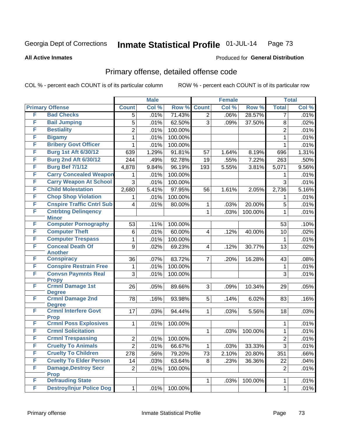**All Active Inmates**

#### Produced for **General Distribution**

## Primary offense, detailed offense code

|   |                                             | <b>Male</b>      |       | <b>Female</b> |                         |       | <b>Total</b> |                    |       |
|---|---------------------------------------------|------------------|-------|---------------|-------------------------|-------|--------------|--------------------|-------|
|   | <b>Primary Offense</b>                      | <b>Count</b>     | Col % | Row %         | <b>Count</b>            | Col % | Row %        | <b>Total</b>       | Col % |
| F | <b>Bad Checks</b>                           | 5                | .01%  | 71.43%        | $\overline{2}$          | .06%  | 28.57%       | $\overline{7}$     | .01%  |
| F | <b>Bail Jumping</b>                         | 5                | .01%  | 62.50%        | $\overline{3}$          | .09%  | 37.50%       | 8                  | .02%  |
| F | <b>Bestiality</b>                           | $\overline{c}$   | .01%  | 100.00%       |                         |       |              | $\overline{2}$     | .01%  |
| F | <b>Bigamy</b>                               | 1                | .01%  | 100.00%       |                         |       |              | $\mathbf{1}$       | .01%  |
| F | <b>Bribery Govt Officer</b>                 | 1                | .01%  | 100.00%       |                         |       |              | 1                  | .01%  |
| F | <b>Burg 1st Aft 6/30/12</b>                 | 639              | 1.29% | 91.81%        | 57                      | 1.64% | 8.19%        | 696                | 1.31% |
| F | <b>Burg 2nd Aft 6/30/12</b>                 | 244              | .49%  | 92.78%        | 19                      | .55%  | 7.22%        | 263                | .50%  |
| F | <b>Burg Bef 7/1/12</b>                      | 4,878            | 9.84% | 96.19%        | 193                     | 5.55% | 3.81%        | $\overline{5,071}$ | 9.56% |
| F | <b>Carry Concealed Weapon</b>               | 1                | .01%  | 100.00%       |                         |       |              | 1                  | .01%  |
| F | <b>Carry Weapon At School</b>               | $\overline{3}$   | .01%  | 100.00%       |                         |       |              | $\overline{3}$     | .01%  |
| F | <b>Child Molestation</b>                    | 2,680            | 5.41% | 97.95%        | 56                      | 1.61% | 2.05%        | 2,736              | 5.16% |
| F | <b>Chop Shop Violation</b>                  | 1                | .01%  | 100.00%       |                         |       |              | 1                  | .01%  |
| F | <b>Cnspire Traffic Cntrl Sub</b>            | 4                | .01%  | 80.00%        | 1                       | .03%  | 20.00%       | 5                  | .01%  |
| F | <b>Cntrbtng Delingency</b>                  |                  |       |               | $\mathbf{1}$            | .03%  | 100.00%      | 1                  | .01%  |
| F | <b>Minor</b><br><b>Computer Pornography</b> | 53               | .11%  | 100.00%       |                         |       |              | 53                 | .10%  |
| F | <b>Computer Theft</b>                       | 6                | .01%  | 60.00%        | $\overline{\mathbf{4}}$ | .12%  | 40.00%       | 10                 | .02%  |
| F | <b>Computer Trespass</b>                    | 1                | .01%  | 100.00%       |                         |       |              | 1                  | .01%  |
| F | <b>Conceal Death Of</b>                     | $\boldsymbol{9}$ | .02%  | 69.23%        | 4                       | .12%  | 30.77%       | 13                 | .02%  |
|   | <b>Another</b>                              |                  |       |               |                         |       |              |                    |       |
| F | <b>Conspiracy</b>                           | 36               | .07%  | 83.72%        | 7                       | .20%  | 16.28%       | 43                 | .08%  |
| F | <b>Conspire Restrain Free</b>               | 1                | .01%  | 100.00%       |                         |       |              | 1                  | .01%  |
| F | <b>Convsn Paymnts Real</b>                  | 3                | .01%  | 100.00%       |                         |       |              | 3                  | .01%  |
| F | <b>Propy</b><br><b>Crmnl Damage 1st</b>     | 26               | .05%  | 89.66%        | 3                       | .09%  | 10.34%       | 29                 | .05%  |
|   | <b>Degree</b>                               |                  |       |               |                         |       |              |                    |       |
| F | <b>Crmnl Damage 2nd</b><br><b>Degree</b>    | 78               | .16%  | 93.98%        | 5                       | .14%  | 6.02%        | 83                 | .16%  |
| F | <b>Crmnl Interfere Govt</b><br><b>Prop</b>  | 17               | .03%  | 94.44%        | 1                       | .03%  | 5.56%        | 18                 | .03%  |
| F | <b>Crmnl Poss Explosives</b>                | 1                | .01%  | 100.00%       |                         |       |              | 1                  | .01%  |
| F | <b>Crmnl Solicitation</b>                   |                  |       |               | 1                       | .03%  | 100.00%      | $\mathbf{1}$       | .01%  |
| F | <b>Crmnl Trespassing</b>                    | $\boldsymbol{2}$ | .01%  | 100.00%       |                         |       |              | $\overline{2}$     | .01%  |
| F | <b>Cruelty To Animals</b>                   | $\overline{c}$   | .01%  | 66.67%        | 1                       | .03%  | 33.33%       | 3                  | .01%  |
| F | <b>Cruelty To Children</b>                  | 278              | .56%  | 79.20%        | 73                      | 2.10% | 20.80%       | 351                | .66%  |
| F | <b>Cruelty To Elder Person</b>              | 14               | .03%  | 63.64%        | 8                       | .23%  | 36.36%       | 22                 | .04%  |
| F | <b>Damage, Destroy Secr</b>                 | $\overline{2}$   | .01%  | 100.00%       |                         |       |              | $\overline{2}$     | .01%  |
| F | <b>Prop</b><br><b>Defrauding State</b>      |                  |       |               |                         |       |              |                    |       |
|   |                                             |                  |       |               | 1                       | .03%  | 100.00%      | 1                  | .01%  |
| F | <b>Destroy/Injur Police Dog</b>             | 1                | .01%  | 100.00%       |                         |       |              | 1                  | .01%  |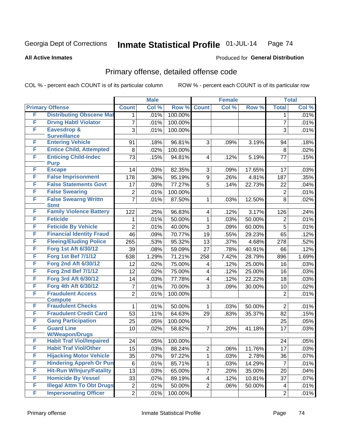#### **All Active Inmates**

#### Produced for **General Distribution**

## Primary offense, detailed offense code

|   |                                                          |                | <b>Male</b> |         |                         | <b>Female</b> |        |                | <b>Total</b> |
|---|----------------------------------------------------------|----------------|-------------|---------|-------------------------|---------------|--------|----------------|--------------|
|   | <b>Primary Offense</b>                                   | <b>Count</b>   | Col %       | Row %   | <b>Count</b>            | Col %         | Row %  | <b>Total</b>   | Col %        |
| F | <b>Distributing Obscene Mat</b>                          | 1              | .01%        | 100.00% |                         |               |        | 1              | .01%         |
| F | <b>Drvng Habtl Violator</b>                              | 7              | .01%        | 100.00% |                         |               |        | $\overline{7}$ | .01%         |
| F | Eavesdrop &                                              | 3              | .01%        | 100.00% |                         |               |        | 3              | .01%         |
|   | <b>Surveillance</b>                                      |                |             |         |                         |               |        |                |              |
| F | <b>Entering Vehicle</b>                                  | 91             | .18%        | 96.81%  | 3                       | .09%          | 3.19%  | 94             | .18%         |
| F | <b>Entice Child, Attempted</b>                           | 8              | .02%        | 100.00% |                         |               |        | 8              | .02%         |
| F | <b>Enticing Child-Indec</b>                              | 73             | .15%        | 94.81%  | $\overline{4}$          | .12%          | 5.19%  | 77             | .15%         |
| F | <b>Purp</b><br><b>Escape</b>                             | 14             | .03%        | 82.35%  | 3                       | .09%          | 17.65% | 17             | .03%         |
| F | <b>False Imprisonment</b>                                | 178            | .36%        | 95.19%  | $\mathsf g$             | .26%          | 4.81%  | 187            | .35%         |
| F | <b>False Statements Govt</b>                             | 17             | .03%        | 77.27%  | 5                       | .14%          | 22.73% | 22             | .04%         |
| F | <b>False Swearing</b>                                    | 2              | .01%        | 100.00% |                         |               |        | $\overline{2}$ | .01%         |
| F | <b>False Swearng Writtn</b>                              | $\overline{7}$ | .01%        | 87.50%  | $\mathbf{1}$            | .03%          | 12.50% | 8              | .02%         |
|   | <b>Stmt</b>                                              |                |             |         |                         |               |        |                |              |
| F | <b>Family Violence Battery</b>                           | 122            | .25%        | 96.83%  | $\overline{4}$          | .12%          | 3.17%  | 126            | .24%         |
| F | <b>Feticide</b>                                          | 1              | .01%        | 50.00%  | $\mathbf{1}$            | .03%          | 50.00% | $\overline{2}$ | .01%         |
| F | <b>Feticide By Vehicle</b>                               | $\overline{2}$ | .01%        | 40.00%  | 3                       | .09%          | 60.00% | 5              | .01%         |
| F | <b>Financial Identity Fraud</b>                          | 46             | .09%        | 70.77%  | 19                      | .55%          | 29.23% | 65             | .12%         |
| F | <b>Fleeing/Eluding Police</b>                            | 265            | .53%        | 95.32%  | 13                      | .37%          | 4.68%  | 278            | .52%         |
| F | Forg 1st Aft 6/30/12                                     | 39             | .08%        | 59.09%  | 27                      | .78%          | 40.91% | 66             | .12%         |
| F | <b>Forg 1st Bef 7/1/12</b>                               | 638            | 1.29%       | 71.21%  | 258                     | 7.42%         | 28.79% | 896            | 1.69%        |
| F | <b>Forg 2nd Aft 6/30/12</b>                              | 12             | .02%        | 75.00%  | 4                       | .12%          | 25.00% | 16             | .03%         |
| F | <b>Forg 2nd Bef 7/1/12</b>                               | 12             | .02%        | 75.00%  | $\overline{\mathbf{4}}$ | .12%          | 25.00% | 16             | .03%         |
| F | <b>Forg 3rd Aft 6/30/12</b>                              | 14             | .03%        | 77.78%  | $\overline{\mathbf{4}}$ | .12%          | 22.22% | 18             | .03%         |
| F | Forg 4th Aft 6/30/12                                     | 7              | .01%        | 70.00%  | 3                       | .09%          | 30.00% | 10             | .02%         |
| F | <b>Fraudulent Access</b>                                 | $\overline{2}$ | .01%        | 100.00% |                         |               |        | $\overline{2}$ | .01%         |
|   | <b>Compute</b>                                           |                |             |         |                         |               |        |                |              |
| F | <b>Fraudulent Checks</b>                                 | 1              | .01%        | 50.00%  | 1                       | .03%          | 50.00% | $\overline{2}$ | .01%         |
| F | <b>Fraudulent Credit Card</b>                            | 53             | .11%        | 64.63%  | 29                      | .83%          | 35.37% | 82             | .15%         |
| F | <b>Gang Participation</b>                                | 25             | .05%        | 100.00% |                         |               |        | 25             | .05%         |
| F | <b>Guard Line</b>                                        | 10             | .02%        | 58.82%  | $\overline{7}$          | .20%          | 41.18% | 17             | .03%         |
| F | <b>W/Weapon/Drugs</b><br><b>Habit Traf Viol/Impaired</b> | 24             | .05%        | 100.00% |                         |               |        | 24             | .05%         |
| F | <b>Habit Traf Viol/Other</b>                             | 15             | .03%        | 88.24%  | $\overline{2}$          | .06%          | 11.76% | 17             | .03%         |
| F | <b>Hijacking Motor Vehicle</b>                           | 35             | .07%        | 97.22%  | $\mathbf 1$             | .03%          | 2.78%  | 36             | .07%         |
| F | <b>Hindering Appreh Or Pun</b>                           | 6              | .01%        | 85.71%  | $\mathbf 1$             | .03%          | 14.29% | $\overline{7}$ | .01%         |
| F | <b>Hit-Run W/Injury/Fatality</b>                         | 13             | .03%        | 65.00%  | $\overline{7}$          | .20%          | 35.00% | 20             | .04%         |
| F | <b>Homicide By Vessel</b>                                | 33             | .07%        | 89.19%  | $\overline{4}$          | .12%          | 10.81% | 37             | $.07\%$      |
| F | <b>Illegal Attm To Obt Drugs</b>                         | 2              | .01%        | 50.00%  | $\overline{2}$          | .06%          | 50.00% | $\overline{4}$ | .01%         |
| F | <b>Impersonating Officer</b>                             | $\overline{2}$ | .01%        | 100.00% |                         |               |        | $\overline{2}$ | $.01\%$      |
|   |                                                          |                |             |         |                         |               |        |                |              |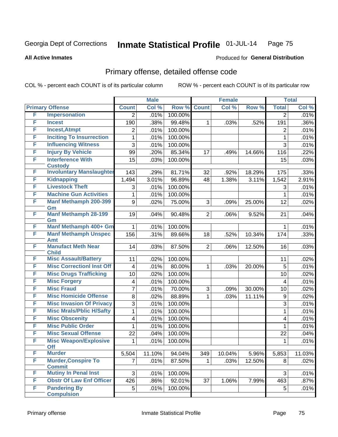**All Active Inmates**

#### Produced for **General Distribution**

## Primary offense, detailed offense code

|   |                                             | <b>Male</b>      |        | <b>Female</b> |                |        | <b>Total</b> |                |        |
|---|---------------------------------------------|------------------|--------|---------------|----------------|--------|--------------|----------------|--------|
|   | <b>Primary Offense</b>                      | <b>Count</b>     | Col %  | Row %         | <b>Count</b>   | Col %  | Row %        | <b>Total</b>   | Col %  |
| F | <b>Impersonation</b>                        | 2                | .01%   | 100.00%       |                |        |              | $\overline{2}$ | .01%   |
| F | <b>Incest</b>                               | 190              | .38%   | 99.48%        | 1              | .03%   | .52%         | 191            | .36%   |
| F | <b>Incest, Atmpt</b>                        | 2                | .01%   | 100.00%       |                |        |              | 2              | .01%   |
| F | <b>Inciting To Insurrection</b>             | 1                | .01%   | 100.00%       |                |        |              | 1              | .01%   |
| F | <b>Influencing Witness</b>                  | 3                | .01%   | 100.00%       |                |        |              | 3              | .01%   |
| F | <b>Injury By Vehicle</b>                    | 99               | .20%   | 85.34%        | 17             | .49%   | 14.66%       | 116            | .22%   |
| F | <b>Interference With</b>                    | 15               | .03%   | 100.00%       |                |        |              | 15             | .03%   |
|   | <b>Custody</b>                              |                  |        |               |                |        |              |                |        |
| F | <b>Involuntary Manslaughter</b>             | 143              | .29%   | 81.71%        | 32             | .92%   | 18.29%       | 175            | .33%   |
| F | <b>Kidnapping</b>                           | 1,494            | 3.01%  | 96.89%        | 48             | 1.38%  | 3.11%        | 1,542          | 2.91%  |
| F | <b>Livestock Theft</b>                      | 3                | .01%   | 100.00%       |                |        |              | 3              | .01%   |
| F | <b>Machine Gun Activities</b>               | 1                | .01%   | 100.00%       |                |        |              | $\mathbf{1}$   | .01%   |
| F | <b>Manf Methamph 200-399</b>                | $\boldsymbol{9}$ | .02%   | 75.00%        | 3              | .09%   | 25.00%       | 12             | .02%   |
| F | Gm<br><b>Manf Methamph 28-199</b>           | 19               | .04%   | 90.48%        | $\overline{2}$ | .06%   | 9.52%        | 21             | .04%   |
|   | Gm                                          |                  |        |               |                |        |              |                |        |
| F | Manf Methamph 400+ Gm                       | 1                | .01%   | 100.00%       |                |        |              | 1              | .01%   |
| F | <b>Manf Methamph Unspec</b>                 | 156              | .31%   | 89.66%        | 18             | .52%   | 10.34%       | 174            | .33%   |
|   | Amt                                         |                  |        |               |                |        |              |                |        |
| F | <b>Manufact Meth Near</b>                   | 14               | .03%   | 87.50%        | 2              | .06%   | 12.50%       | 16             | .03%   |
| F | <b>Child</b><br><b>Misc Assault/Battery</b> | 11               | .02%   | 100.00%       |                |        |              | 11             | .02%   |
| F | <b>Misc CorrectionI Inst Off</b>            | $\overline{4}$   | .01%   | 80.00%        | $\mathbf 1$    | .03%   | 20.00%       | $\overline{5}$ | .01%   |
| F | <b>Misc Drugs Trafficking</b>               |                  |        |               |                |        |              |                |        |
| F |                                             | 10               | .02%   | 100.00%       |                |        |              | 10             | .02%   |
| F | <b>Misc Forgery</b><br><b>Misc Fraud</b>    | 4                | .01%   | 100.00%       |                |        |              | 4              | .01%   |
|   |                                             | 7                | .01%   | 70.00%        | 3              | .09%   | 30.00%       | 10             | .02%   |
| F | <b>Misc Homicide Offense</b>                | $\, 8$           | .02%   | 88.89%        | $\mathbf 1$    | .03%   | 11.11%       | 9              | .02%   |
| F | <b>Misc Invasion Of Privacy</b>             | 3                | .01%   | 100.00%       |                |        |              | 3              | .01%   |
| F | <b>Misc Mrals/Pblic H/Safty</b>             | 1                | .01%   | 100.00%       |                |        |              | 1              | .01%   |
| F | <b>Misc Obscenity</b>                       | 4                | .01%   | 100.00%       |                |        |              | 4              | .01%   |
| F | <b>Misc Public Order</b>                    | 1                | .01%   | 100.00%       |                |        |              | 1              | .01%   |
| F | <b>Misc Sexual Offense</b>                  | 22               | .04%   | 100.00%       |                |        |              | 22             | .04%   |
| F | <b>Misc Weapon/Explosive</b><br><b>Off</b>  | 1                | .01%   | 100.00%       |                |        |              | 1              | .01%   |
| F | <b>Murder</b>                               | 5,504            | 11.10% | 94.04%        | 349            | 10.04% | 5.96%        | 5,853          | 11.03% |
| F | <b>Murder, Conspire To</b>                  | 7                | .01%   | 87.50%        | $\mathbf 1$    | .03%   | 12.50%       | 8              | .02%   |
|   | <b>Commit</b>                               |                  |        |               |                |        |              |                |        |
| F | <b>Mutiny In Penal Inst</b>                 | 3                | .01%   | 100.00%       |                |        |              | 3              | .01%   |
| F | <b>Obstr Of Law Enf Officer</b>             | 426              | .86%   | 92.01%        | 37             | 1.06%  | 7.99%        | 463            | .87%   |
| F | <b>Pandering By</b>                         | 5                | .01%   | 100.00%       |                |        |              | 5              | .01%   |
|   | <b>Compulsion</b>                           |                  |        |               |                |        |              |                |        |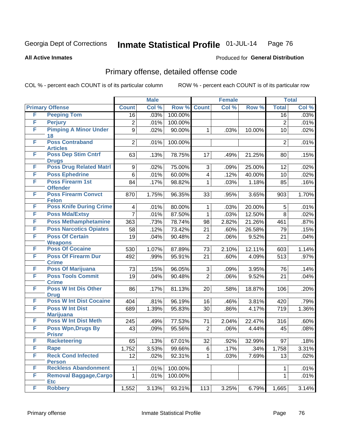**All Active Inmates**

#### Produced for **General Distribution**

### Primary offense, detailed offense code

|   |                                                 | <b>Male</b>    |       |         | <b>Female</b>  | <b>Total</b> |        |                |       |
|---|-------------------------------------------------|----------------|-------|---------|----------------|--------------|--------|----------------|-------|
|   | <b>Primary Offense</b>                          | <b>Count</b>   | Col % | Row %   | <b>Count</b>   | Col %        | Row %  | <b>Total</b>   | Col % |
| F | <b>Peeping Tom</b>                              | 16             | .03%  | 100.00% |                |              |        | 16             | .03%  |
| F | <b>Perjury</b>                                  | $\overline{c}$ | .01%  | 100.00% |                |              |        | $\overline{2}$ | .01%  |
| F | <b>Pimping A Minor Under</b>                    | 9              | .02%  | 90.00%  | 1              | .03%         | 10.00% | 10             | .02%  |
| F | 18<br><b>Poss Contraband</b>                    |                |       |         |                |              |        |                |       |
|   | <b>Articles</b>                                 | $\overline{2}$ | .01%  | 100.00% |                |              |        | $\overline{2}$ | .01%  |
| F | <b>Poss Dep Stim Cntrf</b>                      | 63             | .13%  | 78.75%  | 17             | .49%         | 21.25% | 80             | .15%  |
|   | <b>Drugs</b>                                    |                |       |         |                |              |        |                |       |
| F | <b>Poss Drug Related Matri</b>                  | 9              | .02%  | 75.00%  | 3              | .09%         | 25.00% | 12             | .02%  |
| F | <b>Poss Ephedrine</b>                           | 6              | .01%  | 60.00%  | 4              | .12%         | 40.00% | 10             | .02%  |
| F | <b>Poss Firearm 1st</b>                         | 84             | .17%  | 98.82%  | 1              | .03%         | 1.18%  | 85             | .16%  |
| F | <b>Offender</b><br><b>Poss Firearm Convct</b>   |                |       |         |                |              |        |                |       |
|   | <b>Felon</b>                                    | 870            | 1.75% | 96.35%  | 33             | .95%         | 3.65%  | 903            | 1.70% |
| F | <b>Poss Knife During Crime</b>                  | 4              | .01%  | 80.00%  | 1              | .03%         | 20.00% | 5              | .01%  |
| F | <b>Poss Mda/Extsy</b>                           | $\overline{7}$ | .01%  | 87.50%  | $\mathbf{1}$   | .03%         | 12.50% | 8              | .02%  |
| F | <b>Poss Methamphetamine</b>                     | 363            | .73%  | 78.74%  | 98             | 2.82%        | 21.26% | 461            | .87%  |
| F | <b>Poss Narcotics Opiates</b>                   | 58             | .12%  | 73.42%  | 21             | .60%         | 26.58% | 79             | .15%  |
| F | <b>Poss Of Certain</b>                          | 19             | .04%  | 90.48%  | $\overline{2}$ | .06%         | 9.52%  | 21             | .04%  |
|   | <b>Weapons</b>                                  |                |       |         |                |              |        |                |       |
| F | <b>Poss Of Cocaine</b>                          | 530            | 1.07% | 87.89%  | 73             | 2.10%        | 12.11% | 603            | 1.14% |
| F | <b>Poss Of Firearm Dur</b>                      | 492            | .99%  | 95.91%  | 21             | .60%         | 4.09%  | 513            | .97%  |
|   | <b>Crime</b>                                    |                |       |         |                |              |        |                |       |
| F | <b>Poss Of Marijuana</b>                        | 73             | .15%  | 96.05%  | 3              | .09%         | 3.95%  | 76             | .14%  |
| F | <b>Poss Tools Commit</b><br><b>Crime</b>        | 19             | .04%  | 90.48%  | $\overline{2}$ | .06%         | 9.52%  | 21             | .04%  |
| F | <b>Poss W Int Dis Other</b>                     | 86             | .17%  | 81.13%  | 20             | .58%         | 18.87% | 106            | .20%  |
|   | <b>Drug</b>                                     |                |       |         |                |              |        |                |       |
| F | <b>Poss W Int Dist Cocaine</b>                  | 404            | .81%  | 96.19%  | 16             | .46%         | 3.81%  | 420            | .79%  |
| F | <b>Poss W Int Dist</b>                          | 689            | 1.39% | 95.83%  | 30             | .86%         | 4.17%  | 719            | 1.36% |
| F | <b>Marijuana</b><br><b>Poss W Int Dist Meth</b> | 245            | .49%  | 77.53%  | 71             | 2.04%        | 22.47% | 316            | .60%  |
| F | Poss Wpn, Drugs By                              | 43             | .09%  | 95.56%  | $\overline{2}$ | .06%         | 4.44%  | 45             | .08%  |
|   | <b>Prisnr</b>                                   |                |       |         |                |              |        |                |       |
| F | <b>Racketeering</b>                             | 65             | .13%  | 67.01%  | 32             | .92%         | 32.99% | 97             | .18%  |
| F | Rape                                            | 1,752          | 3.53% | 99.66%  | 6              | .17%         | .34%   | 1,758          | 3.31% |
| F | <b>Reck Cond Infected</b>                       | 12             | .02%  | 92.31%  | 1              | .03%         | 7.69%  | 13             | .02%  |
|   | <b>Person</b>                                   |                |       |         |                |              |        |                |       |
| F | <b>Reckless Abandonment</b>                     | 1              | .01%  | 100.00% |                |              |        | 1              | .01%  |
| F | <b>Removal Baggage, Cargo</b><br><b>Etc</b>     | $\mathbf{1}$   | .01%  | 100.00% |                |              |        | 1              | .01%  |
| F | <b>Robbery</b>                                  | 1,552          | 3.13% | 93.21%  | 113            | 3.25%        | 6.79%  | 1,665          | 3.14% |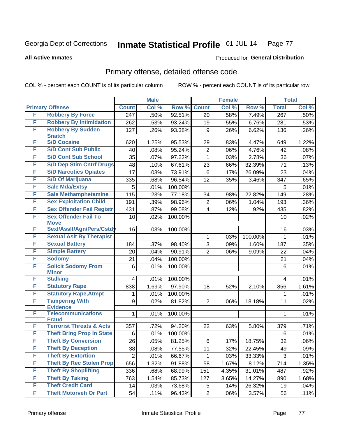**All Active Inmates**

#### Produced for **General Distribution**

## Primary offense, detailed offense code

|   |                                            | <b>Male</b>    |       |                  | <b>Female</b>  |       | <b>Total</b> |                  |         |
|---|--------------------------------------------|----------------|-------|------------------|----------------|-------|--------------|------------------|---------|
|   | <b>Primary Offense</b>                     | <b>Count</b>   | Col % | Row <sup>%</sup> | <b>Count</b>   | Col % | Row %        | <b>Total</b>     | Col %   |
| F | <b>Robbery By Force</b>                    | 247            | .50%  | 92.51%           | 20             | .58%  | 7.49%        | $\overline{267}$ | .50%    |
| F | <b>Robbery By Intimidation</b>             | 262            | .53%  | 93.24%           | 19             | .55%  | 6.76%        | 281              | .53%    |
| F | <b>Robbery By Sudden</b>                   | 127            | .26%  | 93.38%           | 9              | .26%  | 6.62%        | 136              | .26%    |
|   | <b>Snatch</b>                              |                |       |                  |                |       |              |                  |         |
| F | <b>S/D Cocaine</b>                         | 620            | 1.25% | 95.53%           | 29             | .83%  | 4.47%        | 649              | 1.22%   |
| F | <b>S/D Cont Sub Public</b>                 | 40             | .08%  | 95.24%           | 2              | .06%  | 4.76%        | 42               | .08%    |
| F | <b>S/D Cont Sub School</b>                 | 35             | .07%  | 97.22%           | 1              | .03%  | 2.78%        | 36               | .07%    |
| F | <b>S/D Dep Stim Cntrf Drugs</b>            | 48             | .10%  | 67.61%           | 23             | .66%  | 32.39%       | 71               | .13%    |
| F | <b>S/D Narcotics Opiates</b>               | 17             | .03%  | 73.91%           | $\,6$          | .17%  | 26.09%       | 23               | .04%    |
| F | <b>S/D Of Marijuana</b>                    | 335            | .68%  | 96.54%           | 12             | .35%  | 3.46%        | 347              | .65%    |
| F | <b>Sale Mda/Extsy</b>                      | 5              | .01%  | 100.00%          |                |       |              | 5                | .01%    |
| F | <b>Sale Methamphetamine</b>                | 115            | .23%  | 77.18%           | 34             | .98%  | 22.82%       | 149              | .28%    |
| F | <b>Sex Exploitation Child</b>              | 191            | .39%  | 98.96%           | 2              | .06%  | 1.04%        | 193              | .36%    |
| F | <b>Sex Offender Fail Registr</b>           | 431            | .87%  | 99.08%           | 4              | .12%  | .92%         | 435              | .82%    |
| F | <b>Sex Offender Fail To</b><br><b>Move</b> | 10             | .02%  | 100.00%          |                |       |              | 10               | .02%    |
| F | Sexl/Asslt/Agn/Pers/Cstd                   | 16             | .03%  | 100.00%          |                |       |              | 16               | .03%    |
| F | <b>Sexual Aslt By Therapist</b>            |                |       |                  | 1              | .03%  | 100.00%      | 1                | .01%    |
| F | <b>Sexual Battery</b>                      | 184            | .37%  | 98.40%           | 3              | .09%  | 1.60%        | 187              | .35%    |
| F | <b>Simple Battery</b>                      | 20             | .04%  | 90.91%           | $\overline{2}$ | .06%  | 9.09%        | 22               | .04%    |
| F | <b>Sodomy</b>                              | 21             | .04%  | 100.00%          |                |       |              | 21               | .04%    |
| F | <b>Solicit Sodomy From</b><br><b>Minor</b> | 6              | .01%  | 100.00%          |                |       |              | 6                | .01%    |
| F | <b>Stalking</b>                            | 4              | .01%  | 100.00%          |                |       |              | 4                | .01%    |
| F | <b>Statutory Rape</b>                      | 838            | 1.69% | 97.90%           | 18             | .52%  | 2.10%        | 856              | 1.61%   |
| F | <b>Statutory Rape, Atmpt</b>               | 1              | .01%  | 100.00%          |                |       |              | 1                | .01%    |
| F | <b>Tampering With</b><br><b>Evidence</b>   | 9              | .02%  | 81.82%           | $\overline{2}$ | .06%  | 18.18%       | 11               | .02%    |
| F | <b>Telecommunications</b><br><b>Fraud</b>  | 1              | .01%  | 100.00%          |                |       |              | 1                | .01%    |
| F | <b>Terrorist Threats &amp; Acts</b>        | 357            | .72%  | 94.20%           | 22             | .63%  | 5.80%        | 379              | .71%    |
| F | <b>Theft Bring Prop In State</b>           | 6              | .01%  | 100.00%          |                |       |              | 6                | .01%    |
| F | <b>Theft By Conversion</b>                 | 26             | .05%  | 81.25%           | 6              | .17%  | 18.75%       | 32               | $.06\%$ |
| F | <b>Theft By Deception</b>                  | 38             | .08%  | 77.55%           | 11             | .32%  | 22.45%       | 49               | .09%    |
| F | <b>Theft By Extortion</b>                  | $\overline{2}$ | .01%  | 66.67%           | 1              | .03%  | 33.33%       | 3                | .01%    |
| F | <b>Theft By Rec Stolen Prop</b>            | 656            | 1.32% | 91.88%           | 58             | 1.67% | 8.12%        | 714              | 1.35%   |
| F | <b>Theft By Shoplifting</b>                | 336            | .68%  | 68.99%           | 151            | 4.35% | 31.01%       | 487              | .92%    |
| F | <b>Theft By Taking</b>                     | 763            | 1.54% | 85.73%           | 127            | 3.65% | 14.27%       | 890              | 1.68%   |
| F | <b>Theft Credit Card</b>                   | 14             | .03%  | 73.68%           | 5              | .14%  | 26.32%       | 19               | .04%    |
| F | <b>Theft Motorveh Or Part</b>              | 54             | .11%  | 96.43%           | $\overline{2}$ | .06%  | 3.57%        | 56               | .11%    |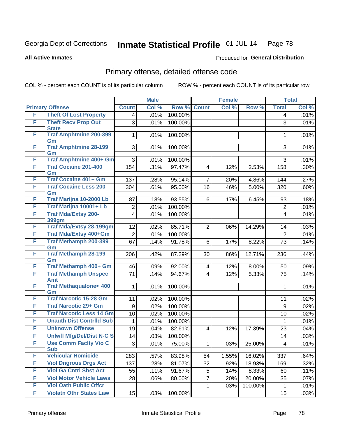#### **All Active Inmates**

# Produced for **General Distribution**

# Primary offense, detailed offense code

|   |                                            |                         | <b>Male</b> |         | <b>Female</b>           |       |         | <b>Total</b>            |       |
|---|--------------------------------------------|-------------------------|-------------|---------|-------------------------|-------|---------|-------------------------|-------|
|   | <b>Primary Offense</b>                     | <b>Count</b>            | Col %       | Row %   | <b>Count</b>            | Col % | Row %   | <b>Total</b>            | Col % |
| F | <b>Theft Of Lost Property</b>              | 4                       | .01%        | 100.00% |                         |       |         | 4                       | .01%  |
| F | <b>Theft Recv Prop Out</b><br><b>State</b> | 3                       | .01%        | 100.00% |                         |       |         | 3                       | .01%  |
| F | <b>Traf Amphtmine 200-399</b><br>Gm        | 1                       | .01%        | 100.00% |                         |       |         | 1                       | .01%  |
| F | <b>Traf Amphtmine 28-199</b><br>Gm         | 3                       | .01%        | 100.00% |                         |       |         | 3                       | .01%  |
| F | <b>Traf Amphtmine 400+ Gm</b>              | 3                       | .01%        | 100.00% |                         |       |         | 3                       | .01%  |
| F | <b>Traf Cocaine 201-400</b><br>Gm          | 154                     | .31%        | 97.47%  | $\overline{4}$          | .12%  | 2.53%   | 158                     | .30%  |
| F | <b>Traf Cocaine 401+ Gm</b>                | 137                     | .28%        | 95.14%  | $\overline{7}$          | .20%  | 4.86%   | 144                     | .27%  |
| F | <b>Traf Cocaine Less 200</b><br>Gm         | 304                     | .61%        | 95.00%  | 16                      | .46%  | 5.00%   | 320                     | .60%  |
| F | Traf Marijna 10-2000 Lb                    | 87                      | .18%        | 93.55%  | 6                       | .17%  | 6.45%   | 93                      | .18%  |
| F | Traf Marijna 10001+ Lb                     | $\overline{2}$          | .01%        | 100.00% |                         |       |         | $\overline{2}$          | .01%  |
| F | <b>Traf Mda/Extsy 200-</b><br><b>399gm</b> | $\overline{\mathbf{4}}$ | .01%        | 100.00% |                         |       |         | 4                       | .01%  |
| F | <b>Traf Mda/Extsy 28-199gm</b>             | 12                      | .02%        | 85.71%  | $\overline{2}$          | .06%  | 14.29%  | 14                      | .03%  |
| F | Traf Mda/Extsy 400+Gm                      | $\overline{2}$          | .01%        | 100.00% |                         |       |         | $\overline{2}$          | .01%  |
| F | <b>Traf Methamph 200-399</b><br>Gm         | 67                      | .14%        | 91.78%  | 6                       | .17%  | 8.22%   | 73                      | .14%  |
| F | <b>Traf Methamph 28-199</b><br>Gm          | 206                     | .42%        | 87.29%  | 30                      | .86%  | 12.71%  | 236                     | .44%  |
| F | Traf Methamph 400+ Gm                      | 46                      | .09%        | 92.00%  | 4                       | .12%  | 8.00%   | 50                      | .09%  |
| F | <b>Traf Methamph Unspec</b><br><b>Amt</b>  | 71                      | .14%        | 94.67%  | $\overline{4}$          | .12%  | 5.33%   | 75                      | .14%  |
| F | <b>Traf Methaqualone&lt; 400</b><br>Gm     | 1                       | .01%        | 100.00% |                         |       |         | 1                       | .01%  |
| F | <b>Traf Narcotic 15-28 Gm</b>              | 11                      | .02%        | 100.00% |                         |       |         | 11                      | .02%  |
| F | <b>Traf Narcotic 29+ Gm</b>                | 9                       | .02%        | 100.00% |                         |       |         | 9                       | .02%  |
| F | <b>Traf Narcotic Less 14 Gm</b>            | 10                      | $.02\%$     | 100.00% |                         |       |         | 10                      | .02%  |
| F | <b>Unauth Dist Contrild Sub</b>            | 1                       | .01%        | 100.00% |                         |       |         | 1                       | .01%  |
| F | <b>Unknown Offense</b>                     | 19                      | .04%        | 82.61%  | $\overline{\mathbf{4}}$ | .12%  | 17.39%  | 23                      | .04%  |
| F | <b>Uniwfl Mfg/Del/Dist N-C S</b>           | 14                      | .03%        | 100.00% |                         |       |         | 14                      | .03%  |
| F | <b>Use Comm Facity Vio C</b><br><b>Sub</b> | 3                       | .01%        | 75.00%  | $\mathbf 1$             | .03%  | 25.00%  | $\overline{\mathbf{4}}$ | .01%  |
| F | <b>Vehicular Homicide</b>                  | 283                     | .57%        | 83.98%  | 54                      | 1.55% | 16.02%  | 337                     | .64%  |
| F | <b>Viol Dngrous Drgs Act</b>               | 137                     | .28%        | 81.07%  | 32                      | .92%  | 18.93%  | 169                     | .32%  |
| F | <b>Viol Ga Cntrl Sbst Act</b>              | 55                      | .11%        | 91.67%  | 5                       | .14%  | 8.33%   | 60                      | .11%  |
| F | <b>Viol Motor Vehicle Laws</b>             | 28                      | .06%        | 80.00%  | $\overline{7}$          | .20%  | 20.00%  | 35                      | .07%  |
| F | <b>Viol Oath Public Offcr</b>              |                         |             |         | $\mathbf 1$             | .03%  | 100.00% | $\mathbf{1}$            | .01%  |
| F | <b>Violatn Othr States Law</b>             | 15                      | .03%        | 100.00% |                         |       |         | 15                      | .03%  |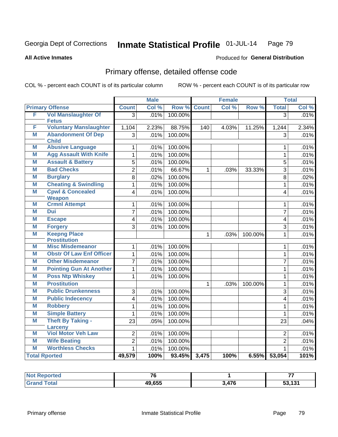Produced for **General Distribution**

#### **All Active Inmates**

# Primary offense, detailed offense code

|   |                                            |                         | <b>Male</b> |         |              | <b>Female</b> |         |                         | <b>Total</b> |
|---|--------------------------------------------|-------------------------|-------------|---------|--------------|---------------|---------|-------------------------|--------------|
|   | <b>Primary Offense</b>                     | <b>Count</b>            | Col %       | Row %   | <b>Count</b> | Col %         | Row %   | <b>Total</b>            | Col %        |
| F | <b>Vol Manslaughter Of</b>                 | $\overline{3}$          | .01%        | 100.00% |              |               |         | $\overline{3}$          | .01%         |
|   | <b>Fetus</b>                               |                         |             |         |              |               |         |                         |              |
| F | <b>Voluntary Manslaughter</b>              | 1,104                   | 2.23%       | 88.75%  | 140          | 4.03%         | 11.25%  | 1,244                   | 2.34%        |
| M | <b>Abandonment Of Dep</b>                  | 3                       | .01%        | 100.00% |              |               |         | 3                       | .01%         |
| M | <b>Child</b><br><b>Abusive Language</b>    | 1                       | .01%        | 100.00% |              |               |         | 1                       | .01%         |
| M | <b>Agg Assault With Knife</b>              |                         |             |         |              |               |         |                         |              |
| M |                                            | $\mathbf{1}$            | .01%        | 100.00% |              |               |         | $\mathbf{1}$            | .01%         |
|   | <b>Assault &amp; Battery</b>               | 5                       | .01%        | 100.00% |              |               |         | $\overline{5}$          | .01%         |
| M | <b>Bad Checks</b>                          | $\overline{2}$          | .01%        | 66.67%  | $\mathbf{1}$ | .03%          | 33.33%  | $\overline{3}$          | .01%         |
| M | <b>Burglary</b>                            | $\overline{8}$          | .02%        | 100.00% |              |               |         | 8                       | .02%         |
| M | <b>Cheating &amp; Swindling</b>            | $\mathbf{1}$            | .01%        | 100.00% |              |               |         | $\mathbf{1}$            | .01%         |
| M | <b>Cpwl &amp; Concealed</b>                | 4                       | .01%        | 100.00% |              |               |         | $\overline{\mathbf{4}}$ | .01%         |
| M | <b>Weapon</b><br><b>Crmnl Attempt</b>      | $\mathbf{1}$            |             |         |              |               |         | $\mathbf{1}$            |              |
| M | <b>Dui</b>                                 |                         | .01%        | 100.00% |              |               |         |                         | .01%         |
|   |                                            | $\overline{7}$          | .01%        | 100.00% |              |               |         | $\overline{7}$          | .01%         |
| M | <b>Escape</b>                              | $\overline{\mathbf{4}}$ | .01%        | 100.00% |              |               |         | $\overline{\mathbf{4}}$ | .01%         |
| M | <b>Forgery</b>                             | 3                       | .01%        | 100.00% |              |               |         | 3                       | .01%         |
| M | <b>Keepng Place</b><br><b>Prostitution</b> |                         |             |         | $\mathbf{1}$ | .03%          | 100.00% | 1                       | .01%         |
| М | <b>Misc Misdemeanor</b>                    | $\mathbf{1}$            | .01%        | 100.00% |              |               |         | 1                       | .01%         |
| M | <b>Obstr Of Law Enf Officer</b>            | $\mathbf{1}$            | .01%        | 100.00% |              |               |         | $\mathbf{1}$            | .01%         |
| M | <b>Other Misdemeanor</b>                   | $\overline{7}$          | .01%        | 100.00% |              |               |         | $\overline{7}$          | .01%         |
| M | <b>Pointing Gun At Another</b>             | $\mathbf{1}$            | .01%        | 100.00% |              |               |         | $\mathbf{1}$            | .01%         |
| M | <b>Poss Ntp Whiskey</b>                    | 1                       | .01%        | 100.00% |              |               |         | $\mathbf{1}$            | .01%         |
| M | <b>Prostitution</b>                        |                         |             |         | $\mathbf{1}$ | .03%          | 100.00% | $\mathbf{1}$            | .01%         |
| M | <b>Public Drunkenness</b>                  | 3                       | .01%        | 100.00% |              |               |         | 3                       | .01%         |
| M | <b>Public Indecency</b>                    | $\overline{4}$          | .01%        | 100.00% |              |               |         | $\overline{\mathbf{4}}$ | .01%         |
| M | <b>Robbery</b>                             | $\mathbf{1}$            | .01%        | 100.00% |              |               |         | $\mathbf{1}$            | .01%         |
| M | <b>Simple Battery</b>                      | $\mathbf{1}$            | .01%        | 100.00% |              |               |         | 1                       | .01%         |
| M | <b>Theft By Taking -</b>                   | 23                      | .05%        | 100.00% |              |               |         | 23                      | .04%         |
|   | <b>Larceny</b>                             |                         |             |         |              |               |         |                         |              |
| M | <b>Viol Motor Veh Law</b>                  | $\overline{2}$          | .01%        | 100.00% |              |               |         | $\overline{2}$          | .01%         |
| M | <b>Wife Beating</b>                        | $\overline{2}$          | .01%        | 100.00% |              |               |         | $\overline{2}$          | .01%         |
| M | <b>Worthless Checks</b>                    | $\mathbf{1}$            | .01%        | 100.00% |              |               |         | $\mathbf{1}$            | .01%         |
|   | <b>Total Rported</b>                       | 49,579                  | 100%        | 93.45%  | 3,475        | 100%          | 6.55%   | 53,054                  | 101%         |

| oorted<br><b>NOT</b> | $\rightarrow$ |     | --  |
|----------------------|---------------|-----|-----|
| ota.                 | 49,655        | 476 | 121 |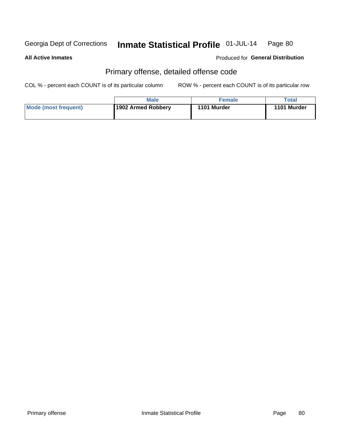#### **All Active Inmates**

#### Produced for **General Distribution**

## Primary offense, detailed offense code

|                      | <b>Male</b>        | <b>Female</b> | Total       |
|----------------------|--------------------|---------------|-------------|
| Mode (most frequent) | 1902 Armed Robbery | 1101 Murder   | 1101 Murder |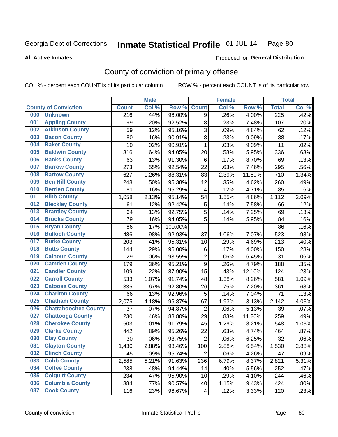#### **All Active Inmates**

#### Produced for **General Distribution**

## County of conviction of primary offense

|     |                             |              | <b>Male</b> |         | <b>Female</b>  |       |        | <b>Total</b>     |       |  |
|-----|-----------------------------|--------------|-------------|---------|----------------|-------|--------|------------------|-------|--|
|     | <b>County of Conviction</b> | <b>Count</b> | Col %       | Row %   | <b>Count</b>   | Col % | Row %  | <b>Total</b>     | Col % |  |
| 000 | <b>Unknown</b>              | 216          | .44%        | 96.00%  | 9              | .26%  | 4.00%  | $\overline{225}$ | .42%  |  |
| 001 | <b>Appling County</b>       | 99           | .20%        | 92.52%  | 8              | .23%  | 7.48%  | 107              | .20%  |  |
| 002 | <b>Atkinson County</b>      | 59           | .12%        | 95.16%  | 3              | .09%  | 4.84%  | 62               | .12%  |  |
| 003 | <b>Bacon County</b>         | 80           | .16%        | 90.91%  | 8              | .23%  | 9.09%  | 88               | .17%  |  |
| 004 | <b>Baker County</b>         | 10           | .02%        | 90.91%  | 1              | .03%  | 9.09%  | 11               | .02%  |  |
| 005 | <b>Baldwin County</b>       | 316          | .64%        | 94.05%  | 20             | .58%  | 5.95%  | 336              | .63%  |  |
| 006 | <b>Banks County</b>         | 63           | .13%        | 91.30%  | 6              | .17%  | 8.70%  | 69               | .13%  |  |
| 007 | <b>Barrow County</b>        | 273          | .55%        | 92.54%  | 22             | .63%  | 7.46%  | 295              | .56%  |  |
| 008 | <b>Bartow County</b>        | 627          | 1.26%       | 88.31%  | 83             | 2.39% | 11.69% | 710              | 1.34% |  |
| 009 | <b>Ben Hill County</b>      | 248          | .50%        | 95.38%  | 12             | .35%  | 4.62%  | 260              | .49%  |  |
| 010 | <b>Berrien County</b>       | 81           | .16%        | 95.29%  | 4              | .12%  | 4.71%  | 85               | .16%  |  |
| 011 | <b>Bibb County</b>          | 1,058        | 2.13%       | 95.14%  | 54             | 1.55% | 4.86%  | 1,112            | 2.09% |  |
| 012 | <b>Bleckley County</b>      | 61           | .12%        | 92.42%  | $\overline{5}$ | .14%  | 7.58%  | 66               | .12%  |  |
| 013 | <b>Brantley County</b>      | 64           | .13%        | 92.75%  | 5              | .14%  | 7.25%  | 69               | .13%  |  |
| 014 | <b>Brooks County</b>        | 79           | .16%        | 94.05%  | $\overline{5}$ | .14%  | 5.95%  | 84               | .16%  |  |
| 015 | <b>Bryan County</b>         | 86           | .17%        | 100.00% |                |       |        | 86               | .16%  |  |
| 016 | <b>Bulloch County</b>       | 486          | .98%        | 92.93%  | 37             | 1.06% | 7.07%  | 523              | .98%  |  |
| 017 | <b>Burke County</b>         | 203          | .41%        | 95.31%  | 10             | .29%  | 4.69%  | 213              | .40%  |  |
| 018 | <b>Butts County</b>         | 144          | .29%        | 96.00%  | $\,6$          | .17%  | 4.00%  | 150              | .28%  |  |
| 019 | <b>Calhoun County</b>       | 29           | .06%        | 93.55%  | $\overline{c}$ | .06%  | 6.45%  | 31               | .06%  |  |
| 020 | <b>Camden County</b>        | 179          | .36%        | 95.21%  | 9              | .26%  | 4.79%  | 188              | .35%  |  |
| 021 | <b>Candler County</b>       | 109          | .22%        | 87.90%  | 15             | .43%  | 12.10% | 124              | .23%  |  |
| 022 | <b>Carroll County</b>       | 533          | 1.07%       | 91.74%  | 48             | 1.38% | 8.26%  | 581              | 1.09% |  |
| 023 | <b>Catoosa County</b>       | 335          | .67%        | 92.80%  | 26             | .75%  | 7.20%  | 361              | .68%  |  |
| 024 | <b>Charlton County</b>      | 66           | .13%        | 92.96%  | $\overline{5}$ | .14%  | 7.04%  | 71               | .13%  |  |
| 025 | <b>Chatham County</b>       | 2,075        | 4.18%       | 96.87%  | 67             | 1.93% | 3.13%  | 2,142            | 4.03% |  |
| 026 | <b>Chattahoochee County</b> | 37           | .07%        | 94.87%  | $\overline{2}$ | .06%  | 5.13%  | 39               | .07%  |  |
| 027 | <b>Chattooga County</b>     | 230          | .46%        | 88.80%  | 29             | .83%  | 11.20% | 259              | .49%  |  |
| 028 | <b>Cherokee County</b>      | 503          | 1.01%       | 91.79%  | 45             | 1.29% | 8.21%  | 548              | 1.03% |  |
| 029 | <b>Clarke County</b>        | 442          | .89%        | 95.26%  | 22             | .63%  | 4.74%  | 464              | .87%  |  |
| 030 | <b>Clay County</b>          | 30           | .06%        | 93.75%  | $\sqrt{2}$     | .06%  | 6.25%  | 32               | .06%  |  |
| 031 | <b>Clayton County</b>       | 1,430        | 2.88%       | 93.46%  | 100            | 2.88% | 6.54%  | 1,530            | 2.88% |  |
| 032 | <b>Clinch County</b>        | 45           | .09%        | 95.74%  | $\overline{2}$ | .06%  | 4.26%  | 47               | .09%  |  |
| 033 | <b>Cobb County</b>          | 2,585        | 5.21%       | 91.63%  | 236            | 6.79% | 8.37%  | 2,821            | 5.31% |  |
| 034 | <b>Coffee County</b>        | 238          | .48%        | 94.44%  | 14             | .40%  | 5.56%  | 252              | .47%  |  |
| 035 | <b>Colquitt County</b>      | 234          | .47%        | 95.90%  | 10             | .29%  | 4.10%  | 244              | .46%  |  |
| 036 | <b>Columbia County</b>      | 384          | .77%        | 90.57%  | 40             | 1.15% | 9.43%  | 424              | .80%  |  |
| 037 | <b>Cook County</b>          | 116          | .23%        | 96.67%  | 4              | .12%  | 3.33%  | 120              | .23%  |  |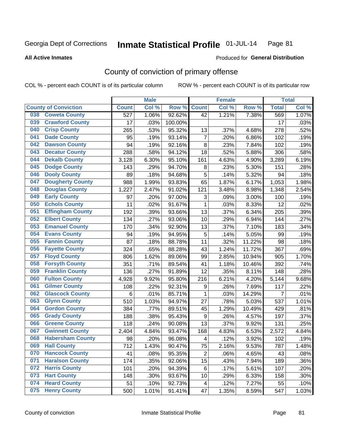#### **All Active Inmates**

#### Produced for **General Distribution**

## County of conviction of primary offense

|                                |              | <b>Male</b> |         |                         | <b>Female</b> |        |                | <b>Total</b> |
|--------------------------------|--------------|-------------|---------|-------------------------|---------------|--------|----------------|--------------|
| <b>County of Conviction</b>    | <b>Count</b> | Col %       | Row %   | <b>Count</b>            | Col %         | Row %  | <b>Total</b>   | Col %        |
| <b>Coweta County</b><br>038    | 527          | 1.06%       | 92.62%  | 42                      | 1.21%         | 7.38%  | 569            | 1.07%        |
| <b>Crawford County</b><br>039  | 17           | .03%        | 100.00% |                         |               |        | 17             | .03%         |
| <b>Crisp County</b><br>040     | 265          | .53%        | 95.32%  | 13                      | .37%          | 4.68%  | 278            | .52%         |
| <b>Dade County</b><br>041      | 95           | .19%        | 93.14%  | $\overline{7}$          | .20%          | 6.86%  | 102            | .19%         |
| <b>Dawson County</b><br>042    | 94           | .19%        | 92.16%  | 8                       | .23%          | 7.84%  | 102            | .19%         |
| 043<br><b>Decatur County</b>   | 288          | .58%        | 94.12%  | 18                      | .52%          | 5.88%  | 306            | .58%         |
| <b>Dekalb County</b><br>044    | 3,128        | 6.30%       | 95.10%  | 161                     | 4.63%         | 4.90%  | 3,289          | 6.19%        |
| <b>Dodge County</b><br>045     | 143          | .29%        | 94.70%  | 8                       | .23%          | 5.30%  | 151            | .28%         |
| <b>Dooly County</b><br>046     | 89           | .18%        | 94.68%  | 5                       | .14%          | 5.32%  | 94             | .18%         |
| <b>Dougherty County</b><br>047 | 988          | 1.99%       | 93.83%  | 65                      | 1.87%         | 6.17%  | 1,053          | 1.98%        |
| <b>Douglas County</b><br>048   | 1,227        | 2.47%       | 91.02%  | 121                     | 3.48%         | 8.98%  | 1,348          | 2.54%        |
| <b>Early County</b><br>049     | 97           | .20%        | 97.00%  | 3                       | .09%          | 3.00%  | 100            | .19%         |
| <b>Echols County</b><br>050    | 11           | .02%        | 91.67%  | $\mathbf{1}$            | .03%          | 8.33%  | 12             | .02%         |
| <b>Effingham County</b><br>051 | 192          | .39%        | 93.66%  | 13                      | .37%          | 6.34%  | 205            | .39%         |
| <b>Elbert County</b><br>052    | 134          | .27%        | 93.06%  | 10                      | .29%          | 6.94%  | 144            | .27%         |
| <b>Emanuel County</b><br>053   | 170          | .34%        | 92.90%  | 13                      | .37%          | 7.10%  | 183            | .34%         |
| <b>Evans County</b><br>054     | 94           | .19%        | 94.95%  | 5                       | .14%          | 5.05%  | 99             | .19%         |
| <b>Fannin County</b><br>055    | 87           | .18%        | 88.78%  | 11                      | .32%          | 11.22% | 98             | .18%         |
| <b>Fayette County</b><br>056   | 324          | .65%        | 88.28%  | 43                      | 1.24%         | 11.72% | 367            | .69%         |
| <b>Floyd County</b><br>057     | 806          | 1.62%       | 89.06%  | 99                      | 2.85%         | 10.94% | 905            | 1.70%        |
| <b>Forsyth County</b><br>058   | 351          | .71%        | 89.54%  | 41                      | 1.18%         | 10.46% | 392            | .74%         |
| <b>Franklin County</b><br>059  | 136          | .27%        | 91.89%  | 12                      | .35%          | 8.11%  | 148            | .28%         |
| <b>Fulton County</b><br>060    | 4,928        | 9.92%       | 95.80%  | 216                     | 6.21%         | 4.20%  | 5,144          | 9.68%        |
| <b>Gilmer County</b><br>061    | 108          | .22%        | 92.31%  | $\boldsymbol{9}$        | .26%          | 7.69%  | 117            | .22%         |
| <b>Glascock County</b><br>062  | 6            | .01%        | 85.71%  | $\mathbf{1}$            | .03%          | 14.29% | $\overline{7}$ | .01%         |
| 063<br><b>Glynn County</b>     | 510          | 1.03%       | 94.97%  | 27                      | .78%          | 5.03%  | 537            | 1.01%        |
| <b>Gordon County</b><br>064    | 384          | .77%        | 89.51%  | 45                      | 1.29%         | 10.49% | 429            | .81%         |
| 065<br><b>Grady County</b>     | 188          | .38%        | 95.43%  | $\boldsymbol{9}$        | .26%          | 4.57%  | 197            | .37%         |
| <b>Greene County</b><br>066    | 118          | .24%        | 90.08%  | 13                      | .37%          | 9.92%  | 131            | .25%         |
| <b>Gwinnett County</b><br>067  | 2,404        | 4.84%       | 93.47%  | 168                     | 4.83%         | 6.53%  | 2,572          | 4.84%        |
| <b>Habersham County</b><br>068 | 98           | .20%        | 96.08%  | 4                       | .12%          | 3.92%  | 102            | .19%         |
| <b>Hall County</b><br>069      | 712          | 1.43%       | 90.47%  | 75                      | 2.16%         | 9.53%  | 787            | 1.48%        |
| <b>Hancock County</b><br>070   | 41           | .08%        | 95.35%  | $\overline{2}$          | .06%          | 4.65%  | 43             | .08%         |
| <b>Haralson County</b><br>071  | 174          | .35%        | 92.06%  | 15                      | .43%          | 7.94%  | 189            | .36%         |
| <b>Harris County</b><br>072    | 101          | .20%        | 94.39%  | 6                       | .17%          | 5.61%  | 107            | .20%         |
| <b>Hart County</b><br>073      | 148          | .30%        | 93.67%  | 10                      | .29%          | 6.33%  | 158            | .30%         |
| <b>Heard County</b><br>074     | 51           | .10%        | 92.73%  | $\overline{\mathbf{4}}$ | .12%          | 7.27%  | 55             | .10%         |
| <b>Henry County</b><br>075     | 500          | 1.01%       | 91.41%  | 47                      | 1.35%         | 8.59%  | 547            | 1.03%        |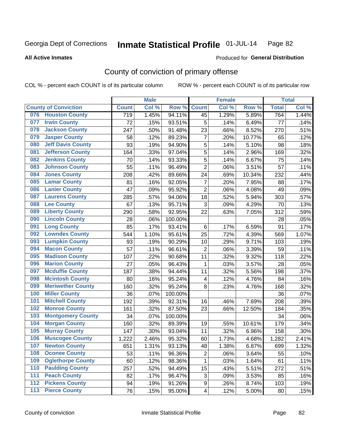**All Active Inmates**

#### Produced for **General Distribution**

## County of conviction of primary offense

|     |                             |              | <b>Male</b> |         |                           | <b>Female</b> |        |              | <b>Total</b> |
|-----|-----------------------------|--------------|-------------|---------|---------------------------|---------------|--------|--------------|--------------|
|     | <b>County of Conviction</b> | <b>Count</b> | Col %       | Row %   | <b>Count</b>              | Col %         | Row %  | <b>Total</b> | Col %        |
| 076 | <b>Houston County</b>       | 719          | 1.45%       | 94.11%  | 45                        | 1.29%         | 5.89%  | 764          | 1.44%        |
| 077 | <b>Irwin County</b>         | 72           | .15%        | 93.51%  | 5                         | .14%          | 6.49%  | 77           | .14%         |
| 078 | <b>Jackson County</b>       | 247          | .50%        | 91.48%  | 23                        | .66%          | 8.52%  | 270          | .51%         |
| 079 | <b>Jasper County</b>        | 58           | .12%        | 89.23%  | $\overline{7}$            | .20%          | 10.77% | 65           | .12%         |
| 080 | <b>Jeff Davis County</b>    | 93           | .19%        | 94.90%  | 5                         | .14%          | 5.10%  | 98           | .18%         |
| 081 | <b>Jefferson County</b>     | 164          | .33%        | 97.04%  | 5                         | .14%          | 2.96%  | 169          | .32%         |
| 082 | <b>Jenkins County</b>       | 70           | .14%        | 93.33%  | $\sqrt{5}$                | .14%          | 6.67%  | 75           | .14%         |
| 083 | <b>Johnson County</b>       | 55           | .11%        | 96.49%  | $\overline{2}$            | .06%          | 3.51%  | 57           | .11%         |
| 084 | <b>Jones County</b>         | 208          | .42%        | 89.66%  | 24                        | .69%          | 10.34% | 232          | .44%         |
| 085 | <b>Lamar County</b>         | 81           | .16%        | 92.05%  | $\overline{7}$            | .20%          | 7.95%  | 88           | .17%         |
| 086 | <b>Lanier County</b>        | 47           | .09%        | 95.92%  | $\overline{2}$            | .06%          | 4.08%  | 49           | .09%         |
| 087 | <b>Laurens County</b>       | 285          | .57%        | 94.06%  | 18                        | .52%          | 5.94%  | 303          | .57%         |
| 088 | <b>Lee County</b>           | 67           | .13%        | 95.71%  | 3                         | .09%          | 4.29%  | 70           | .13%         |
| 089 | <b>Liberty County</b>       | 290          | .58%        | 92.95%  | 22                        | .63%          | 7.05%  | 312          | .59%         |
| 090 | <b>Lincoln County</b>       | 28           | .06%        | 100.00% |                           |               |        | 28           | .05%         |
| 091 | <b>Long County</b>          | 85           | .17%        | 93.41%  | 6                         | .17%          | 6.59%  | 91           | .17%         |
| 092 | <b>Lowndes County</b>       | 544          | 1.10%       | 95.61%  | 25                        | .72%          | 4.39%  | 569          | 1.07%        |
| 093 | <b>Lumpkin County</b>       | 93           | .19%        | 90.29%  | 10                        | .29%          | 9.71%  | 103          | .19%         |
| 094 | <b>Macon County</b>         | 57           | .11%        | 96.61%  | $\overline{2}$            | .06%          | 3.39%  | 59           | .11%         |
| 095 | <b>Madison County</b>       | 107          | .22%        | 90.68%  | 11                        | .32%          | 9.32%  | 118          | .22%         |
| 096 | <b>Marion County</b>        | 27           | .05%        | 96.43%  | $\mathbf{1}$              | .03%          | 3.57%  | 28           | .05%         |
| 097 | <b>Mcduffie County</b>      | 187          | .38%        | 94.44%  | 11                        | .32%          | 5.56%  | 198          | .37%         |
| 098 | <b>Mcintosh County</b>      | 80           | .16%        | 95.24%  | $\overline{\mathbf{4}}$   | .12%          | 4.76%  | 84           | .16%         |
| 099 | <b>Meriwether County</b>    | 160          | .32%        | 95.24%  | 8                         | .23%          | 4.76%  | 168          | .32%         |
| 100 | <b>Miller County</b>        | 36           | .07%        | 100.00% |                           |               |        | 36           | .07%         |
| 101 | <b>Mitchell County</b>      | 192          | .39%        | 92.31%  | 16                        | .46%          | 7.69%  | 208          | .39%         |
| 102 | <b>Monroe County</b>        | 161          | .32%        | 87.50%  | 23                        | .66%          | 12.50% | 184          | .35%         |
| 103 | <b>Montgomery County</b>    | 34           | .07%        | 100.00% |                           |               |        | 34           | .06%         |
| 104 | <b>Morgan County</b>        | 160          | .32%        | 89.39%  | 19                        | .55%          | 10.61% | 179          | .34%         |
| 105 | <b>Murray County</b>        | 147          | .30%        | 93.04%  | 11                        | .32%          | 6.96%  | 158          | .30%         |
| 106 | <b>Muscogee County</b>      | 1,222        | 2.46%       | 95.32%  | 60                        | 1.73%         | 4.68%  | 1,282        | 2.41%        |
| 107 | <b>Newton County</b>        | 651          | 1.31%       | 93.13%  | 48                        | 1.38%         | 6.87%  | 699          | 1.32%        |
| 108 | <b>Oconee County</b>        | 53           | .11%        | 96.36%  | $\overline{2}$            | .06%          | 3.64%  | 55           | .10%         |
| 109 | <b>Oglethorpe County</b>    | 60           | .12%        | 98.36%  | 1                         | .03%          | 1.64%  | 61           | .11%         |
| 110 | <b>Paulding County</b>      | 257          | .52%        | 94.49%  | 15                        | .43%          | 5.51%  | 272          | .51%         |
| 111 | <b>Peach County</b>         | 82           | .17%        | 96.47%  | $\ensuremath{\mathsf{3}}$ | .09%          | 3.53%  | 85           | .16%         |
| 112 | <b>Pickens County</b>       | 94           | .19%        | 91.26%  | 9                         | .26%          | 8.74%  | 103          | .19%         |
| 113 | <b>Pierce County</b>        | 76           | .15%        | 95.00%  | $\overline{\mathbf{4}}$   | .12%          | 5.00%  | 80           | .15%         |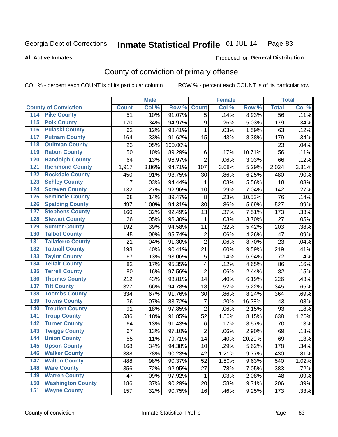**All Active Inmates**

#### Produced for **General Distribution**

## County of conviction of primary offense

|                                          |                 | <b>Male</b> |         |                         | <b>Female</b> |        |              | <b>Total</b> |
|------------------------------------------|-----------------|-------------|---------|-------------------------|---------------|--------|--------------|--------------|
| <b>County of Conviction</b>              | <b>Count</b>    | Col %       | Row %   | <b>Count</b>            | Col %         | Row %  | <b>Total</b> | Col %        |
| 114 Pike County                          | $\overline{51}$ | .10%        | 91.07%  | $\overline{5}$          | .14%          | 8.93%  | 56           | .11%         |
| <b>Polk County</b><br>$\overline{115}$   | 170             | .34%        | 94.97%  | $\boldsymbol{9}$        | .26%          | 5.03%  | 179          | .34%         |
| <b>Pulaski County</b><br>116             | 62              | .12%        | 98.41%  | 1                       | .03%          | 1.59%  | 63           | .12%         |
| 117<br><b>Putnam County</b>              | 164             | .33%        | 91.62%  | 15                      | .43%          | 8.38%  | 179          | .34%         |
| <b>Quitman County</b><br>118             | 23              | .05%        | 100.00% |                         |               |        | 23           | .04%         |
| <b>Rabun County</b><br>119               | 50              | .10%        | 89.29%  | 6                       | .17%          | 10.71% | 56           | .11%         |
| <b>Randolph County</b><br>120            | 64              | .13%        | 96.97%  | $\overline{2}$          | .06%          | 3.03%  | 66           | .12%         |
| <b>Richmond County</b><br>121            | 1,917           | 3.86%       | 94.71%  | 107                     | 3.08%         | 5.29%  | 2,024        | 3.81%        |
| <b>Rockdale County</b><br>122            | 450             | .91%        | 93.75%  | 30                      | .86%          | 6.25%  | 480          | .90%         |
| <b>Schley County</b><br>123              | 17              | .03%        | 94.44%  | 1                       | .03%          | 5.56%  | 18           | .03%         |
| <b>Screven County</b><br>124             | 132             | .27%        | 92.96%  | 10                      | .29%          | 7.04%  | 142          | .27%         |
| <b>Seminole County</b><br>125            | 68              | .14%        | 89.47%  | 8                       | .23%          | 10.53% | 76           | .14%         |
| 126<br><b>Spalding County</b>            | 497             | 1.00%       | 94.31%  | 30                      | .86%          | 5.69%  | 527          | .99%         |
| <b>Stephens County</b><br>127            | 160             | .32%        | 92.49%  | 13                      | .37%          | 7.51%  | 173          | .33%         |
| <b>Stewart County</b><br>128             | 26              | .05%        | 96.30%  | $\mathbf{1}$            | .03%          | 3.70%  | 27           | .05%         |
| <b>Sumter County</b><br>129              | 192             | .39%        | 94.58%  | 11                      | .32%          | 5.42%  | 203          | .38%         |
| <b>Talbot County</b><br>130              | 45              | .09%        | 95.74%  | $\overline{2}$          | .06%          | 4.26%  | 47           | .09%         |
| <b>Taliaferro County</b><br>131          | 21              | .04%        | 91.30%  | $\overline{2}$          | .06%          | 8.70%  | 23           | .04%         |
| <b>Tattnall County</b><br>132            | 198             | .40%        | 90.41%  | 21                      | .60%          | 9.59%  | 219          | .41%         |
| <b>Taylor County</b><br>133              | 67              | .13%        | 93.06%  | 5                       | .14%          | 6.94%  | 72           | .14%         |
| <b>Telfair County</b><br>134             | 82              | .17%        | 95.35%  | $\overline{\mathbf{4}}$ | .12%          | 4.65%  | 86           | .16%         |
| <b>Terrell County</b><br>135             | 80              | .16%        | 97.56%  | $\overline{2}$          | .06%          | 2.44%  | 82           | .15%         |
| <b>Thomas County</b><br>136              | 212             | .43%        | 93.81%  | 14                      | .40%          | 6.19%  | 226          | .43%         |
| <b>Tift County</b><br>137                | 327             | .66%        | 94.78%  | 18                      | .52%          | 5.22%  | 345          | .65%         |
| <b>Toombs County</b><br>138              | 334             | .67%        | 91.76%  | 30                      | .86%          | 8.24%  | 364          | .69%         |
| <b>Towns County</b><br>139               | 36              | .07%        | 83.72%  | $\overline{7}$          | .20%          | 16.28% | 43           | .08%         |
| <b>Treutlen County</b><br>140            | 91              | .18%        | 97.85%  | $\overline{2}$          | .06%          | 2.15%  | 93           | .18%         |
| <b>Troup County</b><br>141               | 586             | 1.18%       | 91.85%  | 52                      | 1.50%         | 8.15%  | 638          | 1.20%        |
| <b>Turner County</b><br>142              | 64              | .13%        | 91.43%  | $\,6\,$                 | .17%          | 8.57%  | 70           | .13%         |
| <b>Twiggs County</b><br>$\overline{143}$ | 67              | .13%        | 97.10%  | $\overline{2}$          | .06%          | 2.90%  | 69           | .13%         |
| <b>Union County</b><br>144               | 55              | .11%        | 79.71%  | 14                      | .40%          | 20.29% | 69           | .13%         |
| 145<br><b>Upson County</b>               | 168             | .34%        | 94.38%  | 10                      | .29%          | 5.62%  | 178          | .34%         |
| <b>Walker County</b><br>146              | 388             | .78%        | 90.23%  | 42                      | 1.21%         | 9.77%  | 430          | .81%         |
| <b>Walton County</b><br>147              | 488             | .98%        | 90.37%  | 52                      | 1.50%         | 9.63%  | 540          | 1.02%        |
| <b>Ware County</b><br>148                | 356             | .72%        | 92.95%  | 27                      | .78%          | 7.05%  | 383          | .72%         |
| <b>Warren County</b><br>149              | 47              | .09%        | 97.92%  | 1                       | .03%          | 2.08%  | 48           | .09%         |
| <b>Washington County</b><br>150          | 186             | .37%        | 90.29%  | 20                      | .58%          | 9.71%  | 206          | .39%         |
| <b>Wayne County</b><br>151               | 157             | .32%        | 90.75%  | 16                      | .46%          | 9.25%  | 173          | .33%         |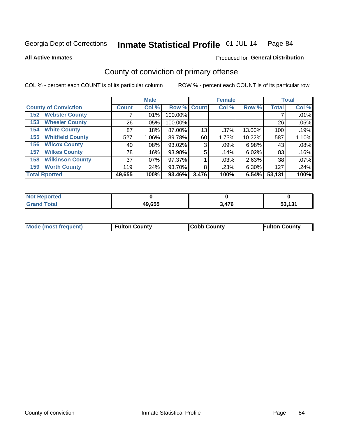#### **All Active Inmates**

#### Produced for **General Distribution**

# County of conviction of primary offense

|                                |              | <b>Male</b> |             |       | <b>Female</b> |        |              | <b>Total</b> |
|--------------------------------|--------------|-------------|-------------|-------|---------------|--------|--------------|--------------|
| <b>County of Conviction</b>    | <b>Count</b> | Col %       | Row % Count |       | Col %         | Row %  | <b>Total</b> | Col %        |
| <b>Webster County</b><br>152   |              | $.01\%$     | 100.00%     |       |               |        |              | .01%         |
| <b>Wheeler County</b><br>153   | 26           | $.05\%$     | 100.00%     |       |               |        | 26           | .05%         |
| <b>White County</b><br>154     | 87           | .18%        | 87.00%      | 13    | .37%          | 13.00% | 100          | .19%         |
| <b>Whitfield County</b><br>155 | 527          | 1.06%       | 89.78%      | 60    | 1.73%         | 10.22% | 587          | 1.10%        |
| <b>Wilcox County</b><br>156    | 40           | $.08\%$     | 93.02%      | 3     | .09%          | 6.98%  | 43           | .08%         |
| <b>Wilkes County</b><br>157    | 78           | .16%        | 93.98%      | 5     | .14%          | 6.02%  | 83           | .16%         |
| <b>Wilkinson County</b><br>158 | 37           | .07%        | 97.37%      |       | .03%          | 2.63%  | 38           | .07%         |
| <b>Worth County</b><br>159     | 119          | .24%        | 93.70%      | 8     | .23%          | 6.30%  | 127          | .24%         |
| <b>Total Rported</b>           | 49,655       | 100%        | 93.46%      | 3,476 | 100%          | 6.54%  | 53,131       | 100%         |

| <b>Not Reported</b> |        |       |        |
|---------------------|--------|-------|--------|
| <b>Grand Total</b>  | 49,655 | 3,476 | 53,131 |

| Mode (most frequent) | <b>Fulton County</b> | <b>Cobb County</b> | <b>Fulton County</b> |
|----------------------|----------------------|--------------------|----------------------|
|                      |                      |                    |                      |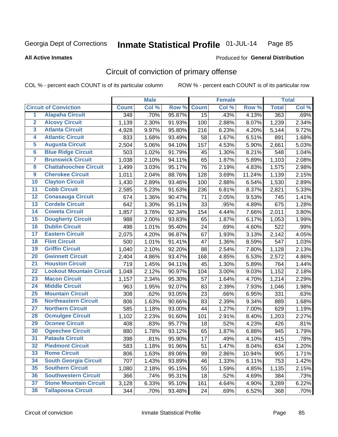**All Active Inmates**

#### Produced for **General Distribution**

## Circuit of conviction of primary offense

|                         |                                 |              | <b>Male</b> |        |                 | <b>Female</b> |        |                      | <b>Total</b> |
|-------------------------|---------------------------------|--------------|-------------|--------|-----------------|---------------|--------|----------------------|--------------|
|                         | <b>Circuit of Conviction</b>    | <b>Count</b> | Col %       | Row %  | <b>Count</b>    | Col %         | Row %  | <b>Total</b>         | Col %        |
| $\overline{1}$          | <b>Alapaha Circuit</b>          | 348          | .70%        | 95.87% | $\overline{15}$ | .43%          | 4.13%  | 363                  | .69%         |
| $\overline{2}$          | <b>Alcovy Circuit</b>           | 1,139        | 2.30%       | 91.93% | 100             | 2.88%         | 8.07%  | 1,239                | 2.34%        |
| $\overline{\mathbf{3}}$ | <b>Atlanta Circuit</b>          | 4,928        | 9.97%       | 95.80% | 216             | 6.23%         | 4.20%  | 5,144                | 9.72%        |
| 4                       | <b>Atlantic Circuit</b>         | 833          | 1.68%       | 93.49% | 58              | 1.67%         | 6.51%  | 891                  | 1.68%        |
| 5                       | <b>Augusta Circuit</b>          | 2,504        | 5.06%       | 94.10% | 157             | 4.53%         | 5.90%  | 2,661                | 5.03%        |
| $\overline{\mathbf{6}}$ | <b>Blue Ridge Circuit</b>       | 503          | 1.02%       | 91.79% | 45              | 1.30%         | 8.21%  | 548                  | 1.04%        |
| $\overline{\mathbf{7}}$ | <b>Brunswick Circuit</b>        | 1,038        | 2.10%       | 94.11% | 65              | 1.87%         | 5.89%  | $\overline{1}, 103$  | 2.08%        |
| 8                       | <b>Chattahoochee Circuit</b>    | 1,499        | 3.03%       | 95.17% | 76              | 2.19%         | 4.83%  | 1,575                | 2.98%        |
| $\overline{9}$          | <b>Cherokee Circuit</b>         | 1,011        | 2.04%       | 88.76% | 128             | 3.69%         | 11.24% | 1,139                | 2.15%        |
| 10                      | <b>Clayton Circuit</b>          | 1,430        | 2.89%       | 93.46% | 100             | 2.88%         | 6.54%  | 1,530                | 2.89%        |
| 11                      | <b>Cobb Circuit</b>             | 2,585        | 5.23%       | 91.63% | 236             | 6.81%         | 8.37%  | 2,821                | 5.33%        |
| 12                      | <b>Conasauga Circuit</b>        | 674          | 1.36%       | 90.47% | 71              | 2.05%         | 9.53%  | 745                  | 1.41%        |
| 13                      | <b>Cordele Circuit</b>          | 642          | 1.30%       | 95.11% | 33              | .95%          | 4.89%  | 675                  | 1.28%        |
| 14                      | <b>Coweta Circuit</b>           | 1,857        | 3.76%       | 92.34% | 154             | 4.44%         | 7.66%  | 2,011                | 3.80%        |
| 15                      | <b>Dougherty Circuit</b>        | 988          | 2.00%       | 93.83% | 65              | 1.87%         | 6.17%  | 1,053                | 1.99%        |
| 16                      | <b>Dublin Circuit</b>           | 498          | 1.01%       | 95.40% | 24              | .69%          | 4.60%  | 522                  | .99%         |
| 17                      | <b>Eastern Circuit</b>          | 2,075        | 4.20%       | 96.87% | 67              | 1.93%         | 3.13%  | $\overline{2}$ , 142 | 4.05%        |
| 18                      | <b>Flint Circuit</b>            | 500          | 1.01%       | 91.41% | 47              | 1.36%         | 8.59%  | 547                  | 1.03%        |
| 19                      | <b>Griffin Circuit</b>          | 1,040        | 2.10%       | 92.20% | 88              | 2.54%         | 7.80%  | 1,128                | 2.13%        |
| 20                      | <b>Gwinnett Circuit</b>         | 2,404        | 4.86%       | 93.47% | 168             | 4.85%         | 6.53%  | 2,572                | 4.86%        |
| $\overline{21}$         | <b>Houston Circuit</b>          | 719          | 1.45%       | 94.11% | 45              | 1.30%         | 5.89%  | 764                  | 1.44%        |
| $\overline{22}$         | <b>Lookout Mountain Circuit</b> | 1,048        | 2.12%       | 90.97% | 104             | 3.00%         | 9.03%  | 1,152                | 2.18%        |
| 23                      | <b>Macon Circuit</b>            | 1,157        | 2.34%       | 95.30% | 57              | 1.64%         | 4.70%  | 1,214                | 2.29%        |
| 24                      | <b>Middle Circuit</b>           | 963          | 1.95%       | 92.07% | 83              | 2.39%         | 7.93%  | 1,046                | 1.98%        |
| 25                      | <b>Mountain Circuit</b>         | 308          | .62%        | 93.05% | 23              | .66%          | 6.95%  | 331                  | .63%         |
| 26                      | <b>Northeastern Circuit</b>     | 806          | 1.63%       | 90.66% | 83              | 2.39%         | 9.34%  | 889                  | 1.68%        |
| $\overline{27}$         | <b>Northern Circuit</b>         | 585          | 1.18%       | 93.00% | 44              | 1.27%         | 7.00%  | 629                  | 1.19%        |
| 28                      | <b>Ocmulgee Circuit</b>         | 1,102        | 2.23%       | 91.60% | 101             | 2.91%         | 8.40%  | 1,203                | 2.27%        |
| 29                      | <b>Oconee Circuit</b>           | 408          | .83%        | 95.77% | 18              | .52%          | 4.23%  | 426                  | .81%         |
| 30                      | <b>Ogeechee Circuit</b>         | 880          | 1.78%       | 93.12% | 65              | 1.87%         | 6.88%  | 945                  | 1.79%        |
| $\overline{31}$         | <b>Pataula Circuit</b>          | 398          | .81%        | 95.90% | 17              | .49%          | 4.10%  | 415                  | .78%         |
| 32                      | <b>Piedmont Circuit</b>         | 583          | 1.18%       | 91.96% | 51              | 1.47%         | 8.04%  | 634                  | 1.20%        |
| 33                      | <b>Rome Circuit</b>             | 806          | 1.63%       | 89.06% | 99              | 2.86%         | 10.94% | 905                  | 1.71%        |
| 34                      | <b>South Georgia Circuit</b>    | 707          | 1.43%       | 93.89% | 46              | 1.33%         | 6.11%  | 753                  | 1.42%        |
| 35                      | <b>Southern Circuit</b>         | 1,080        | 2.18%       | 95.15% | 55              | 1.59%         | 4.85%  | 1,135                | 2.15%        |
| 36                      | <b>Southwestern Circuit</b>     | 366          | .74%        | 95.31% | 18              | .52%          | 4.69%  | 384                  | .73%         |
| 37                      | <b>Stone Mountain Circuit</b>   | 3,128        | 6.33%       | 95.10% | 161             | 4.64%         | 4.90%  | 3,289                | 6.22%        |
| 38                      | <b>Tallapoosa Circuit</b>       | 344          | .70%        | 93.48% | 24              | .69%          | 6.52%  | 368                  | .70%         |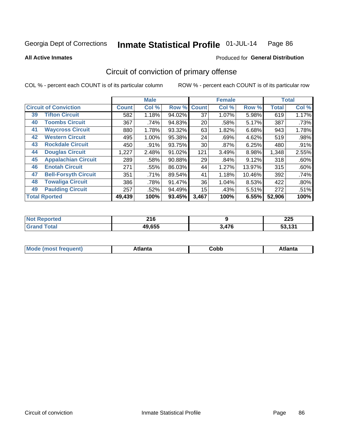Produced for **General Distribution**

#### **All Active Inmates**

# Circuit of conviction of primary offense

|                              |                             |              | <b>Male</b> |        |              | <b>Female</b> |        |              | <b>Total</b> |
|------------------------------|-----------------------------|--------------|-------------|--------|--------------|---------------|--------|--------------|--------------|
| <b>Circuit of Conviction</b> |                             | <b>Count</b> | Col %       | Row %  | <b>Count</b> | Col %         | Row %  | <b>Total</b> | Col %        |
| 39                           | <b>Tifton Circuit</b>       | 582          | 1.18%       | 94.02% | 37           | 1.07%         | 5.98%  | 619          | 1.17%        |
| 40                           | <b>Toombs Circuit</b>       | 367          | .74%        | 94.83% | 20           | .58%          | 5.17%  | 387          | .73%         |
| 41                           | <b>Waycross Circuit</b>     | 880          | 1.78%       | 93.32% | 63           | 1.82%         | 6.68%  | 943          | 1.78%        |
| 42                           | <b>Western Circuit</b>      | 495          | 1.00%       | 95.38% | 24           | .69%          | 4.62%  | 519          | .98%         |
| 43                           | <b>Rockdale Circuit</b>     | 450          | .91%        | 93.75% | 30           | .87%          | 6.25%  | 480          | .91%         |
| 44                           | <b>Douglas Circuit</b>      | 1,227        | 2.48%       | 91.02% | 121          | 3.49%         | 8.98%  | 1,348        | 2.55%        |
| 45                           | <b>Appalachian Circuit</b>  | 289          | .58%        | 90.88% | 29           | .84%          | 9.12%  | 318          | .60%         |
| 46                           | <b>Enotah Circuit</b>       | 271          | .55%        | 86.03% | 44           | 1.27%         | 13.97% | 315          | .60%         |
| 47                           | <b>Bell-Forsyth Circuit</b> | 351          | .71%        | 89.54% | 41           | 1.18%         | 10.46% | 392          | .74%         |
| 48                           | <b>Towaliga Circuit</b>     | 386          | .78%        | 91.47% | 36           | 1.04%         | 8.53%  | 422          | .80%         |
| 49                           | <b>Paulding Circuit</b>     | 257          | .52%        | 94.49% | 15           | .43%          | 5.51%  | 272          | .51%         |
| <b>Total Rported</b>         |                             | 49,439       | 100%        | 93.45% | 3,467        | 100%          | 6.55%  | 52,906       | 100%         |

| тес | <b>040</b><br>ZIU<br>___ |     | へへに<br>LLJ<br>$\sim$ |
|-----|--------------------------|-----|----------------------|
|     | 49.655                   | 17C | 4.94<br>-0<br>. .    |

| M<br>- - -<br>.<br>.<br>⊂opp<br>нс |
|------------------------------------|
|------------------------------------|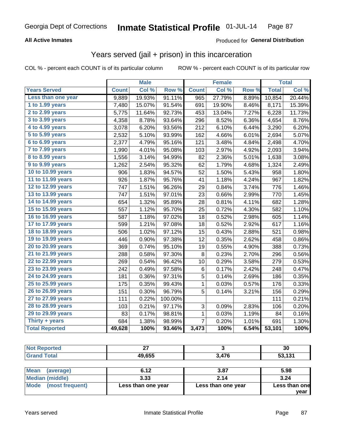#### **All Active Inmates**

#### Produced for **General Distribution**

### Years served (jail + prison) in this incarceration

COL % - percent each COUNT is of its particular column ROW % - percent each COUNT is of its particular row

|                       |              | <b>Male</b> |                  |                | <b>Female</b> |       |              | <b>Total</b> |
|-----------------------|--------------|-------------|------------------|----------------|---------------|-------|--------------|--------------|
| <b>Years Served</b>   | <b>Count</b> | Col %       | Row <sup>%</sup> | <b>Count</b>   | Col %         | Row % | <b>Total</b> | Col %        |
| Less than one year    | 9,889        | 19.93%      | 91.11%           | 965            | 27.79%        | 8.89% | 10,854       | 20.44%       |
| 1 to 1.99 years       | 7,480        | 15.07%      | 91.54%           | 691            | 19.90%        | 8.46% | 8,171        | 15.39%       |
| 2 to 2.99 years       | 5,775        | 11.64%      | 92.73%           | 453            | 13.04%        | 7.27% | 6,228        | 11.73%       |
| 3 to 3.99 years       | 4,358        | 8.78%       | 93.64%           | 296            | 8.52%         | 6.36% | 4,654        | 8.76%        |
| 4 to 4.99 years       | 3,078        | 6.20%       | 93.56%           | 212            | 6.10%         | 6.44% | 3,290        | 6.20%        |
| 5 to 5.99 years       | 2,532        | 5.10%       | 93.99%           | 162            | 4.66%         | 6.01% | 2,694        | 5.07%        |
| 6 to 6.99 years       | 2,377        | 4.79%       | 95.16%           | 121            | 3.48%         | 4.84% | 2,498        | 4.70%        |
| 7 to 7.99 years       | 1,990        | 4.01%       | 95.08%           | 103            | 2.97%         | 4.92% | 2,093        | 3.94%        |
| 8 to 8.99 years       | 1,556        | 3.14%       | 94.99%           | 82             | 2.36%         | 5.01% | 1,638        | 3.08%        |
| 9 to 9.99 years       | 1,262        | 2.54%       | 95.32%           | 62             | 1.79%         | 4.68% | 1,324        | 2.49%        |
| 10 to 10.99 years     | 906          | 1.83%       | 94.57%           | 52             | 1.50%         | 5.43% | 958          | 1.80%        |
| 11 to 11.99 years     | 926          | 1.87%       | 95.76%           | 41             | 1.18%         | 4.24% | 967          | 1.82%        |
| 12 to 12.99 years     | 747          | 1.51%       | 96.26%           | 29             | 0.84%         | 3.74% | 776          | 1.46%        |
| 13 to 13.99 years     | 747          | 1.51%       | 97.01%           | 23             | 0.66%         | 2.99% | 770          | 1.45%        |
| 14 to 14.99 years     | 654          | 1.32%       | 95.89%           | 28             | 0.81%         | 4.11% | 682          | 1.28%        |
| 15 to 15.99 years     | 557          | 1.12%       | 95.70%           | 25             | 0.72%         | 4.30% | 582          | 1.10%        |
| 16 to 16.99 years     | 587          | 1.18%       | 97.02%           | 18             | 0.52%         | 2.98% | 605          | 1.14%        |
| 17 to 17.99 years     | 599          | 1.21%       | 97.08%           | 18             | 0.52%         | 2.92% | 617          | 1.16%        |
| 18 to 18.99 years     | 506          | 1.02%       | 97.12%           | 15             | 0.43%         | 2.88% | 521          | 0.98%        |
| 19 to 19.99 years     | 446          | 0.90%       | 97.38%           | 12             | 0.35%         | 2.62% | 458          | 0.86%        |
| 20 to 20.99 years     | 369          | 0.74%       | 95.10%           | 19             | 0.55%         | 4.90% | 388          | 0.73%        |
| 21 to 21.99 years     | 288          | 0.58%       | 97.30%           | 8              | 0.23%         | 2.70% | 296          | 0.56%        |
| 22 to 22.99 years     | 269          | 0.54%       | 96.42%           | 10             | 0.29%         | 3.58% | 279          | 0.53%        |
| 23 to 23.99 years     | 242          | 0.49%       | 97.58%           | 6              | 0.17%         | 2.42% | 248          | 0.47%        |
| 24 to 24.99 years     | 181          | 0.36%       | 97.31%           | 5              | 0.14%         | 2.69% | 186          | 0.35%        |
| 25 to 25.99 years     | 175          | 0.35%       | 99.43%           | $\mathbf{1}$   | 0.03%         | 0.57% | 176          | 0.33%        |
| 26 to 26.99 years     | 151          | 0.30%       | 96.79%           | 5              | 0.14%         | 3.21% | 156          | 0.29%        |
| 27 to 27.99 years     | 111          | 0.22%       | 100.00%          |                |               |       | 111          | 0.21%        |
| 28 to 28.99 years     | 103          | 0.21%       | 97.17%           | 3              | 0.09%         | 2.83% | 106          | 0.20%        |
| 29 to 29.99 years     | 83           | 0.17%       | 98.81%           | 1              | 0.03%         | 1.19% | 84           | 0.16%        |
| Thirty + years        | 684          | 1.38%       | 98.99%           | $\overline{7}$ | 0.20%         | 1.01% | 691          | 1.30%        |
| <b>Total Reported</b> | 49,628       | 100%        | 93.46%           | 3,473          | 100%          | 6.54% | 53,101       | 100%         |

| <b>Not Reported</b>      | 27     |       | 30     |
|--------------------------|--------|-------|--------|
| <b>Grand Total</b>       | 49,655 | 3,476 | 53,131 |
|                          |        |       |        |
| <b>Mean</b><br>(average) | 6.12   | 3.87  | 5.98   |
| Median (middle)          | 3.33   | 2.14  | 3.24   |

| <b>Mode</b><br>(most frequent) | Less than one year | Less than one year |
|--------------------------------|--------------------|--------------------|
|                                |                    |                    |

**Less than one**

**year**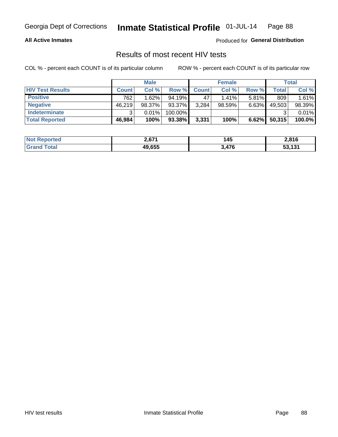#### **All Active Inmates**

Produced for **General Distribution**

### Results of most recent HIV tests

|                         |              | <b>Male</b> |         |              | <b>Female</b> |          |        | <b>Total</b> |
|-------------------------|--------------|-------------|---------|--------------|---------------|----------|--------|--------------|
| <b>HIV Test Results</b> | <b>Count</b> | Col %       | Row %I  | <b>Count</b> | Col %         | Row %    | Total  | Col %        |
| <b>Positive</b>         | 762          | 1.62%       | 94.19%  | 47           | $1.41\%$      | $5.81\%$ | 809    | 1.61%        |
| <b>Negative</b>         | 46.219       | 98.37%      | 93.37%  | 3,284        | 98.59%        | 6.63%    | 49,503 | 98.39%       |
| <b>Indeterminate</b>    | ີ            | 0.01%       | 100.00% |              |               |          |        | 0.01%        |
| <b>Total Reported</b>   | 46,984       | 100%        | 93.38%  | 3,331        | 100%          | 6.62%    | 50,315 | 100.0%       |

| <b>Not Reported</b> | 2,671  | <b>45</b> | 2,816  |
|---------------------|--------|-----------|--------|
| <b>Grand Total</b>  | 49,655 | 3,476     | 53,131 |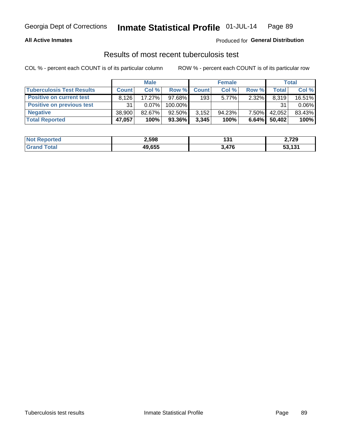#### **All Active Inmates**

#### Produced for **General Distribution**

### Results of most recent tuberculosis test

|                                  | <b>Male</b>  |           |           | <b>Female</b> |          |          | Total  |        |
|----------------------------------|--------------|-----------|-----------|---------------|----------|----------|--------|--------|
| <b>Tuberculosis Test Results</b> | <b>Count</b> | Col%      | Row %     | <b>Count</b>  | Col %    | Row %    | Total  | Col %  |
| <b>Positive on current test</b>  | 8.126        | 17.27%    | 97.68%    | 193           | $5.77\%$ | 2.32%    | 8,319  | 16.51% |
| <b>Positive on previous test</b> | 31           | 0.07%     | 100.00%   |               |          |          | 31     | 0.06%  |
| <b>Negative</b>                  | 38.900       | $82.67\%$ | $92.50\%$ | 3,152         | 94.23%   | $7.50\%$ | 42,052 | 83.43% |
| <b>Total Reported</b>            | 47,057       | 100%      | $93.36\%$ | 3,345         | 100%     | 6.64%    | 50,402 | 100%   |

| <b>Not Reported</b> | 2,598  | $\cdot$<br>י טו | 2,729  |
|---------------------|--------|-----------------|--------|
| `otal               | 49,655 | A76             | 53,131 |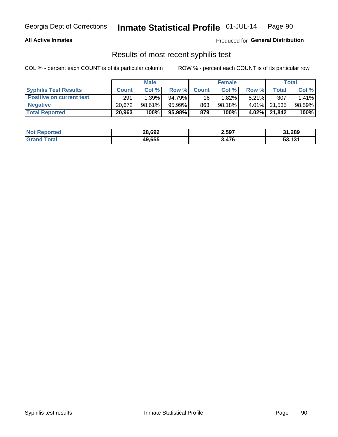#### **All Active Inmates**

Produced for **General Distribution**

#### Results of most recent syphilis test

|                                 | <b>Male</b>  |        |          | <b>Female</b>   |           |          | Total        |        |
|---------------------------------|--------------|--------|----------|-----------------|-----------|----------|--------------|--------|
| <b>Syphilis Test Results</b>    | <b>Count</b> | Col%   | Row %    | <b>Count</b>    | Col %     | Row %    | Total I      | Col %  |
| <b>Positive on current test</b> | 291          | 1.39%  | 94.79%   | 16 <sup>1</sup> | 1.82%     | $5.21\%$ | 307          | 1.41%  |
| <b>Negative</b>                 | 20.6721      | 98.61% | 95.99%   | 863             | $98.18\%$ |          | 4.01% 21,535 | 98.59% |
| <b>Total Reported</b>           | 20,963       | 100%   | 95.98% I | 879             | 100%      |          | 4.02% 21,842 | 100%   |

| <b>Not Reported</b> | 28,692 | 2,597 | 31,289 |
|---------------------|--------|-------|--------|
| <b>Grand Total</b>  | 49.655 | 476   | 53.131 |